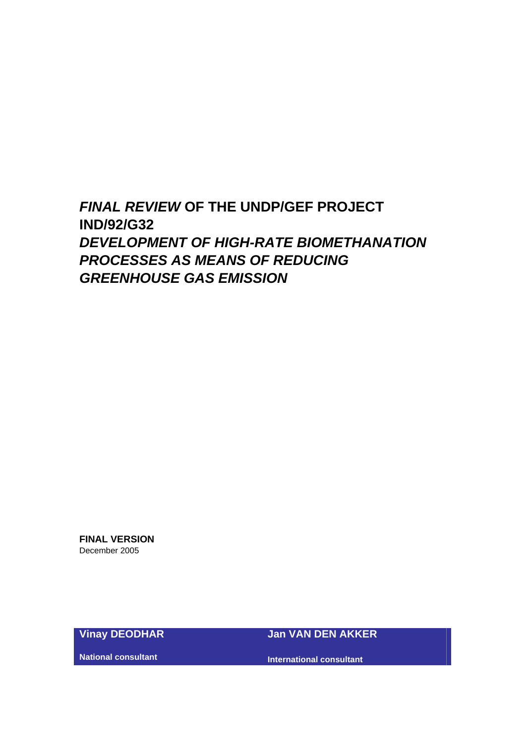# *FINAL REVIEW* **OF THE UNDP/GEF PROJECT IND/92/G32**  *DEVELOPMENT OF HIGH-RATE BIOMETHANATION PROCESSES AS MEANS OF REDUCING GREENHOUSE GAS EMISSION*

**FINAL VERSION**  December 2005

**Vinay DEODHAR**

**Jan VAN DEN AKKER** 

**National consultant** 

**International consultant**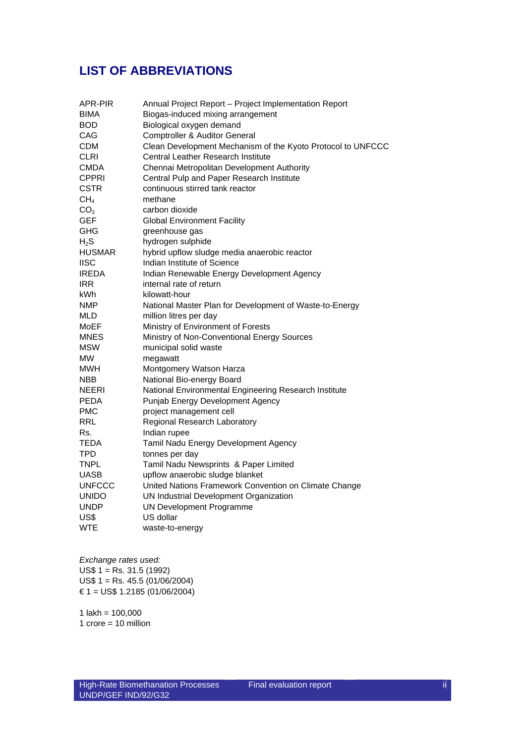## **LIST OF ABBREVIATIONS**

| APR-PIR         | Annual Project Report - Project Implementation Report       |
|-----------------|-------------------------------------------------------------|
| <b>BIMA</b>     | Biogas-induced mixing arrangement                           |
| <b>BOD</b>      | Biological oxygen demand                                    |
| CAG             | Comptroller & Auditor General                               |
| <b>CDM</b>      | Clean Development Mechanism of the Kyoto Protocol to UNFCCC |
| CLRI            | <b>Central Leather Research Institute</b>                   |
| <b>CMDA</b>     | Chennai Metropolitan Development Authority                  |
| <b>CPPRI</b>    | Central Pulp and Paper Research Institute                   |
| <b>CSTR</b>     | continuous stirred tank reactor                             |
| CH <sub>4</sub> | methane                                                     |
| CO <sub>2</sub> | carbon dioxide                                              |
| <b>GEF</b>      | <b>Global Environment Facility</b>                          |
| <b>GHG</b>      | greenhouse gas                                              |
| $H_2S$          | hydrogen sulphide                                           |
| <b>HUSMAR</b>   | hybrid upflow sludge media anaerobic reactor                |
| <b>IISC</b>     | Indian Institute of Science                                 |
| <b>IREDA</b>    | Indian Renewable Energy Development Agency                  |
| <b>IRR</b>      | internal rate of return                                     |
| kWh             | kilowatt-hour                                               |
| NMP             | National Master Plan for Development of Waste-to-Energy     |
| MLD             | million litres per day                                      |
| MoEF            | Ministry of Environment of Forests                          |
| <b>MNES</b>     | Ministry of Non-Conventional Energy Sources                 |
| <b>MSW</b>      | municipal solid waste                                       |
| <b>MW</b>       | megawatt                                                    |
| <b>MWH</b>      | Montgomery Watson Harza                                     |
| <b>NBB</b>      | National Bio-energy Board                                   |
| NEERI           | National Environmental Engineering Research Institute       |
| <b>PEDA</b>     | Punjab Energy Development Agency                            |
| <b>PMC</b>      | project management cell                                     |
| RRL             | Regional Research Laboratory                                |
| Rs.             | Indian rupee                                                |
| TEDA            | Tamil Nadu Energy Development Agency                        |
| TPD             | tonnes per day                                              |
| <b>TNPL</b>     | Tamil Nadu Newsprints & Paper Limited                       |
| <b>UASB</b>     | upflow anaerobic sludge blanket                             |
| <b>UNFCCC</b>   | United Nations Framework Convention on Climate Change       |
| <b>UNIDO</b>    | UN Industrial Development Organization                      |
| <b>UNDP</b>     | <b>UN Development Programme</b>                             |
| US\$            | US dollar                                                   |
| <b>WTE</b>      | waste-to-energy                                             |

*Exchange rates used:*  US\$ 1 = Rs. 31.5 (1992) US\$ 1 = Rs. 45.5 (01/06/2004) € 1 = US\$ 1.2185 (01/06/2004)

1 lakh = 100,000 1 crore = 10 million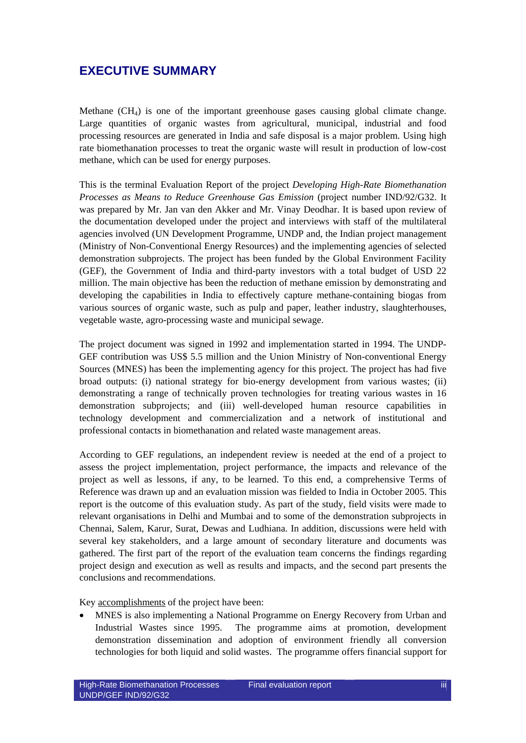## **EXECUTIVE SUMMARY**

Methane (CH4) is one of the important greenhouse gases causing global climate change. Large quantities of organic wastes from agricultural, municipal, industrial and food processing resources are generated in India and safe disposal is a major problem. Using high rate biomethanation processes to treat the organic waste will result in production of low-cost methane, which can be used for energy purposes.

This is the terminal Evaluation Report of the project *Developing High-Rate Biomethanation Processes as Means to Reduce Greenhouse Gas Emission* (project number IND/92/G32. It was prepared by Mr. Jan van den Akker and Mr. Vinay Deodhar. It is based upon review of the documentation developed under the project and interviews with staff of the multilateral agencies involved (UN Development Programme, UNDP and, the Indian project management (Ministry of Non-Conventional Energy Resources) and the implementing agencies of selected demonstration subprojects. The project has been funded by the Global Environment Facility (GEF), the Government of India and third-party investors with a total budget of USD 22 million. The main objective has been the reduction of methane emission by demonstrating and developing the capabilities in India to effectively capture methane-containing biogas from various sources of organic waste, such as pulp and paper, leather industry, slaughterhouses, vegetable waste, agro-processing waste and municipal sewage.

The project document was signed in 1992 and implementation started in 1994. The UNDP-GEF contribution was US\$ 5.5 million and the Union Ministry of Non-conventional Energy Sources (MNES) has been the implementing agency for this project. The project has had five broad outputs: (i) national strategy for bio-energy development from various wastes; (ii) demonstrating a range of technically proven technologies for treating various wastes in 16 demonstration subprojects; and (iii) well-developed human resource capabilities in technology development and commercialization and a network of institutional and professional contacts in biomethanation and related waste management areas.

According to GEF regulations, an independent review is needed at the end of a project to assess the project implementation, project performance, the impacts and relevance of the project as well as lessons, if any, to be learned. To this end, a comprehensive Terms of Reference was drawn up and an evaluation mission was fielded to India in October 2005. This report is the outcome of this evaluation study. As part of the study, field visits were made to relevant organisations in Delhi and Mumbai and to some of the demonstration subprojects in Chennai, Salem, Karur, Surat, Dewas and Ludhiana. In addition, discussions were held with several key stakeholders, and a large amount of secondary literature and documents was gathered. The first part of the report of the evaluation team concerns the findings regarding project design and execution as well as results and impacts, and the second part presents the conclusions and recommendations.

Key accomplishments of the project have been:

• MNES is also implementing a National Programme on Energy Recovery from Urban and Industrial Wastes since 1995. The programme aims at promotion, development demonstration dissemination and adoption of environment friendly all conversion technologies for both liquid and solid wastes. The programme offers financial support for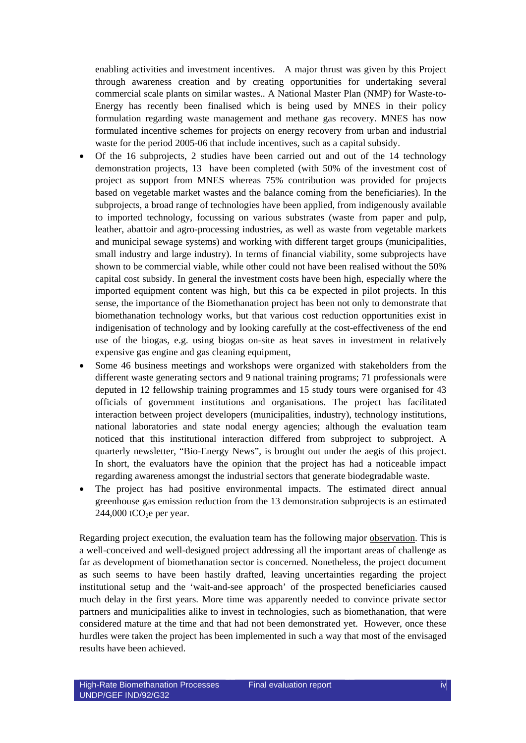enabling activities and investment incentives. A major thrust was given by this Project through awareness creation and by creating opportunities for undertaking several commercial scale plants on similar wastes.. A National Master Plan (NMP) for Waste-to-Energy has recently been finalised which is being used by MNES in their policy formulation regarding waste management and methane gas recovery. MNES has now formulated incentive schemes for projects on energy recovery from urban and industrial waste for the period 2005-06 that include incentives, such as a capital subsidy.

- Of the 16 subprojects, 2 studies have been carried out and out of the 14 technology demonstration projects, 13 have been completed (with 50% of the investment cost of project as support from MNES whereas 75% contribution was provided for projects based on vegetable market wastes and the balance coming from the beneficiaries). In the subprojects, a broad range of technologies have been applied, from indigenously available to imported technology, focussing on various substrates (waste from paper and pulp, leather, abattoir and agro-processing industries, as well as waste from vegetable markets and municipal sewage systems) and working with different target groups (municipalities, small industry and large industry). In terms of financial viability, some subprojects have shown to be commercial viable, while other could not have been realised without the 50% capital cost subsidy. In general the investment costs have been high, especially where the imported equipment content was high, but this ca be expected in pilot projects. In this sense, the importance of the Biomethanation project has been not only to demonstrate that biomethanation technology works, but that various cost reduction opportunities exist in indigenisation of technology and by looking carefully at the cost-effectiveness of the end use of the biogas, e.g. using biogas on-site as heat saves in investment in relatively expensive gas engine and gas cleaning equipment,
- Some 46 business meetings and workshops were organized with stakeholders from the different waste generating sectors and 9 national training programs; 71 professionals were deputed in 12 fellowship training programmes and 15 study tours were organised for 43 officials of government institutions and organisations. The project has facilitated interaction between project developers (municipalities, industry), technology institutions, national laboratories and state nodal energy agencies; although the evaluation team noticed that this institutional interaction differed from subproject to subproject. A quarterly newsletter, "Bio-Energy News", is brought out under the aegis of this project. In short, the evaluators have the opinion that the project has had a noticeable impact regarding awareness amongst the industrial sectors that generate biodegradable waste.
- The project has had positive environmental impacts. The estimated direct annual greenhouse gas emission reduction from the 13 demonstration subprojects is an estimated  $244,000$  tCO<sub>2</sub>e per year.

Regarding project execution, the evaluation team has the following major observation. This is a well-conceived and well-designed project addressing all the important areas of challenge as far as development of biomethanation sector is concerned. Nonetheless, the project document as such seems to have been hastily drafted, leaving uncertainties regarding the project institutional setup and the 'wait-and-see approach' of the prospected beneficiaries caused much delay in the first years. More time was apparently needed to convince private sector partners and municipalities alike to invest in technologies, such as biomethanation, that were considered mature at the time and that had not been demonstrated yet. However, once these hurdles were taken the project has been implemented in such a way that most of the envisaged results have been achieved.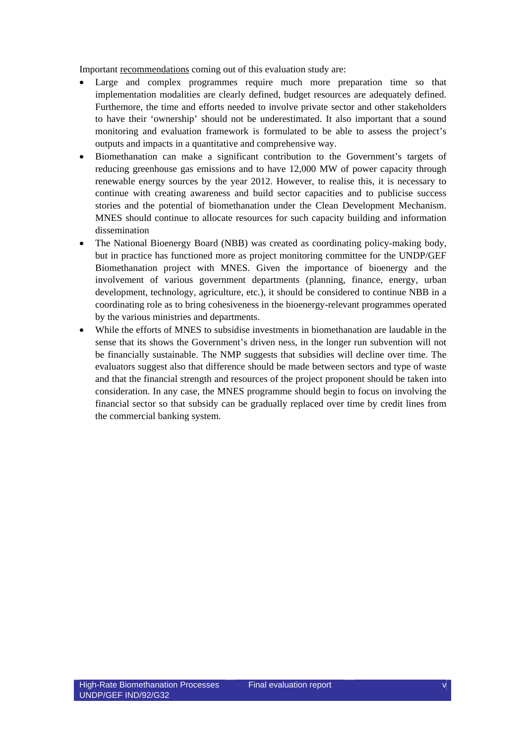Important recommendations coming out of this evaluation study are:

- Large and complex programmes require much more preparation time so that implementation modalities are clearly defined, budget resources are adequately defined. Furthemore, the time and efforts needed to involve private sector and other stakeholders to have their 'ownership' should not be underestimated. It also important that a sound monitoring and evaluation framework is formulated to be able to assess the project's outputs and impacts in a quantitative and comprehensive way.
- Biomethanation can make a significant contribution to the Government's targets of reducing greenhouse gas emissions and to have 12,000 MW of power capacity through renewable energy sources by the year 2012. However, to realise this, it is necessary to continue with creating awareness and build sector capacities and to publicise success stories and the potential of biomethanation under the Clean Development Mechanism. MNES should continue to allocate resources for such capacity building and information dissemination
- The National Bioenergy Board (NBB) was created as coordinating policy-making body, but in practice has functioned more as project monitoring committee for the UNDP/GEF Biomethanation project with MNES. Given the importance of bioenergy and the involvement of various government departments (planning, finance, energy, urban development, technology, agriculture, etc.), it should be considered to continue NBB in a coordinating role as to bring cohesiveness in the bioenergy-relevant programmes operated by the various ministries and departments.
- While the efforts of MNES to subsidise investments in biomethanation are laudable in the sense that its shows the Government's driven ness, in the longer run subvention will not be financially sustainable. The NMP suggests that subsidies will decline over time. The evaluators suggest also that difference should be made between sectors and type of waste and that the financial strength and resources of the project proponent should be taken into consideration. In any case, the MNES programme should begin to focus on involving the financial sector so that subsidy can be gradually replaced over time by credit lines from the commercial banking system.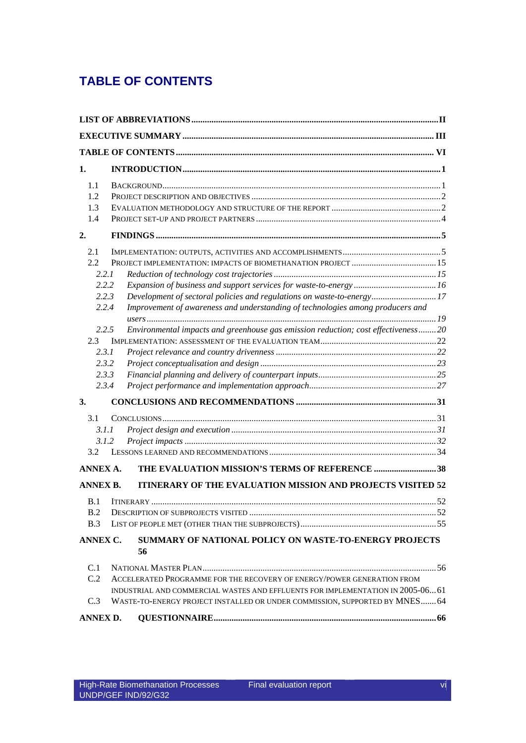# **TABLE OF CONTENTS**

| 1.                     |                                                                                   |  |
|------------------------|-----------------------------------------------------------------------------------|--|
| 1.1                    |                                                                                   |  |
| 1.2                    |                                                                                   |  |
| 1.3                    |                                                                                   |  |
| 1.4                    |                                                                                   |  |
| 2.                     |                                                                                   |  |
| 2.1                    |                                                                                   |  |
| 2.2                    |                                                                                   |  |
| 2.2.1                  |                                                                                   |  |
| 2.2.2                  | Expansion of business and support services for waste-to-energy 16                 |  |
| 2.2.3                  | Development of sectoral policies and regulations on waste-to-energy17             |  |
| 2.2.4                  | Improvement of awareness and understanding of technologies among producers and    |  |
|                        | Environmental impacts and greenhouse gas emission reduction; cost effectiveness20 |  |
| 2.2.5<br>$2.3^{\circ}$ |                                                                                   |  |
| 2.3.1                  |                                                                                   |  |
| 2.3.2                  |                                                                                   |  |
| 2.3.3                  |                                                                                   |  |
| 2.3.4                  |                                                                                   |  |
| 3.                     |                                                                                   |  |
|                        |                                                                                   |  |
| 3.1                    |                                                                                   |  |
| 3.1.1                  |                                                                                   |  |
| 3.1.2                  |                                                                                   |  |
| 3.2                    |                                                                                   |  |
| <b>ANNEX A.</b>        | THE EVALUATION MISSION'S TERMS OF REFERENCE 38                                    |  |
| <b>ANNEX B.</b>        | <b>ITINERARY OF THE EVALUATION MISSION AND PROJECTS VISITED 52</b>                |  |
| B.1                    |                                                                                   |  |
| B.2                    |                                                                                   |  |
| B.3                    |                                                                                   |  |
| ANNEX C.               | SUMMARY OF NATIONAL POLICY ON WASTE-TO-ENERGY PROJECTS<br>56                      |  |
| C.1                    |                                                                                   |  |
| C.2                    | ACCELERATED PROGRAMME FOR THE RECOVERY OF ENERGY/POWER GENERATION FROM            |  |
|                        | INDUSTRIAL AND COMMERCIAL WASTES AND EFFLUENTS FOR IMPLEMENTATION IN 2005-0661    |  |
| C.3                    | WASTE-TO-ENERGY PROJECT INSTALLED OR UNDER COMMISSION, SUPPORTED BY MNES 64       |  |
| <b>ANNEX D.</b>        |                                                                                   |  |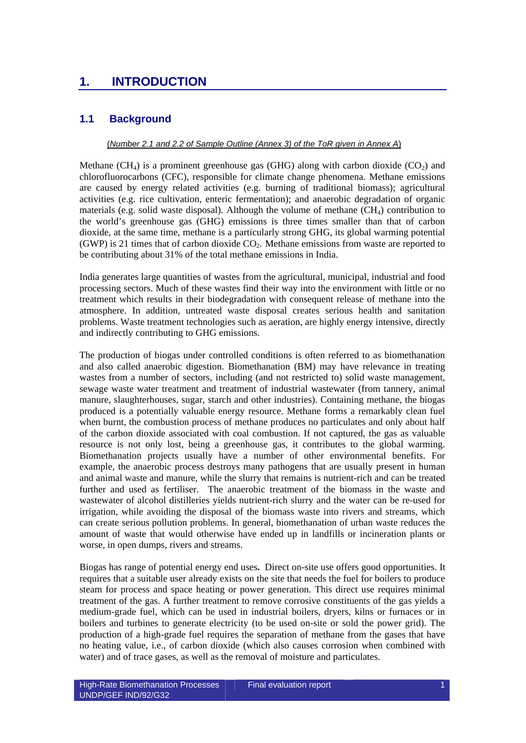## **1. INTRODUCTION**

## **1.1 Background**

#### (*Number 2.1 and 2.2 of Sample Outline (Annex 3) of the ToR given in Annex A*)

Methane (CH<sub>4</sub>) is a prominent greenhouse gas (GHG) along with carbon dioxide (CO<sub>2</sub>) and chlorofluorocarbons (CFC), responsible for climate change phenomena. Methane emissions are caused by energy related activities (e.g. burning of traditional biomass); agricultural activities (e.g. rice cultivation, enteric fermentation); and anaerobic degradation of organic materials (e.g. solid waste disposal). Although the volume of methane  $(CH_4)$  contribution to the world's greenhouse gas (GHG) emissions is three times smaller than that of carbon dioxide, at the same time, methane is a particularly strong GHG, its global warming potential (GWP) is 21 times that of carbon dioxide  $CO<sub>2</sub>$ . Methane emissions from waste are reported to be contributing about 31% of the total methane emissions in India.

India generates large quantities of wastes from the agricultural, municipal, industrial and food processing sectors. Much of these wastes find their way into the environment with little or no treatment which results in their biodegradation with consequent release of methane into the atmosphere. In addition, untreated waste disposal creates serious health and sanitation problems. Waste treatment technologies such as aeration, are highly energy intensive, directly and indirectly contributing to GHG emissions.

The production of biogas under controlled conditions is often referred to as biomethanation and also called anaerobic digestion. Biomethanation (BM) may have relevance in treating wastes from a number of sectors, including (and not restricted to) solid waste management, sewage waste water treatment and treatment of industrial wastewater (from tannery, animal manure, slaughterhouses, sugar, starch and other industries). Containing methane, the biogas produced is a potentially valuable energy resource. Methane forms a remarkably clean fuel when burnt, the combustion process of methane produces no particulates and only about half of the carbon dioxide associated with coal combustion. If not captured, the gas as valuable resource is not only lost, being a greenhouse gas, it contributes to the global warming. Biomethanation projects usually have a number of other environmental benefits. For example, the anaerobic process destroys many pathogens that are usually present in human and animal waste and manure, while the slurry that remains is nutrient-rich and can be treated further and used as fertiliser. The anaerobic treatment of the biomass in the waste and wastewater of alcohol distilleries yields nutrient-rich slurry and the water can be re-used for irrigation, while avoiding the disposal of the biomass waste into rivers and streams, which can create serious pollution problems. In general, biomethanation of urban waste reduces the amount of waste that would otherwise have ended up in landfills or incineration plants or worse, in open dumps, rivers and streams.

Biogas has range of potential energy end uses**.** Direct on-site use offers good opportunities. It requires that a suitable user already exists on the site that needs the fuel for boilers to produce steam for process and space heating or power generation. This direct use requires minimal treatment of the gas. A further treatment to remove corrosive constituents of the gas yields a medium-grade fuel, which can be used in industrial boilers, dryers, kilns or furnaces or in boilers and turbines to generate electricity (to be used on-site or sold the power grid). The production of a high-grade fuel requires the separation of methane from the gases that have no heating value, i.e., of carbon dioxide (which also causes corrosion when combined with water) and of trace gases, as well as the removal of moisture and particulates.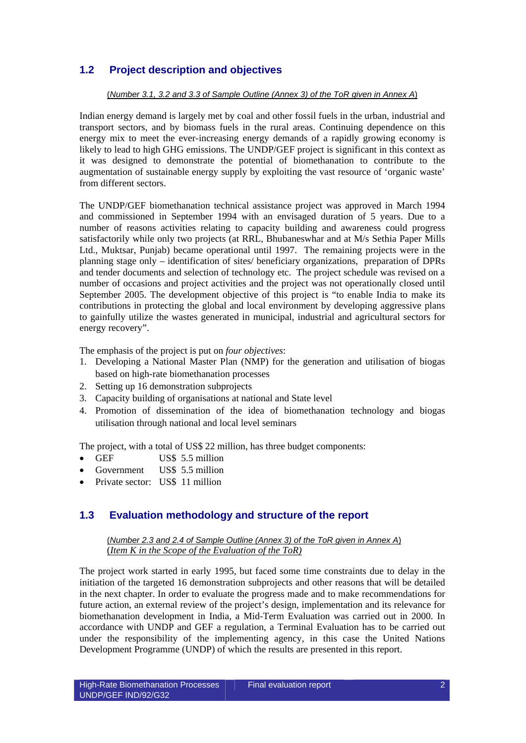## **1.2 Project description and objectives**

### (*Number 3.1, 3.2 and 3.3 of Sample Outline (Annex 3) of the ToR given in Annex A*)

Indian energy demand is largely met by coal and other fossil fuels in the urban, industrial and transport sectors, and by biomass fuels in the rural areas. Continuing dependence on this energy mix to meet the ever-increasing energy demands of a rapidly growing economy is likely to lead to high GHG emissions. The UNDP/GEF project is significant in this context as it was designed to demonstrate the potential of biomethanation to contribute to the augmentation of sustainable energy supply by exploiting the vast resource of 'organic waste' from different sectors.

The UNDP/GEF biomethanation technical assistance project was approved in March 1994 and commissioned in September 1994 with an envisaged duration of 5 years. Due to a number of reasons activities relating to capacity building and awareness could progress satisfactorily while only two projects (at RRL, Bhubaneswhar and at M/s Sethia Paper Mills Ltd., Muktsar, Punjab) became operational until 1997. The remaining projects were in the planning stage only – identification of sites/ beneficiary organizations, preparation of DPRs and tender documents and selection of technology etc. The project schedule was revised on a number of occasions and project activities and the project was not operationally closed until September 2005. The development objective of this project is "to enable India to make its contributions in protecting the global and local environment by developing aggressive plans to gainfully utilize the wastes generated in municipal, industrial and agricultural sectors for energy recovery".

The emphasis of the project is put on *four objectives*:

- 1. Developing a National Master Plan (NMP) for the generation and utilisation of biogas based on high-rate biomethanation processes
- 2. Setting up 16 demonstration subprojects
- 3. Capacity building of organisations at national and State level
- 4. Promotion of dissemination of the idea of biomethanation technology and biogas utilisation through national and local level seminars

The project, with a total of US\$ 22 million, has three budget components:

- GEF US\$ 5.5 million
- Government US\$ 5.5 million
- Private sector: US\$ 11 million

## **1.3 Evaluation methodology and structure of the report**

#### (*Number 2.3 and 2.4 of Sample Outline (Annex 3) of the ToR given in Annex A*) (*Item K in the Scope of the Evaluation of the ToR)*

The project work started in early 1995, but faced some time constraints due to delay in the initiation of the targeted 16 demonstration subprojects and other reasons that will be detailed in the next chapter. In order to evaluate the progress made and to make recommendations for future action, an external review of the project's design, implementation and its relevance for biomethanation development in India, a Mid-Term Evaluation was carried out in 2000. In accordance with UNDP and GEF a regulation, a Terminal Evaluation has to be carried out under the responsibility of the implementing agency, in this case the United Nations Development Programme (UNDP) of which the results are presented in this report.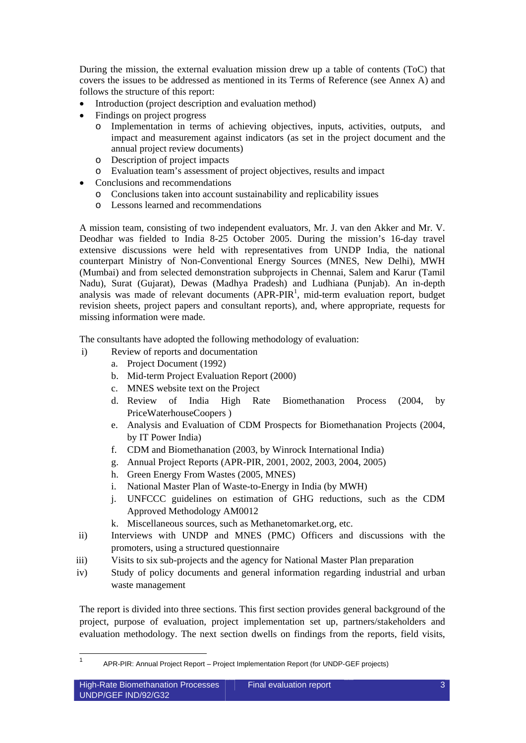During the mission, the external evaluation mission drew up a table of contents (ToC) that covers the issues to be addressed as mentioned in its Terms of Reference (see Annex A) and follows the structure of this report:

- Introduction (project description and evaluation method)
- Findings on project progress
	- o Implementation in terms of achieving objectives, inputs, activities, outputs, and impact and measurement against indicators (as set in the project document and the annual project review documents)
	- o Description of project impacts
	- o Evaluation team's assessment of project objectives, results and impact
- Conclusions and recommendations
	- o Conclusions taken into account sustainability and replicability issues
	- o Lessons learned and recommendations

A mission team, consisting of two independent evaluators, Mr. J. van den Akker and Mr. V. Deodhar was fielded to India 8-25 October 2005. During the mission's 16-day travel extensive discussions were held with representatives from UNDP India, the national counterpart Ministry of Non-Conventional Energy Sources (MNES, New Delhi), MWH (Mumbai) and from selected demonstration subprojects in Chennai, Salem and Karur (Tamil Nadu), Surat (Gujarat), Dewas (Madhya Pradesh) and Ludhiana (Punjab). An in-depth analysis was made of relevant documents  $(APR-PIR<sup>1</sup>, mid-term evaluation report, budget)$ revision sheets, project papers and consultant reports), and, where appropriate, requests for missing information were made.

The consultants have adopted the following methodology of evaluation:

- i) Review of reports and documentation
	- a. Project Document (1992)
	- b. Mid-term Project Evaluation Report (2000)
	- c. MNES website text on the Project
	- d. Review of India High Rate Biomethanation Process (2004, by PriceWaterhouseCoopers )
	- e. Analysis and Evaluation of CDM Prospects for Biomethanation Projects (2004, by IT Power India)
	- f. CDM and Biomethanation (2003, by Winrock International India)
	- g. Annual Project Reports (APR-PIR, 2001, 2002, 2003, 2004, 2005)
	- h. Green Energy From Wastes (2005, MNES)
	- i. National Master Plan of Waste-to-Energy in India (by MWH)
	- j. UNFCCC guidelines on estimation of GHG reductions, such as the CDM Approved Methodology AM0012
	- k. Miscellaneous sources, such as Methanetomarket.org, etc.
- ii) Interviews with UNDP and MNES (PMC) Officers and discussions with the promoters, using a structured questionnaire
- iii) Visits to six sub-projects and the agency for National Master Plan preparation
- iv) Study of policy documents and general information regarding industrial and urban waste management

The report is divided into three sections. This first section provides general background of the project, purpose of evaluation, project implementation set up, partners/stakeholders and evaluation methodology. The next section dwells on findings from the reports, field visits,

 $\frac{1}{1}$ APR-PIR: Annual Project Report – Project Implementation Report (for UNDP-GEF projects)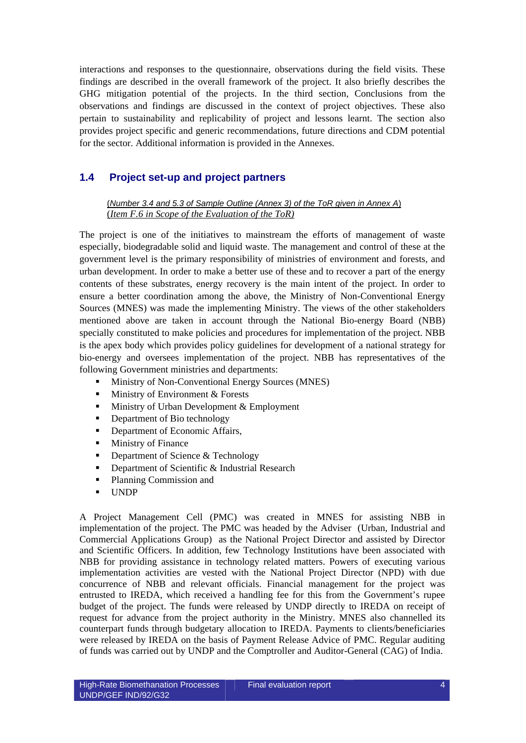interactions and responses to the questionnaire, observations during the field visits. These findings are described in the overall framework of the project. It also briefly describes the GHG mitigation potential of the projects. In the third section, Conclusions from the observations and findings are discussed in the context of project objectives. These also pertain to sustainability and replicability of project and lessons learnt. The section also provides project specific and generic recommendations, future directions and CDM potential for the sector. Additional information is provided in the Annexes.

## **1.4 Project set-up and project partners**

(*Number 3.4 and 5.3 of Sample Outline (Annex 3) of the ToR given in Annex A*) (*Item F.6 in Scope of the Evaluation of the ToR)*

The project is one of the initiatives to mainstream the efforts of management of waste especially, biodegradable solid and liquid waste. The management and control of these at the government level is the primary responsibility of ministries of environment and forests, and urban development. In order to make a better use of these and to recover a part of the energy contents of these substrates, energy recovery is the main intent of the project. In order to ensure a better coordination among the above, the Ministry of Non-Conventional Energy Sources (MNES) was made the implementing Ministry. The views of the other stakeholders mentioned above are taken in account through the National Bio-energy Board (NBB) specially constituted to make policies and procedures for implementation of the project. NBB is the apex body which provides policy guidelines for development of a national strategy for bio-energy and oversees implementation of the project. NBB has representatives of the following Government ministries and departments:

- Ministry of Non-Conventional Energy Sources (MNES)
- Ministry of Environment & Forests
- Ministry of Urban Development & Employment
- Department of Bio technology
- Department of Economic Affairs,
- **Ministry of Finance**
- Department of Science & Technology
- Department of Scientific & Industrial Research
- Planning Commission and
- UNDP

A Project Management Cell (PMC) was created in MNES for assisting NBB in implementation of the project. The PMC was headed by the Adviser (Urban, Industrial and Commercial Applications Group) as the National Project Director and assisted by Director and Scientific Officers. In addition, few Technology Institutions have been associated with NBB for providing assistance in technology related matters. Powers of executing various implementation activities are vested with the National Project Director (NPD) with due concurrence of NBB and relevant officials. Financial management for the project was entrusted to IREDA, which received a handling fee for this from the Government's rupee budget of the project. The funds were released by UNDP directly to IREDA on receipt of request for advance from the project authority in the Ministry. MNES also channelled its counterpart funds through budgetary allocation to IREDA. Payments to clients/beneficiaries were released by IREDA on the basis of Payment Release Advice of PMC. Regular auditing of funds was carried out by UNDP and the Comptroller and Auditor-General (CAG) of India.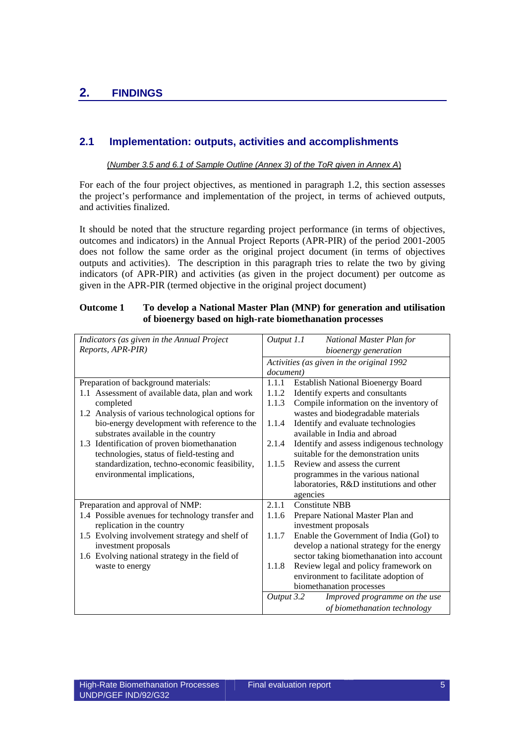## **2.1 Implementation: outputs, activities and accomplishments**

#### (*Number 3.5 and 6.1 of Sample Outline (Annex 3) of the ToR given in Annex A*)

For each of the four project objectives, as mentioned in paragraph 1.2, this section assesses the project's performance and implementation of the project, in terms of achieved outputs, and activities finalized.

It should be noted that the structure regarding project performance (in terms of objectives, outcomes and indicators) in the Annual Project Reports (APR-PIR) of the period 2001-2005 does not follow the same order as the original project document (in terms of objectives outputs and activities). The description in this paragraph tries to relate the two by giving indicators (of APR-PIR) and activities (as given in the project document) per outcome as given in the APR-PIR (termed objective in the original project document)

### **Outcome 1 To develop a National Master Plan (MNP) for generation and utilisation of bioenergy based on high-rate biomethanation processes**

| Indicators (as given in the Annual Project                                     | Output 1.1<br>National Master Plan for                            |
|--------------------------------------------------------------------------------|-------------------------------------------------------------------|
| Reports, APR-PIR)                                                              | bioenergy generation                                              |
|                                                                                | Activities (as given in the original 1992                         |
|                                                                                | document)                                                         |
| Preparation of background materials:                                           | <b>Establish National Bioenergy Board</b><br>1.1.1                |
| 1.1 Assessment of available data, plan and work                                | Identify experts and consultants<br>1.1.2                         |
| completed                                                                      | 1.1.3<br>Compile information on the inventory of                  |
| 1.2 Analysis of various technological options for                              | wastes and biodegradable materials                                |
| bio-energy development with reference to the                                   | Identify and evaluate technologies<br>1.1.4                       |
| substrates available in the country                                            | available in India and abroad                                     |
| 1.3 Identification of proven biomethanation                                    | Identify and assess indigenous technology<br>2.1.4                |
| technologies, status of field-testing and                                      | suitable for the demonstration units                              |
| standardization, techno-economic feasibility,                                  | 1.1.5<br>Review and assess the current                            |
| environmental implications,                                                    | programmes in the various national                                |
|                                                                                | laboratories, R&D institutions and other                          |
|                                                                                | agencies                                                          |
| Preparation and approval of NMP:                                               | 2.1.1<br><b>Constitute NBB</b>                                    |
| 1.4 Possible avenues for technology transfer and<br>replication in the country | 1.1.6<br>Prepare National Master Plan and<br>investment proposals |
| 1.5 Evolving involvement strategy and shelf of                                 | Enable the Government of India (GoI) to<br>1.1.7                  |
| investment proposals                                                           | develop a national strategy for the energy                        |
| 1.6 Evolving national strategy in the field of                                 | sector taking biomethanation into account                         |
| waste to energy                                                                | Review legal and policy framework on<br>1.1.8                     |
|                                                                                | environment to facilitate adoption of                             |
|                                                                                | biomethanation processes                                          |
|                                                                                | Output 3.2<br>Improved programme on the use                       |
|                                                                                | of biomethanation technology                                      |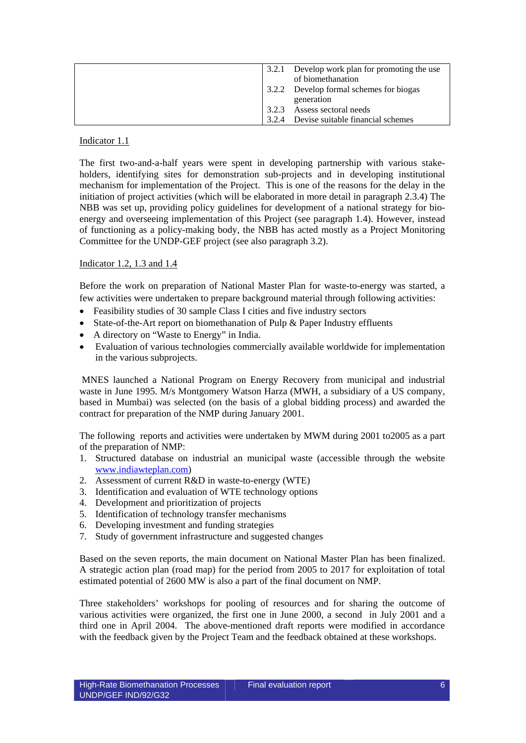|  | 3.2.1 Develop work plan for promoting the use |
|--|-----------------------------------------------|
|  | of biomethanation                             |
|  | 3.2.2 Develop formal schemes for biogas       |
|  | generation                                    |
|  | 3.2.3 Assess sectoral needs                   |
|  | 3.2.4 Devise suitable financial schemes       |

### Indicator 1.1

The first two-and-a-half years were spent in developing partnership with various stakeholders, identifying sites for demonstration sub-projects and in developing institutional mechanism for implementation of the Project. This is one of the reasons for the delay in the initiation of project activities (which will be elaborated in more detail in paragraph 2.3.4) The NBB was set up, providing policy guidelines for development of a national strategy for bioenergy and overseeing implementation of this Project (see paragraph 1.4). However, instead of functioning as a policy-making body, the NBB has acted mostly as a Project Monitoring Committee for the UNDP-GEF project (see also paragraph 3.2).

## Indicator 1.2, 1.3 and 1.4

Before the work on preparation of National Master Plan for waste-to-energy was started, a few activities were undertaken to prepare background material through following activities:

- Feasibility studies of 30 sample Class I cities and five industry sectors
- State-of-the-Art report on biomethanation of Pulp & Paper Industry effluents
- A directory on "Waste to Energy" in India.
- Evaluation of various technologies commercially available worldwide for implementation in the various subprojects.

 MNES launched a National Program on Energy Recovery from municipal and industrial waste in June 1995. M/s Montgomery Watson Harza (MWH, a subsidiary of a US company, based in Mumbai) was selected (on the basis of a global bidding process) and awarded the contract for preparation of the NMP during January 2001.

The following reports and activities were undertaken by MWM during 2001 to2005 as a part of the preparation of NMP:

- 1. Structured database on industrial an municipal waste (accessible through the website www.indiawteplan.com)
- 2. Assessment of current R&D in waste-to-energy (WTE)
- 3. Identification and evaluation of WTE technology options
- 4. Development and prioritization of projects
- 5. Identification of technology transfer mechanisms
- 6. Developing investment and funding strategies
- 7. Study of government infrastructure and suggested changes

Based on the seven reports, the main document on National Master Plan has been finalized. A strategic action plan (road map) for the period from 2005 to 2017 for exploitation of total estimated potential of 2600 MW is also a part of the final document on NMP.

Three stakeholders' workshops for pooling of resources and for sharing the outcome of various activities were organized, the first one in June 2000, a second in July 2001 and a third one in April 2004. The above-mentioned draft reports were modified in accordance with the feedback given by the Project Team and the feedback obtained at these workshops.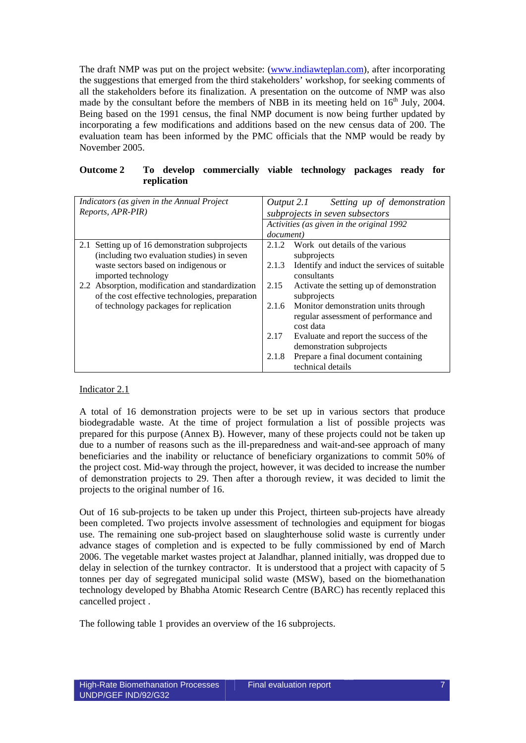The draft NMP was put on the project website: (www.indiawteplan.com), after incorporating the suggestions that emerged from the third stakeholders' workshop, for seeking comments of all the stakeholders before its finalization. A presentation on the outcome of NMP was also made by the consultant before the members of NBB in its meeting held on  $16<sup>th</sup>$  July, 2004. Being based on the 1991 census, the final NMP document is now being further updated by incorporating a few modifications and additions based on the new census data of 200. The evaluation team has been informed by the PMC officials that the NMP would be ready by November 2005.

| <b>Outcome 2</b> |             | To develop commercially viable technology packages ready for |  |  |  |
|------------------|-------------|--------------------------------------------------------------|--|--|--|
|                  | replication |                                                              |  |  |  |

| Indicators (as given in the Annual Project<br>Reports, APR-PIR) | Setting up of demonstration<br>Output 2.1<br>subprojects in seven subsectors |
|-----------------------------------------------------------------|------------------------------------------------------------------------------|
|                                                                 | Activities (as given in the original 1992                                    |
|                                                                 | <i>document</i> )                                                            |
| 2.1 Setting up of 16 demonstration subprojects                  | Work out details of the various<br>2.1.2                                     |
| (including two evaluation studies) in seven                     | subprojects                                                                  |
| waste sectors based on indigenous or                            | Identify and induct the services of suitable<br>2.1.3                        |
| imported technology                                             | consultants                                                                  |
| 2.2 Absorption, modification and standardization                | 2.15<br>Activate the setting up of demonstration                             |
| of the cost effective technologies, preparation                 | subprojects                                                                  |
| of technology packages for replication                          | Monitor demonstration units through<br>2.1.6                                 |
|                                                                 | regular assessment of performance and                                        |
|                                                                 | cost data                                                                    |
|                                                                 | 2.17<br>Evaluate and report the success of the                               |
|                                                                 | demonstration subprojects                                                    |
|                                                                 | Prepare a final document containing<br>2.1.8                                 |
|                                                                 | technical details                                                            |

#### Indicator 2.1

A total of 16 demonstration projects were to be set up in various sectors that produce biodegradable waste. At the time of project formulation a list of possible projects was prepared for this purpose (Annex B). However, many of these projects could not be taken up due to a number of reasons such as the ill-preparedness and wait-and-see approach of many beneficiaries and the inability or reluctance of beneficiary organizations to commit 50% of the project cost. Mid-way through the project, however, it was decided to increase the number of demonstration projects to 29. Then after a thorough review, it was decided to limit the projects to the original number of 16.

Out of 16 sub-projects to be taken up under this Project, thirteen sub-projects have already been completed. Two projects involve assessment of technologies and equipment for biogas use. The remaining one sub-project based on slaughterhouse solid waste is currently under advance stages of completion and is expected to be fully commissioned by end of March 2006. The vegetable market wastes project at Jalandhar, planned initially, was dropped due to delay in selection of the turnkey contractor. It is understood that a project with capacity of 5 tonnes per day of segregated municipal solid waste (MSW), based on the biomethanation technology developed by Bhabha Atomic Research Centre (BARC) has recently replaced this cancelled project .

The following table 1 provides an overview of the 16 subprojects.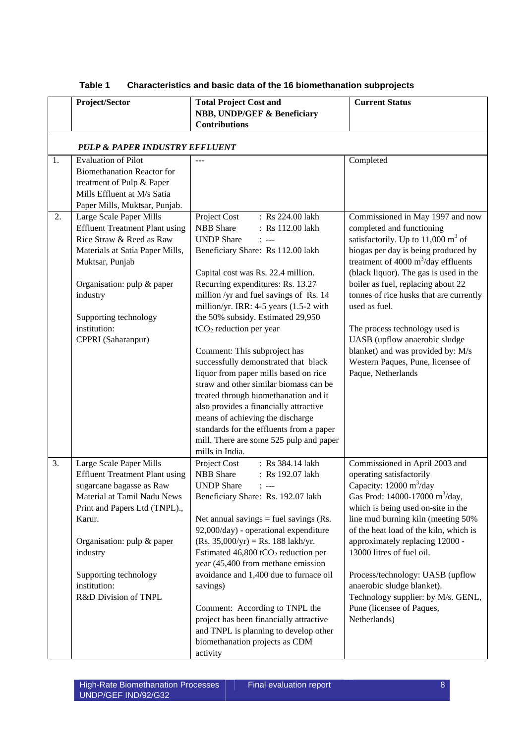|          | Project/Sector                                                                                                                                                                                                                                                                    | <b>Total Project Cost and</b><br>NBB, UNDP/GEF & Beneficiary<br><b>Contributions</b>                                                                                                                                                                                                                                                                                                                                                                                                                                                                                                                                                                                                                                            | <b>Current Status</b>                                                                                                                                                                                                                                                                                                                                                                                                                                                                           |
|----------|-----------------------------------------------------------------------------------------------------------------------------------------------------------------------------------------------------------------------------------------------------------------------------------|---------------------------------------------------------------------------------------------------------------------------------------------------------------------------------------------------------------------------------------------------------------------------------------------------------------------------------------------------------------------------------------------------------------------------------------------------------------------------------------------------------------------------------------------------------------------------------------------------------------------------------------------------------------------------------------------------------------------------------|-------------------------------------------------------------------------------------------------------------------------------------------------------------------------------------------------------------------------------------------------------------------------------------------------------------------------------------------------------------------------------------------------------------------------------------------------------------------------------------------------|
|          | <b>PULP &amp; PAPER INDUSTRY EFFLUENT</b>                                                                                                                                                                                                                                         |                                                                                                                                                                                                                                                                                                                                                                                                                                                                                                                                                                                                                                                                                                                                 |                                                                                                                                                                                                                                                                                                                                                                                                                                                                                                 |
| 1.<br>2. | <b>Evaluation of Pilot</b><br><b>Biomethanation Reactor for</b><br>treatment of Pulp & Paper<br>Mills Effluent at M/s Satia<br>Paper Mills, Muktsar, Punjab.<br>Large Scale Paper Mills                                                                                           | Project Cost<br>: Rs 224.00 lakh                                                                                                                                                                                                                                                                                                                                                                                                                                                                                                                                                                                                                                                                                                | Completed<br>Commissioned in May 1997 and now                                                                                                                                                                                                                                                                                                                                                                                                                                                   |
|          | <b>Effluent Treatment Plant using</b><br>Rice Straw & Reed as Raw<br>Materials at Satia Paper Mills,<br>Muktsar, Punjab<br>Organisation: pulp & paper<br>industry<br>Supporting technology<br>institution:<br>CPPRI (Saharanpur)                                                  | NBB Share<br>: Rs 112.00 lakh<br><b>UNDP Share</b><br>$1 - -$<br>Beneficiary Share: Rs 112.00 lakh<br>Capital cost was Rs. 22.4 million.<br>Recurring expenditures: Rs. 13.27<br>million /yr and fuel savings of Rs. 14<br>million/yr. IRR: 4-5 years (1.5-2 with<br>the 50% subsidy. Estimated 29,950<br>$tCO2$ reduction per year<br>Comment: This subproject has<br>successfully demonstrated that black<br>liquor from paper mills based on rice<br>straw and other similar biomass can be<br>treated through biomethanation and it<br>also provides a financially attractive<br>means of achieving the discharge<br>standards for the effluents from a paper<br>mill. There are some 525 pulp and paper<br>mills in India. | completed and functioning<br>satisfactorily. Up to $11,000 \text{ m}^3$ of<br>biogas per day is being produced by<br>treatment of 4000 $\text{m}^3/\text{day}$ effluents<br>(black liquor). The gas is used in the<br>boiler as fuel, replacing about 22<br>tonnes of rice husks that are currently<br>used as fuel.<br>The process technology used is<br>UASB (upflow anaerobic sludge<br>blanket) and was provided by: M/s<br>Western Paques, Pune, licensee of<br>Paque, Netherlands         |
| 3.       | Large Scale Paper Mills<br><b>Effluent Treatment Plant using</b><br>sugarcane bagasse as Raw<br>Material at Tamil Nadu News<br>Print and Papers Ltd (TNPL).,<br>Karur.<br>Organisation: pulp & paper<br>industry<br>Supporting technology<br>institution:<br>R&D Division of TNPL | : Rs 384.14 lakh<br>Project Cost<br><b>NBB</b> Share<br>: Rs 192.07 lakh<br><b>UNDP Share</b><br>$1 - - -$<br>Beneficiary Share: Rs. 192.07 lakh<br>Net annual savings $=$ fuel savings (Rs.<br>92,000/day) - operational expenditure<br>$(Rs. 35,000/yr) = Rs. 188 lakh/yr.$<br>Estimated $46,800$ tCO <sub>2</sub> reduction per<br>year (45,400 from methane emission<br>avoidance and 1,400 due to furnace oil<br>savings)<br>Comment: According to TNPL the<br>project has been financially attractive<br>and TNPL is planning to develop other<br>biomethanation projects as CDM<br>activity                                                                                                                              | Commissioned in April 2003 and<br>operating satisfactorily<br>Capacity: $12000 \text{ m}^3/\text{day}$<br>Gas Prod: 14000-17000 m <sup>3</sup> /day,<br>which is being used on-site in the<br>line mud burning kiln (meeting 50%<br>of the heat load of the kiln, which is<br>approximately replacing 12000 -<br>13000 litres of fuel oil.<br>Process/technology: UASB (upflow<br>anaerobic sludge blanket).<br>Technology supplier: by M/s. GENL,<br>Pune (licensee of Paques,<br>Netherlands) |

## **Table 1 Characteristics and basic data of the 16 biomethanation subprojects**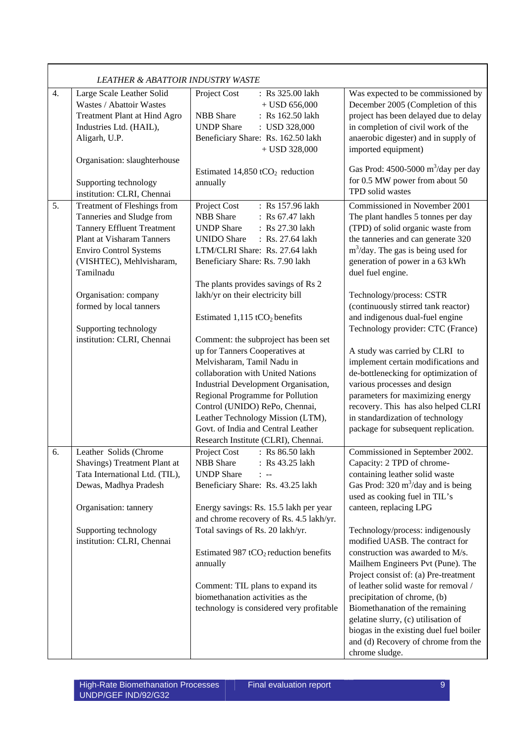|    | <b>LEATHER &amp; ABATTOIR INDUSTRY WASTE</b> |                                                   |                                                                                       |
|----|----------------------------------------------|---------------------------------------------------|---------------------------------------------------------------------------------------|
| 4. | Large Scale Leather Solid                    | Project Cost<br>: Rs 325.00 lakh                  | Was expected to be commissioned by                                                    |
|    | Wastes / Abattoir Wastes                     | $+$ USD 656,000                                   | December 2005 (Completion of this                                                     |
|    | Treatment Plant at Hind Agro                 | <b>NBB</b> Share<br>: Rs 162.50 lakh              | project has been delayed due to delay                                                 |
|    | Industries Ltd. (HAIL),                      | <b>UNDP</b> Share<br>: USD 328,000                | in completion of civil work of the                                                    |
|    | Aligarh, U.P.                                | Beneficiary Share: Rs. 162.50 lakh                | anaerobic digester) and in supply of                                                  |
|    |                                              | $+$ USD 328,000                                   | imported equipment)                                                                   |
|    | Organisation: slaughterhouse                 |                                                   |                                                                                       |
|    |                                              | Estimated $14,850$ tCO <sub>2</sub> reduction     | Gas Prod: 4500-5000 $m^3$ /day per day                                                |
|    | Supporting technology                        | annually                                          | for 0.5 MW power from about 50                                                        |
|    | institution: CLRI, Chennai                   |                                                   | TPD solid wastes                                                                      |
| 5. | Treatment of Fleshings from                  | Project Cost<br>: Rs 157.96 lakh                  | Commissioned in November 2001                                                         |
|    | Tanneries and Sludge from                    | <b>NBB</b> Share<br>: Rs 67.47 lakh               | The plant handles 5 tonnes per day                                                    |
|    | <b>Tannery Effluent Treatment</b>            | <b>UNDP Share</b><br>: Rs 27.30 lakh              | (TPD) of solid organic waste from                                                     |
|    | <b>Plant at Visharam Tanners</b>             | <b>UNIDO Share</b><br>: Rs. 27.64 lakh            | the tanneries and can generate 320                                                    |
|    | <b>Enviro Control Systems</b>                | LTM/CLRI Share: Rs. 27.64 lakh                    | $m3/day$ . The gas is being used for                                                  |
|    | (VISHTEC), Mehlvisharam,                     | Beneficiary Share: Rs. 7.90 lakh                  |                                                                                       |
|    | Tamilnadu                                    |                                                   | generation of power in a 63 kWh<br>duel fuel engine.                                  |
|    |                                              |                                                   |                                                                                       |
|    |                                              | The plants provides savings of Rs 2               |                                                                                       |
|    | Organisation: company                        | lakh/yr on their electricity bill                 | Technology/process: CSTR                                                              |
|    | formed by local tanners                      |                                                   | (continuously stirred tank reactor)                                                   |
|    |                                              | Estimated $1,115$ tCO <sub>2</sub> benefits       | and indigenous dual-fuel engine                                                       |
|    | Supporting technology                        |                                                   | Technology provider: CTC (France)                                                     |
|    | institution: CLRI, Chennai                   | Comment: the subproject has been set              |                                                                                       |
|    |                                              | up for Tanners Cooperatives at                    | A study was carried by CLRI to                                                        |
|    |                                              | Melvisharam, Tamil Nadu in                        | implement certain modifications and                                                   |
|    |                                              | collaboration with United Nations                 | de-bottlenecking for optimization of                                                  |
|    |                                              | Industrial Development Organisation,              | various processes and design                                                          |
|    |                                              | Regional Programme for Pollution                  | parameters for maximizing energy                                                      |
|    |                                              | Control (UNIDO) RePo, Chennai,                    | recovery. This has also helped CLRI                                                   |
|    |                                              | Leather Technology Mission (LTM),                 | in standardization of technology                                                      |
|    |                                              | Govt. of India and Central Leather                | package for subsequent replication.                                                   |
|    |                                              | Research Institute (CLRI), Chennai.               |                                                                                       |
| 6. | Leather Solids (Chrome                       | Project Cost<br>: Rs 86.50 lakh                   | Commissioned in September 2002.<br>Capacity: 2 TPD of chrome-                         |
|    | Shavings) Treatment Plant at                 | <b>NBB</b> Share<br>: Rs 43.25 lakh               |                                                                                       |
|    | Tata International Ltd. (TIL),               | <b>UNDP</b> Share<br>.                            | containing leather solid waste<br>Gas Prod: $320 \text{ m}^3/\text{day}$ and is being |
|    | Dewas, Madhya Pradesh                        | Beneficiary Share: Rs. 43.25 lakh                 |                                                                                       |
|    |                                              |                                                   | used as cooking fuel in TIL's                                                         |
|    | Organisation: tannery                        | Energy savings: Rs. 15.5 lakh per year            | canteen, replacing LPG                                                                |
|    |                                              | and chrome recovery of Rs. 4.5 lakh/yr.           |                                                                                       |
|    | Supporting technology                        | Total savings of Rs. 20 lakh/yr.                  | Technology/process: indigenously                                                      |
|    | institution: CLRI, Chennai                   |                                                   | modified UASB. The contract for                                                       |
|    |                                              | Estimated 987 tCO <sub>2</sub> reduction benefits | construction was awarded to M/s.                                                      |
|    |                                              | annually                                          | Mailhem Engineers Pvt (Pune). The                                                     |
|    |                                              |                                                   | Project consist of: (a) Pre-treatment                                                 |
|    |                                              | Comment: TIL plans to expand its                  | of leather solid waste for removal /                                                  |
|    |                                              | biomethanation activities as the                  | precipitation of chrome, (b)                                                          |
|    |                                              | technology is considered very profitable          | Biomethanation of the remaining                                                       |
|    |                                              |                                                   | gelatine slurry, (c) utilisation of                                                   |
|    |                                              |                                                   | biogas in the existing duel fuel boiler                                               |
|    |                                              |                                                   | and (d) Recovery of chrome from the                                                   |
|    |                                              |                                                   | chrome sludge.                                                                        |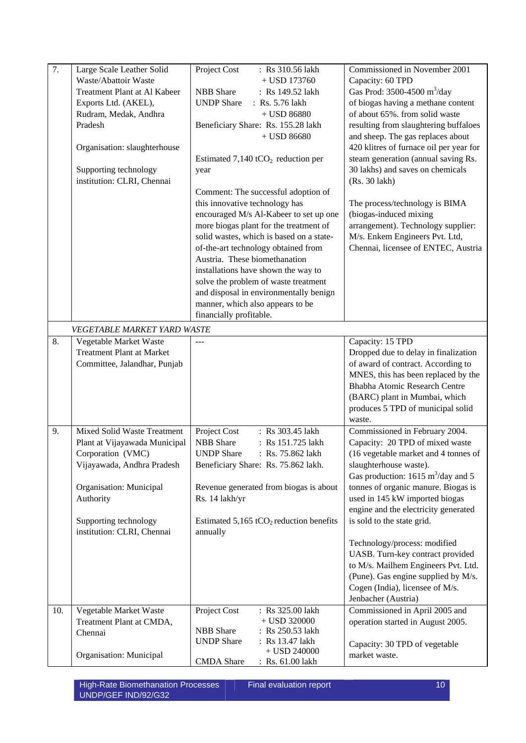| 7.  | Large Scale Leather Solid<br>Waste/Abattoir Waste<br>Treatment Plant at Al Kabeer<br>Exports Ltd. (AKEL),<br>Rudram, Medak, Andhra<br>Pradesh<br>Organisation: slaughterhouse<br>Supporting technology<br>institution: CLRI, Chennai | Project Cost<br>: Rs 310.56 lakh<br>$+$ USD 173760<br><b>NBB</b> Share<br>: Rs 149.52 lakh<br><b>UNDP</b> Share<br>: Rs. 5.76 lakh<br>$+$ USD 86880<br>Beneficiary Share: Rs. 155.28 lakh<br>$+$ USD 86680<br>Estimated $7,140$ tCO <sub>2</sub> reduction per<br>year<br>Comment: The successful adoption of<br>this innovative technology has<br>encouraged M/s Al-Kabeer to set up one<br>more biogas plant for the treatment of<br>solid wastes, which is based on a state-<br>of-the-art technology obtained from<br>Austria. These biomethanation<br>installations have shown the way to<br>solve the problem of waste treatment<br>and disposal in environmentally benign<br>manner, which also appears to be<br>financially profitable. | Commissioned in November 2001<br>Capacity: 60 TPD<br>Gas Prod: 3500-4500 m <sup>3</sup> /day<br>of biogas having a methane content<br>of about 65%. from solid waste<br>resulting from slaughtering buffaloes<br>and sheep. The gas replaces about<br>420 klitres of furnace oil per year for<br>steam generation (annual saving Rs.<br>30 lakhs) and saves on chemicals<br>(Rs. 30 lakh)<br>The process/technology is BIMA<br>(biogas-induced mixing<br>arrangement). Technology supplier:<br>M/s. Enkem Engineers Pvt. Ltd,<br>Chennai, licensee of ENTEC, Austria |
|-----|--------------------------------------------------------------------------------------------------------------------------------------------------------------------------------------------------------------------------------------|-------------------------------------------------------------------------------------------------------------------------------------------------------------------------------------------------------------------------------------------------------------------------------------------------------------------------------------------------------------------------------------------------------------------------------------------------------------------------------------------------------------------------------------------------------------------------------------------------------------------------------------------------------------------------------------------------------------------------------------------------|----------------------------------------------------------------------------------------------------------------------------------------------------------------------------------------------------------------------------------------------------------------------------------------------------------------------------------------------------------------------------------------------------------------------------------------------------------------------------------------------------------------------------------------------------------------------|
|     | VEGETABLE MARKET YARD WASTE                                                                                                                                                                                                          |                                                                                                                                                                                                                                                                                                                                                                                                                                                                                                                                                                                                                                                                                                                                                 |                                                                                                                                                                                                                                                                                                                                                                                                                                                                                                                                                                      |
| 8.  | Vegetable Market Waste<br><b>Treatment Plant at Market</b><br>Committee, Jalandhar, Punjab                                                                                                                                           |                                                                                                                                                                                                                                                                                                                                                                                                                                                                                                                                                                                                                                                                                                                                                 | Capacity: 15 TPD<br>Dropped due to delay in finalization<br>of award of contract. According to<br>MNES, this has been replaced by the<br>Bhabha Atomic Research Centre<br>(BARC) plant in Mumbai, which<br>produces 5 TPD of municipal solid<br>waste.                                                                                                                                                                                                                                                                                                               |
| 9.  | <b>Mixed Solid Waste Treatment</b><br>Plant at Vijayawada Municipal<br>Corporation (VMC)<br>Vijayawada, Andhra Pradesh<br>Organisation: Municipal<br>Authority<br>Supporting technology<br>institution: CLRI, Chennai                | Project Cost<br>: Rs 303.45 lakh<br><b>NBB</b> Share<br>: Rs 151.725 lakh<br><b>UNDP</b> Share<br>: Rs. 75.862 lakh<br>Beneficiary Share: Rs. 75.862 lakh.<br>Revenue generated from biogas is about<br>Rs. 14 lakh/yr<br>Estimated $5,165$ tCO <sub>2</sub> reduction benefits<br>annually                                                                                                                                                                                                                                                                                                                                                                                                                                                     | Commissioned in February 2004.<br>Capacity: 20 TPD of mixed waste<br>(16 vegetable market and 4 tonnes of<br>slaughterhouse waste).<br>Gas production: $1615 \text{ m}^3/\text{day}$ and 5<br>tonnes of organic manure. Biogas is<br>used in 145 kW imported biogas<br>engine and the electricity generated<br>is sold to the state grid.<br>Technology/process: modified<br>UASB. Turn-key contract provided<br>to M/s. Mailhem Engineers Pvt. Ltd.<br>(Pune). Gas engine supplied by M/s.<br>Cogen (India), licensee of M/s.<br>Jenbacher (Austria)                |
| 10. | Vegetable Market Waste<br>Treatment Plant at CMDA,<br>Chennai<br>Organisation: Municipal                                                                                                                                             | : Rs 325.00 lakh<br>Project Cost<br>$+$ USD 320000<br><b>NBB</b> Share<br>: Rs 250.53 lakh<br><b>UNDP</b> Share<br>: Rs 13.47 lakh<br>$+$ USD 240000<br><b>CMDA</b> Share<br>: Rs. 61.00 lakh                                                                                                                                                                                                                                                                                                                                                                                                                                                                                                                                                   | Commissioned in April 2005 and<br>operation started in August 2005.<br>Capacity: 30 TPD of vegetable<br>market waste.                                                                                                                                                                                                                                                                                                                                                                                                                                                |

Final evaluation report 10 and 10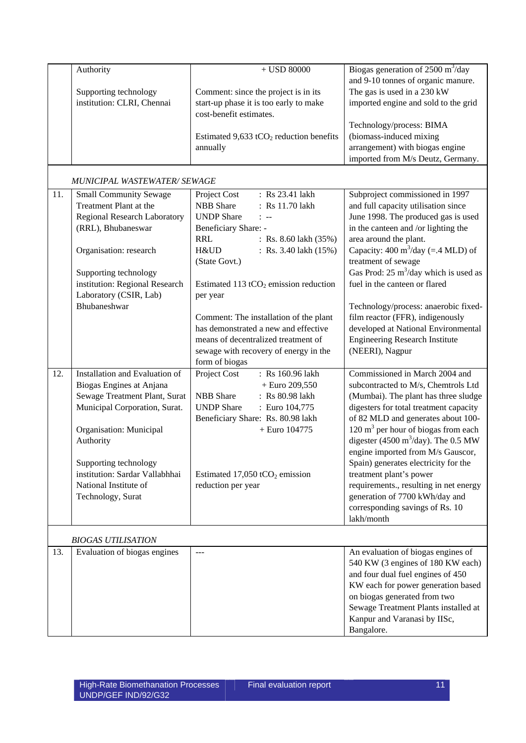|     | Authority                      | $+$ USD $80000\,$                                   | Biogas generation of $2500 \text{ m}^3/\text{day}$     |
|-----|--------------------------------|-----------------------------------------------------|--------------------------------------------------------|
|     |                                |                                                     | and 9-10 tonnes of organic manure.                     |
|     | Supporting technology          | Comment: since the project is in its                | The gas is used in a 230 kW                            |
|     | institution: CLRI, Chennai     | start-up phase it is too early to make              | imported engine and sold to the grid                   |
|     |                                | cost-benefit estimates.                             |                                                        |
|     |                                |                                                     | Technology/process: BIMA                               |
|     |                                | Estimated 9,633 tCO <sub>2</sub> reduction benefits | (biomass-induced mixing                                |
|     |                                | annually                                            | arrangement) with biogas engine                        |
|     |                                |                                                     | imported from M/s Deutz, Germany.                      |
|     | MUNICIPAL WASTEWATER/ SEWAGE   |                                                     |                                                        |
| 11. | <b>Small Community Sewage</b>  | : Rs 23.41 lakh<br>Project Cost                     | Subproject commissioned in 1997                        |
|     | Treatment Plant at the         | <b>NBB</b> Share<br>: Rs 11.70 lakh                 | and full capacity utilisation since                    |
|     | Regional Research Laboratory   | <b>UNDP</b> Share<br>$1 - -$                        | June 1998. The produced gas is used                    |
|     | (RRL), Bhubaneswar             | Beneficiary Share: -                                | in the canteen and /or lighting the                    |
|     |                                | <b>RRL</b><br>: Rs. 8.60 lakh (35%)                 | area around the plant.                                 |
|     | Organisation: research         | H&UD<br>: Rs. 3.40 lakh (15%)                       | Capacity: 400 m <sup>3</sup> /day (=.4 MLD) of         |
|     |                                | (State Govt.)                                       | treatment of sewage                                    |
|     | Supporting technology          |                                                     | Gas Prod: $25 \text{ m}^3/\text{day}$ which is used as |
|     | institution: Regional Research | Estimated 113 tCO <sub>2</sub> emission reduction   | fuel in the canteen or flared                          |
|     | Laboratory (CSIR, Lab)         | per year                                            |                                                        |
|     | Bhubaneshwar                   |                                                     | Technology/process: anaerobic fixed-                   |
|     |                                | Comment: The installation of the plant              | film reactor (FFR), indigenously                       |
|     |                                | has demonstrated a new and effective                | developed at National Environmental                    |
|     |                                | means of decentralized treatment of                 | <b>Engineering Research Institute</b>                  |
|     |                                | sewage with recovery of energy in the               | (NEERI), Nagpur                                        |
|     |                                | form of biogas                                      |                                                        |
| 12. | Installation and Evaluation of | Project Cost<br>: Rs 160.96 lakh                    | Commissioned in March 2004 and                         |
|     | Biogas Engines at Anjana       | $+$ Euro 209,550                                    | subcontracted to M/s, Chemtrols Ltd                    |
|     | Sewage Treatment Plant, Surat  | <b>NBB</b> Share<br>: Rs 80.98 lakh                 | (Mumbai). The plant has three sludge                   |
|     | Municipal Corporation, Surat.  | <b>UNDP</b> Share<br>: Euro 104,775                 | digesters for total treatment capacity                 |
|     |                                | Beneficiary Share: Rs. 80.98 lakh                   | of 82 MLD and generates about 100-                     |
|     | Organisation: Municipal        | + Euro 104775                                       | $120 \text{ m}^3$ per hour of biogas from each         |
|     | Authority                      |                                                     | digester (4500 m <sup>3</sup> /day). The 0.5 MW        |
|     |                                |                                                     | engine imported from M/s Gauscor,                      |
|     | Supporting technology          |                                                     | Spain) generates electricity for the                   |
|     | institution: Sardar Vallabhhai | Estimated 17,050 tCO <sub>2</sub> emission          | treatment plant's power                                |
|     | National Institute of          | reduction per year                                  | requirements., resulting in net energy                 |
|     | Technology, Surat              |                                                     | generation of 7700 kWh/day and                         |
|     |                                |                                                     | corresponding savings of Rs. 10                        |
|     |                                |                                                     | lakh/month                                             |
|     | <b>BIOGAS UTILISATION</b>      |                                                     |                                                        |
| 13. | Evaluation of biogas engines   | $ -$                                                | An evaluation of biogas engines of                     |
|     |                                |                                                     | 540 KW (3 engines of 180 KW each)                      |
|     |                                |                                                     | and four dual fuel engines of 450                      |
|     |                                |                                                     | KW each for power generation based                     |
|     |                                |                                                     | on biogas generated from two                           |
|     |                                |                                                     | Sewage Treatment Plants installed at                   |
|     |                                |                                                     | Kanpur and Varanasi by IISc,                           |
|     |                                |                                                     | Bangalore.                                             |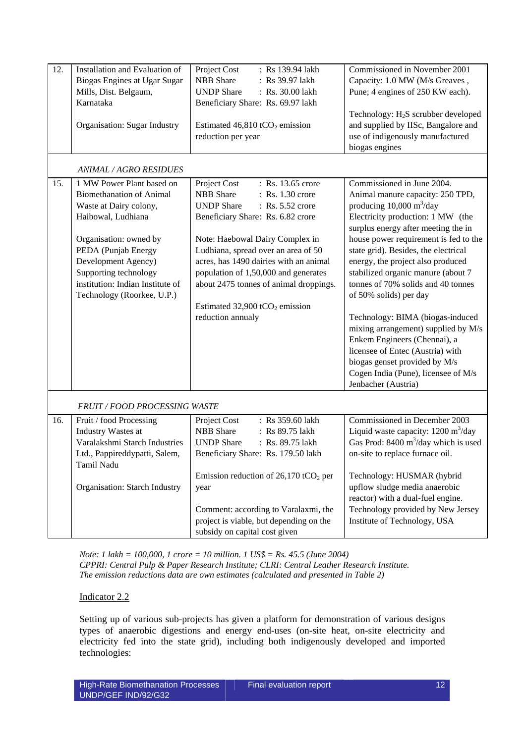| 12. | Installation and Evaluation of<br>Biogas Engines at Ugar Sugar<br>Mills, Dist. Belgaum,<br>Karnataka<br>Organisation: Sugar Industry<br><b>ANIMAL/AGRO RESIDUES</b>                                                                                                             | Project Cost<br>: Rs 139.94 lakh<br><b>NBB</b> Share<br>: Rs 39.97 lakh<br><b>UNDP</b> Share<br>: Rs. 30.00 lakh<br>Beneficiary Share: Rs. 69.97 lakh<br>Estimated $46,810$ tCO <sub>2</sub> emission<br>reduction per year                                                                                                                                                                                                        | Commissioned in November 2001<br>Capacity: 1.0 MW (M/s Greaves,<br>Pune; 4 engines of 250 KW each).<br>Technology: H <sub>2</sub> S scrubber developed<br>and supplied by IISc, Bangalore and<br>use of indigenously manufactured<br>biogas engines                                                                                                                                                                                                                                                                                                                                                                                                               |
|-----|---------------------------------------------------------------------------------------------------------------------------------------------------------------------------------------------------------------------------------------------------------------------------------|------------------------------------------------------------------------------------------------------------------------------------------------------------------------------------------------------------------------------------------------------------------------------------------------------------------------------------------------------------------------------------------------------------------------------------|-------------------------------------------------------------------------------------------------------------------------------------------------------------------------------------------------------------------------------------------------------------------------------------------------------------------------------------------------------------------------------------------------------------------------------------------------------------------------------------------------------------------------------------------------------------------------------------------------------------------------------------------------------------------|
| 15. | 1 MW Power Plant based on<br><b>Biomethanation of Animal</b><br>Waste at Dairy colony,<br>Haibowal, Ludhiana<br>Organisation: owned by<br>PEDA (Punjab Energy<br>Development Agency)<br>Supporting technology<br>institution: Indian Institute of<br>Technology (Roorkee, U.P.) | : Rs. 13.65 crore<br>Project Cost<br><b>NBB</b> Share<br>: Rs. 1.30 crore<br>: Rs. 5.52 crore<br><b>UNDP</b> Share<br>Beneficiary Share: Rs. 6.82 crore<br>Note: Haebowal Dairy Complex in<br>Ludhiana, spread over an area of 50<br>acres, has 1490 dairies with an animal<br>population of 1,50,000 and generates<br>about 2475 tonnes of animal droppings.<br>Estimated $32,900$ tCO <sub>2</sub> emission<br>reduction annualy | Commissioned in June 2004.<br>Animal manure capacity: 250 TPD,<br>producing $10,000 \text{ m}^3/\text{day}$<br>Electricity production: 1 MW (the<br>surplus energy after meeting the in<br>house power requirement is fed to the<br>state grid). Besides, the electrical<br>energy, the project also produced<br>stabilized organic manure (about 7<br>tonnes of 70% solids and 40 tonnes<br>of 50% solids) per day<br>Technology: BIMA (biogas-induced<br>mixing arrangement) supplied by M/s<br>Enkem Engineers (Chennai), a<br>licensee of Entec (Austria) with<br>biogas genset provided by M/s<br>Cogen India (Pune), licensee of M/s<br>Jenbacher (Austria) |
|     | FRUIT / FOOD PROCESSING WASTE                                                                                                                                                                                                                                                   |                                                                                                                                                                                                                                                                                                                                                                                                                                    |                                                                                                                                                                                                                                                                                                                                                                                                                                                                                                                                                                                                                                                                   |
| 16. | Fruit / food Processing<br>Industry Wastes at<br>Varalakshmi Starch Industries<br>Ltd., Pappireddypatti, Salem,<br>Tamil Nadu<br>Organisation: Starch Industry                                                                                                                  | : Rs 359.60 lakh<br>Project Cost<br><b>NBB</b> Share<br>: Rs 89.75 lakh<br><b>UNDP</b> Share<br>: Rs. 89.75 lakh<br>Beneficiary Share: Rs. 179.50 lakh<br>Emission reduction of $26,170$ tCO <sub>2</sub> per<br>year<br>Comment: according to Varalaxmi, the                                                                                                                                                                      | Commissioned in December 2003<br>Liquid waste capacity: $1200 \text{ m}^3/\text{day}$<br>Gas Prod: $8400 \text{ m}^3/\text{day}$ which is used<br>on-site to replace furnace oil.<br>Technology: HUSMAR (hybrid<br>upflow sludge media anaerobic<br>reactor) with a dual-fuel engine.<br>Technology provided by New Jersey                                                                                                                                                                                                                                                                                                                                        |
|     |                                                                                                                                                                                                                                                                                 | project is viable, but depending on the<br>subsidy on capital cost given                                                                                                                                                                                                                                                                                                                                                           | Institute of Technology, USA                                                                                                                                                                                                                                                                                                                                                                                                                                                                                                                                                                                                                                      |

*Note: 1 lakh = 100,000, 1 crore = 10 million. 1 US\$ = Rs. 45.5 (June 2004) CPPRI: Central Pulp & Paper Research Institute; CLRI: Central Leather Research Institute. The emission reductions data are own estimates (calculated and presented in Table 2)* 

#### Indicator 2.2

Setting up of various sub-projects has given a platform for demonstration of various designs types of anaerobic digestions and energy end-uses (on-site heat, on-site electricity and electricity fed into the state grid), including both indigenously developed and imported technologies: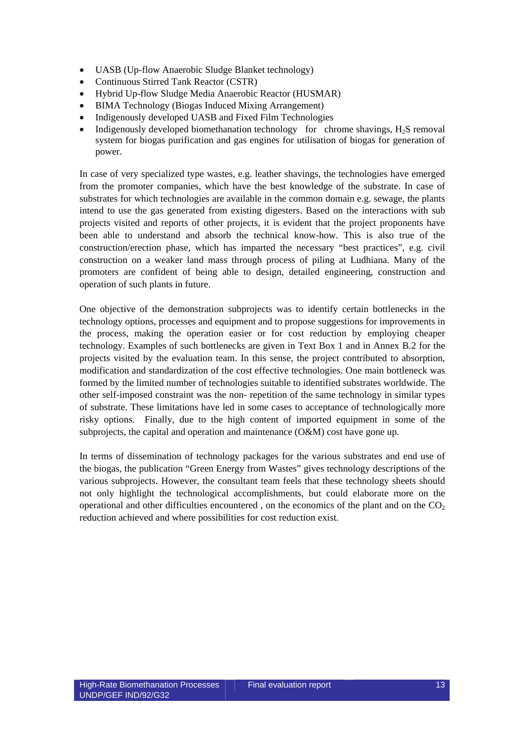- UASB (Up-flow Anaerobic Sludge Blanket technology)
- Continuous Stirred Tank Reactor (CSTR)
- Hybrid Up-flow Sludge Media Anaerobic Reactor (HUSMAR)
- BIMA Technology (Biogas Induced Mixing Arrangement)
- Indigenously developed UASB and Fixed Film Technologies
- Indigenously developed biomethanation technology for chrome shavings,  $H_2S$  removal system for biogas purification and gas engines for utilisation of biogas for generation of power.

In case of very specialized type wastes, e.g. leather shavings, the technologies have emerged from the promoter companies, which have the best knowledge of the substrate. In case of substrates for which technologies are available in the common domain e.g. sewage, the plants intend to use the gas generated from existing digesters. Based on the interactions with sub projects visited and reports of other projects, it is evident that the project proponents have been able to understand and absorb the technical know-how. This is also true of the construction/erection phase, which has imparted the necessary "best practices", e.g. civil construction on a weaker land mass through process of piling at Ludhiana. Many of the promoters are confident of being able to design, detailed engineering, construction and operation of such plants in future.

One objective of the demonstration subprojects was to identify certain bottlenecks in the technology options, processes and equipment and to propose suggestions for improvements in the process, making the operation easier or for cost reduction by employing cheaper technology. Examples of such bottlenecks are given in Text Box 1 and in Annex B.2 for the projects visited by the evaluation team. In this sense, the project contributed to absorption, modification and standardization of the cost effective technologies. One main bottleneck was formed by the limited number of technologies suitable to identified substrates worldwide. The other self-imposed constraint was the non- repetition of the same technology in similar types of substrate. These limitations have led in some cases to acceptance of technologically more risky options. Finally, due to the high content of imported equipment in some of the subprojects, the capital and operation and maintenance (O&M) cost have gone up.

In terms of dissemination of technology packages for the various substrates and end use of the biogas, the publication "Green Energy from Wastes" gives technology descriptions of the various subprojects. However, the consultant team feels that these technology sheets should not only highlight the technological accomplishments, but could elaborate more on the operational and other difficulties encountered, on the economics of the plant and on the  $CO<sub>2</sub>$ reduction achieved and where possibilities for cost reduction exist.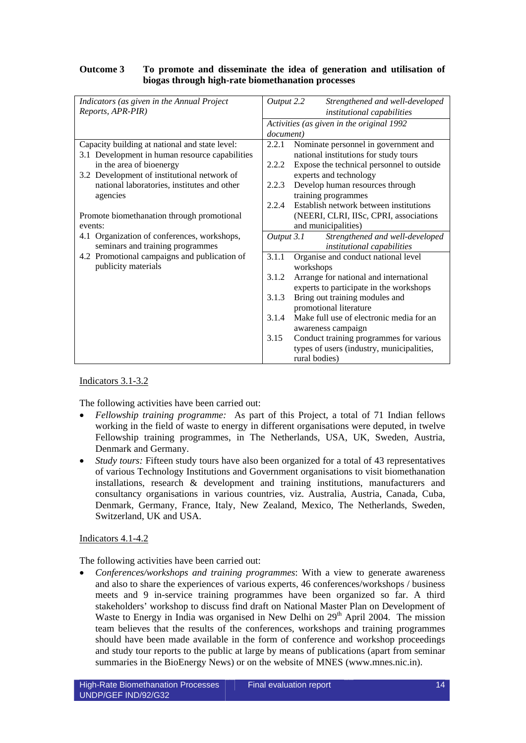| Outcome 3 | To promote and disseminate the idea of generation and utilisation of |
|-----------|----------------------------------------------------------------------|
|           | biogas through high-rate biomethanation processes                    |

| Indicators (as given in the Annual Project     | Output 2.2<br>Strengthened and well-developed      |
|------------------------------------------------|----------------------------------------------------|
| Reports, APR-PIR)                              | institutional capabilities                         |
|                                                | Activities (as given in the original 1992          |
|                                                | document)                                          |
| Capacity building at national and state level: | 2.2.1<br>Nominate personnel in government and      |
| 3.1 Development in human resource capabilities | national institutions for study tours              |
| in the area of bioenergy                       | Expose the technical personnel to outside<br>2.2.2 |
| 3.2 Development of institutional network of    | experts and technology                             |
| national laboratories, institutes and other    | Develop human resources through<br>2.2.3           |
| agencies                                       | training programmes                                |
|                                                | Establish network between institutions<br>2.2.4    |
| Promote biomethanation through promotional     | (NEERI, CLRI, IISc, CPRI, associations             |
| events:                                        | and municipalities)                                |
| 4.1 Organization of conferences, workshops,    | Output 3.1<br>Strengthened and well-developed      |
| seminars and training programmes               | institutional capabilities                         |
| 4.2 Promotional campaigns and publication of   | 3.1.1<br>Organise and conduct national level       |
| publicity materials                            | workshops                                          |
|                                                | 3.1.2<br>Arrange for national and international    |
|                                                | experts to participate in the workshops            |
|                                                | Bring out training modules and<br>3.1.3            |
|                                                | promotional literature                             |
|                                                | Make full use of electronic media for an<br>3.1.4  |
|                                                | awareness campaign                                 |
|                                                | Conduct training programmes for various<br>3.15    |
|                                                | types of users (industry, municipalities,          |
|                                                | rural bodies)                                      |

#### Indicators 3.1-3.2

The following activities have been carried out:

- *Fellowship training programme:* As part of this Project, a total of 71 Indian fellows working in the field of waste to energy in different organisations were deputed, in twelve Fellowship training programmes, in The Netherlands, USA, UK, Sweden, Austria, Denmark and Germany.
- *Study tours:* Fifteen study tours have also been organized for a total of 43 representatives of various Technology Institutions and Government organisations to visit biomethanation installations, research & development and training institutions, manufacturers and consultancy organisations in various countries, viz. Australia, Austria, Canada, Cuba, Denmark, Germany, France, Italy, New Zealand, Mexico, The Netherlands, Sweden, Switzerland, UK and USA.

#### Indicators 4.1-4.2

The following activities have been carried out:

• *Conferences/workshops and training programmes*: With a view to generate awareness and also to share the experiences of various experts, 46 conferences/workshops / business meets and 9 in-service training programmes have been organized so far. A third stakeholders' workshop to discuss find draft on National Master Plan on Development of Waste to Energy in India was organised in New Delhi on 29<sup>th</sup> April 2004. The mission team believes that the results of the conferences, workshops and training programmes should have been made available in the form of conference and workshop proceedings and study tour reports to the public at large by means of publications (apart from seminar summaries in the BioEnergy News) or on the website of MNES (www.mnes.nic.in).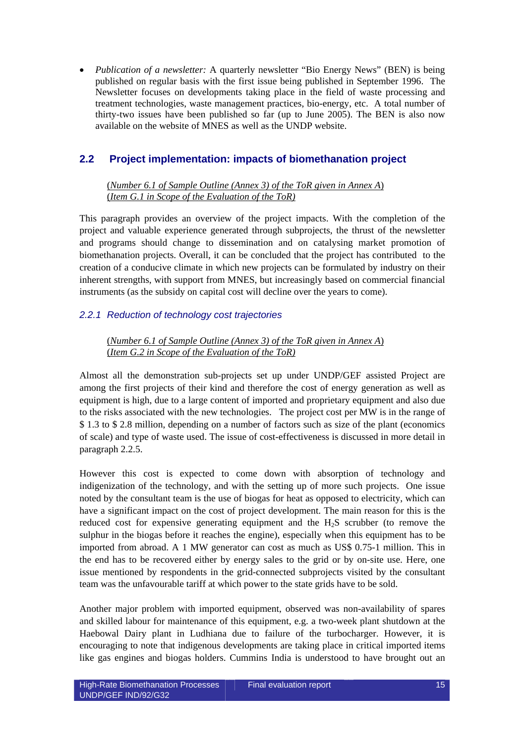• *Publication of a newsletter:* A quarterly newsletter "Bio Energy News" (BEN) is being published on regular basis with the first issue being published in September 1996. The Newsletter focuses on developments taking place in the field of waste processing and treatment technologies, waste management practices, bio-energy, etc. A total number of thirty-two issues have been published so far (up to June 2005). The BEN is also now available on the website of MNES as well as the UNDP website.

## **2.2 Project implementation: impacts of biomethanation project**

(*Number 6.1 of Sample Outline (Annex 3) of the ToR given in Annex A*) (*Item G.1 in Scope of the Evaluation of the ToR)*

This paragraph provides an overview of the project impacts. With the completion of the project and valuable experience generated through subprojects, the thrust of the newsletter and programs should change to dissemination and on catalysing market promotion of biomethanation projects. Overall, it can be concluded that the project has contributed to the creation of a conducive climate in which new projects can be formulated by industry on their inherent strengths, with support from MNES, but increasingly based on commercial financial instruments (as the subsidy on capital cost will decline over the years to come).

## *2.2.1 Reduction of technology cost trajectories*

(*Number 6.1 of Sample Outline (Annex 3) of the ToR given in Annex A*) (*Item G.2 in Scope of the Evaluation of the ToR)*

Almost all the demonstration sub-projects set up under UNDP/GEF assisted Project are among the first projects of their kind and therefore the cost of energy generation as well as equipment is high, due to a large content of imported and proprietary equipment and also due to the risks associated with the new technologies. The project cost per MW is in the range of \$ 1.3 to \$ 2.8 million, depending on a number of factors such as size of the plant (economics of scale) and type of waste used. The issue of cost-effectiveness is discussed in more detail in paragraph 2.2.5.

However this cost is expected to come down with absorption of technology and indigenization of the technology, and with the setting up of more such projects. One issue noted by the consultant team is the use of biogas for heat as opposed to electricity, which can have a significant impact on the cost of project development. The main reason for this is the reduced cost for expensive generating equipment and the H<sub>2</sub>S scrubber (to remove the sulphur in the biogas before it reaches the engine), especially when this equipment has to be imported from abroad. A 1 MW generator can cost as much as US\$ 0.75-1 million. This in the end has to be recovered either by energy sales to the grid or by on-site use. Here, one issue mentioned by respondents in the grid-connected subprojects visited by the consultant team was the unfavourable tariff at which power to the state grids have to be sold.

Another major problem with imported equipment, observed was non-availability of spares and skilled labour for maintenance of this equipment, e.g. a two-week plant shutdown at the Haebowal Dairy plant in Ludhiana due to failure of the turbocharger. However, it is encouraging to note that indigenous developments are taking place in critical imported items like gas engines and biogas holders. Cummins India is understood to have brought out an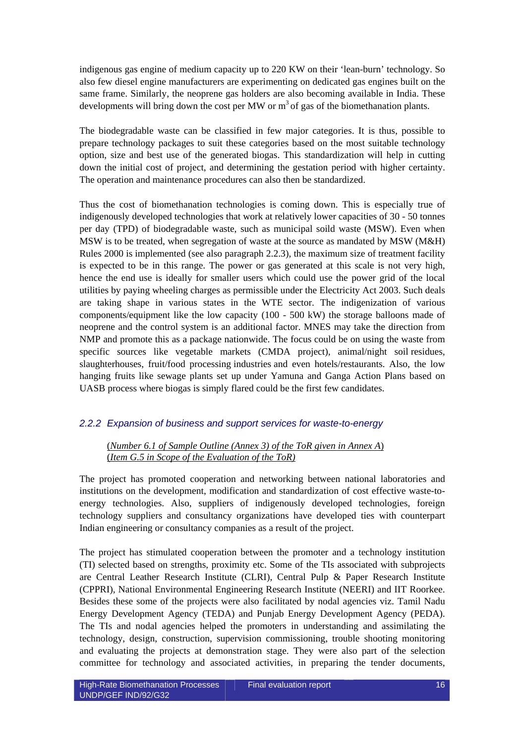indigenous gas engine of medium capacity up to 220 KW on their 'lean-burn' technology. So also few diesel engine manufacturers are experimenting on dedicated gas engines built on the same frame. Similarly, the neoprene gas holders are also becoming available in India. These developments will bring down the cost per MW or  $m<sup>3</sup>$  of gas of the biomethanation plants.

The biodegradable waste can be classified in few major categories. It is thus, possible to prepare technology packages to suit these categories based on the most suitable technology option, size and best use of the generated biogas. This standardization will help in cutting down the initial cost of project, and determining the gestation period with higher certainty. The operation and maintenance procedures can also then be standardized.

Thus the cost of biomethanation technologies is coming down. This is especially true of indigenously developed technologies that work at relatively lower capacities of 30 - 50 tonnes per day (TPD) of biodegradable waste, such as municipal soild waste (MSW). Even when MSW is to be treated, when segregation of waste at the source as mandated by MSW (M&H) Rules 2000 is implemented (see also paragraph 2.2.3), the maximum size of treatment facility is expected to be in this range. The power or gas generated at this scale is not very high, hence the end use is ideally for smaller users which could use the power grid of the local utilities by paying wheeling charges as permissible under the Electricity Act 2003. Such deals are taking shape in various states in the WTE sector. The indigenization of various components/equipment like the low capacity (100 - 500 kW) the storage balloons made of neoprene and the control system is an additional factor. MNES may take the direction from NMP and promote this as a package nationwide. The focus could be on using the waste from specific sources like vegetable markets (CMDA project), animal/night soil residues, slaughterhouses, fruit/food processing industries and even hotels/restaurants. Also, the low hanging fruits like sewage plants set up under Yamuna and Ganga Action Plans based on UASB process where biogas is simply flared could be the first few candidates.

#### *2.2.2 Expansion of business and support services for waste-to-energy*

#### (*Number 6.1 of Sample Outline (Annex 3) of the ToR given in Annex A*) (*Item G.5 in Scope of the Evaluation of the ToR)*

The project has promoted cooperation and networking between national laboratories and institutions on the development, modification and standardization of cost effective waste-toenergy technologies. Also, suppliers of indigenously developed technologies, foreign technology suppliers and consultancy organizations have developed ties with counterpart Indian engineering or consultancy companies as a result of the project.

The project has stimulated cooperation between the promoter and a technology institution (TI) selected based on strengths, proximity etc. Some of the TIs associated with subprojects are Central Leather Research Institute (CLRI), Central Pulp & Paper Research Institute (CPPRI), National Environmental Engineering Research Institute (NEERI) and IIT Roorkee. Besides these some of the projects were also facilitated by nodal agencies viz. Tamil Nadu Energy Development Agency (TEDA) and Punjab Energy Development Agency (PEDA). The TIs and nodal agencies helped the promoters in understanding and assimilating the technology, design, construction, supervision commissioning, trouble shooting monitoring and evaluating the projects at demonstration stage. They were also part of the selection committee for technology and associated activities, in preparing the tender documents,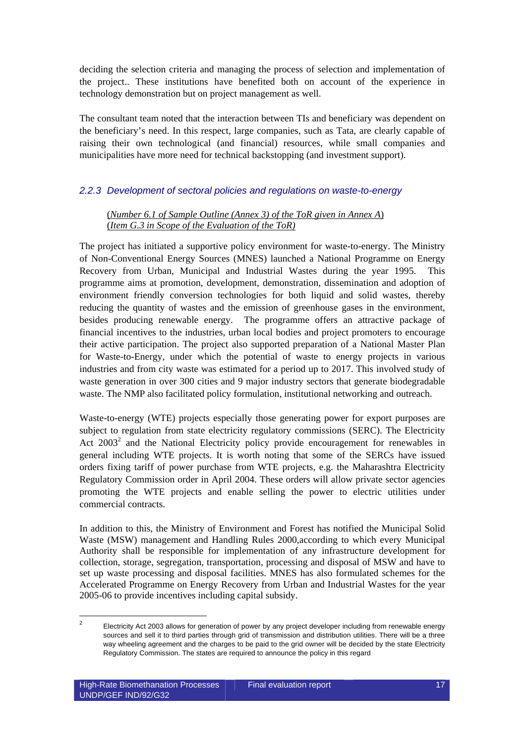deciding the selection criteria and managing the process of selection and implementation of the project.. These institutions have benefited both on account of the experience in technology demonstration but on project management as well.

The consultant team noted that the interaction between TIs and beneficiary was dependent on the beneficiary's need. In this respect, large companies, such as Tata, are clearly capable of raising their own technological (and financial) resources, while small companies and municipalities have more need for technical backstopping (and investment support).

## *2.2.3 Development of sectoral policies and regulations on waste-to-energy*

## (*Number 6.1 of Sample Outline (Annex 3) of the ToR given in Annex A*) (*Item G.3 in Scope of the Evaluation of the ToR)*

The project has initiated a supportive policy environment for waste-to-energy. The Ministry of Non-Conventional Energy Sources (MNES) launched a National Programme on Energy Recovery from Urban, Municipal and Industrial Wastes during the year 1995. This programme aims at promotion, development, demonstration, dissemination and adoption of environment friendly conversion technologies for both liquid and solid wastes, thereby reducing the quantity of wastes and the emission of greenhouse gases in the environment, besides producing renewable energy. The programme offers an attractive package of financial incentives to the industries, urban local bodies and project promoters to encourage their active participation. The project also supported preparation of a National Master Plan for Waste-to-Energy, under which the potential of waste to energy projects in various industries and from city waste was estimated for a period up to 2017. This involved study of waste generation in over 300 cities and 9 major industry sectors that generate biodegradable waste. The NMP also facilitated policy formulation, institutional networking and outreach.

Waste-to-energy (WTE) projects especially those generating power for export purposes are subject to regulation from state electricity regulatory commissions (SERC). The Electricity Act  $2003<sup>2</sup>$  and the National Electricity policy provide encouragement for renewables in general including WTE projects. It is worth noting that some of the SERCs have issued orders fixing tariff of power purchase from WTE projects, e.g. the Maharashtra Electricity Regulatory Commission order in April 2004. These orders will allow private sector agencies promoting the WTE projects and enable selling the power to electric utilities under commercial contracts.

In addition to this, the Ministry of Environment and Forest has notified the Municipal Solid Waste (MSW) management and Handling Rules 2000, according to which every Municipal Authority shall be responsible for implementation of any infrastructure development for collection, storage, segregation, transportation, processing and disposal of MSW and have to set up waste processing and disposal facilities. MNES has also formulated schemes for the Accelerated Programme on Energy Recovery from Urban and Industrial Wastes for the year 2005-06 to provide incentives including capital subsidy.

 $\frac{1}{2}$  Electricity Act 2003 allows for generation of power by any project developer including from renewable energy sources and sell it to third parties through grid of transmission and distribution utilities. There will be a three way wheeling agreement and the charges to be paid to the grid owner will be decided by the state Electricity Regulatory Commission. The states are required to announce the policy in this regard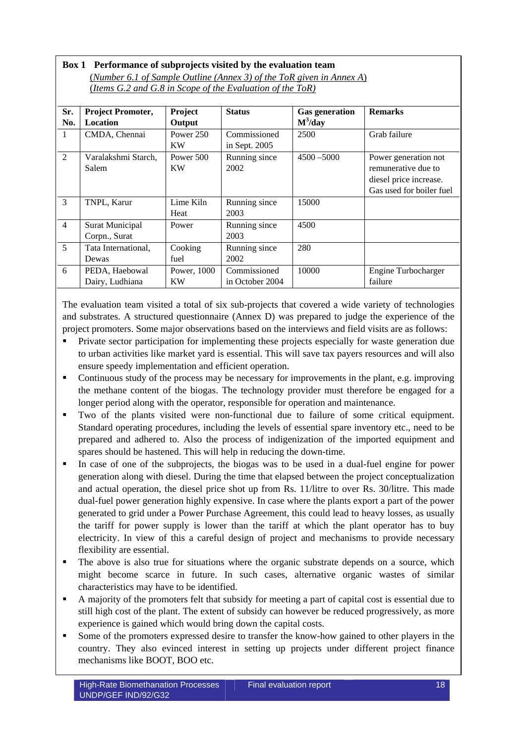**Box 1 Performance of subprojects visited by the evaluation team**  (*Number 6.1 of Sample Outline (Annex 3) of the ToR given in Annex A*) (*Items G.2 and G.8 in Scope of the Evaluation of the ToR)*

| Sr.            | <b>Project Promoter,</b> | Project     | <b>Status</b>   | <b>Gas generation</b> | <b>Remarks</b>           |
|----------------|--------------------------|-------------|-----------------|-----------------------|--------------------------|
| No.            | <b>Location</b>          | Output      |                 | $M^3$ /day            |                          |
| -1             | CMDA, Chennai            | Power 250   | Commissioned    | 2500                  | Grab failure             |
|                |                          | KW          | in Sept. 2005   |                       |                          |
| 2              | Varalakshmi Starch,      | Power 500   | Running since   | $4500 - 5000$         | Power generation not     |
|                | Salem                    | <b>KW</b>   | 2002            |                       | remunerative due to      |
|                |                          |             |                 |                       | diesel price increase.   |
|                |                          |             |                 |                       | Gas used for boiler fuel |
| 3              | TNPL, Karur              | Lime Kiln   | Running since   | 15000                 |                          |
|                |                          | Heat        | 2003            |                       |                          |
| $\overline{4}$ | <b>Surat Municipal</b>   | Power       | Running since   | 4500                  |                          |
|                | Corpn., Surat            |             | 2003            |                       |                          |
| 5              | Tata International,      | Cooking     | Running since   | 280                   |                          |
|                | Dewas                    | fuel        | 2002            |                       |                          |
| 6              | PEDA, Haebowal           | Power, 1000 | Commissioned    | 10000                 | Engine Turbocharger      |
|                | Dairy, Ludhiana          | <b>KW</b>   | in October 2004 |                       | failure                  |

The evaluation team visited a total of six sub-projects that covered a wide variety of technologies and substrates. A structured questionnaire (Annex D) was prepared to judge the experience of the project promoters. Some major observations based on the interviews and field visits are as follows:

- Private sector participation for implementing these projects especially for waste generation due to urban activities like market yard is essential. This will save tax payers resources and will also ensure speedy implementation and efficient operation.
- Continuous study of the process may be necessary for improvements in the plant, e.g. improving the methane content of the biogas. The technology provider must therefore be engaged for a longer period along with the operator, responsible for operation and maintenance.
- Two of the plants visited were non-functional due to failure of some critical equipment. Standard operating procedures, including the levels of essential spare inventory etc., need to be prepared and adhered to. Also the process of indigenization of the imported equipment and spares should be hastened. This will help in reducing the down-time.
- In case of one of the subprojects, the biogas was to be used in a dual-fuel engine for power generation along with diesel. During the time that elapsed between the project conceptualization and actual operation, the diesel price shot up from Rs. 11/litre to over Rs. 30/litre. This made dual-fuel power generation highly expensive. In case where the plants export a part of the power generated to grid under a Power Purchase Agreement, this could lead to heavy losses, as usually the tariff for power supply is lower than the tariff at which the plant operator has to buy electricity. In view of this a careful design of project and mechanisms to provide necessary flexibility are essential.
- The above is also true for situations where the organic substrate depends on a source, which might become scarce in future. In such cases, alternative organic wastes of similar characteristics may have to be identified.
- A majority of the promoters felt that subsidy for meeting a part of capital cost is essential due to still high cost of the plant. The extent of subsidy can however be reduced progressively, as more experience is gained which would bring down the capital costs.
- Some of the promoters expressed desire to transfer the know-how gained to other players in the country. They also evinced interest in setting up projects under different project finance mechanisms like BOOT, BOO etc.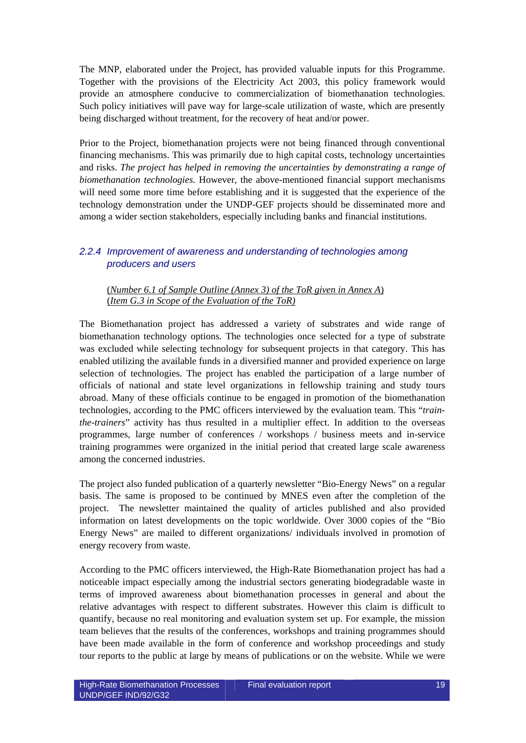The MNP, elaborated under the Project, has provided valuable inputs for this Programme. Together with the provisions of the Electricity Act 2003, this policy framework would provide an atmosphere conducive to commercialization of biomethanation technologies. Such policy initiatives will pave way for large-scale utilization of waste, which are presently being discharged without treatment, for the recovery of heat and/or power.

Prior to the Project, biomethanation projects were not being financed through conventional financing mechanisms. This was primarily due to high capital costs, technology uncertainties and risks. *The project has helped in removing the uncertainties by demonstrating a range of biomethanation technologies.* However, the above-mentioned financial support mechanisms will need some more time before establishing and it is suggested that the experience of the technology demonstration under the UNDP-GEF projects should be disseminated more and among a wider section stakeholders, especially including banks and financial institutions.

## *2.2.4 Improvement of awareness and understanding of technologies among producers and users*

#### (*Number 6.1 of Sample Outline (Annex 3) of the ToR given in Annex A*) (*Item G.3 in Scope of the Evaluation of the ToR)*

The Biomethanation project has addressed a variety of substrates and wide range of biomethanation technology options. The technologies once selected for a type of substrate was excluded while selecting technology for subsequent projects in that category. This has enabled utilizing the available funds in a diversified manner and provided experience on large selection of technologies. The project has enabled the participation of a large number of officials of national and state level organizations in fellowship training and study tours abroad. Many of these officials continue to be engaged in promotion of the biomethanation technologies, according to the PMC officers interviewed by the evaluation team. This "*trainthe-trainers*" activity has thus resulted in a multiplier effect. In addition to the overseas programmes, large number of conferences / workshops / business meets and in-service training programmes were organized in the initial period that created large scale awareness among the concerned industries.

The project also funded publication of a quarterly newsletter "Bio-Energy News" on a regular basis. The same is proposed to be continued by MNES even after the completion of the project. The newsletter maintained the quality of articles published and also provided information on latest developments on the topic worldwide. Over 3000 copies of the "Bio Energy News" are mailed to different organizations/ individuals involved in promotion of energy recovery from waste.

According to the PMC officers interviewed, the High-Rate Biomethanation project has had a noticeable impact especially among the industrial sectors generating biodegradable waste in terms of improved awareness about biomethanation processes in general and about the relative advantages with respect to different substrates. However this claim is difficult to quantify, because no real monitoring and evaluation system set up. For example, the mission team believes that the results of the conferences, workshops and training programmes should have been made available in the form of conference and workshop proceedings and study tour reports to the public at large by means of publications or on the website. While we were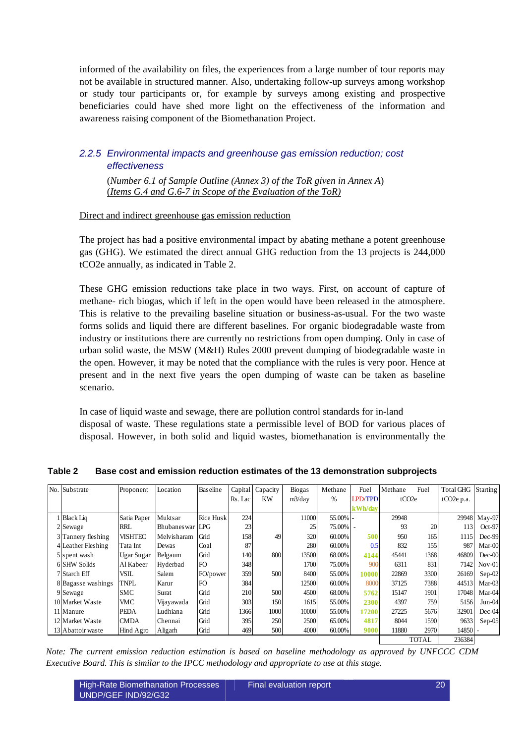informed of the availability on files, the experiences from a large number of tour reports may not be available in structured manner. Also, undertaking follow-up surveys among workshop or study tour participants or, for example by surveys among existing and prospective beneficiaries could have shed more light on the effectiveness of the information and awareness raising component of the Biomethanation Project.

## *2.2.5 Environmental impacts and greenhouse gas emission reduction; cost effectiveness*

(*Number 6.1 of Sample Outline (Annex 3) of the ToR given in Annex A*) (*Items G.4 and G.6-7 in Scope of the Evaluation of the ToR)*

## Direct and indirect greenhouse gas emission reduction

The project has had a positive environmental impact by abating methane a potent greenhouse gas (GHG). We estimated the direct annual GHG reduction from the 13 projects is 244,000 tCO2e annually, as indicated in Table 2.

These GHG emission reductions take place in two ways. First, on account of capture of methane- rich biogas, which if left in the open would have been released in the atmosphere. This is relative to the prevailing baseline situation or business-as-usual. For the two waste forms solids and liquid there are different baselines. For organic biodegradable waste from industry or institutions there are currently no restrictions from open dumping. Only in case of urban solid waste, the MSW (M&H) Rules 2000 prevent dumping of biodegradable waste in the open. However, it may be noted that the compliance with the rules is very poor. Hence at present and in the next five years the open dumping of waste can be taken as baseline scenario.

In case of liquid waste and sewage, there are pollution control standards for in-land disposal of waste. These regulations state a permissible level of BOD for various places of disposal. However, in both solid and liquid wastes, biomethanation is environmentally the

| No. Substrate      | Proponent         | Location         | Baseline         | Capital | Capacity | Biogas | Methane  | Fuel           | Methane            | Fuel | <b>Total GHG</b>        | Starting     |
|--------------------|-------------------|------------------|------------------|---------|----------|--------|----------|----------------|--------------------|------|-------------------------|--------------|
|                    |                   |                  |                  | Rs. Lac | KW       | m3/day | $\%$     | <b>LPD/TPD</b> | tCO <sub>2</sub> e |      | tCO <sub>2</sub> e p.a. |              |
|                    |                   |                  |                  |         |          |        |          | k Wh/day       |                    |      |                         |              |
| <b>Black Liq</b>   | Satia Paper       | Muktsar          | <b>Rice Husk</b> | 224     |          | 11000  | 55.00% - |                | 29948              |      |                         | 29948 May-97 |
| 2 Sewage           | RRL               | Bhubanes war LPG |                  | 23      |          | 25     | 75.00% - |                | 93                 | 20   | 113                     | $Oct-97$     |
| 3 Tannery fleshing | <b>VISHTEC</b>    | Melvisharam      | Grid             | 158     | 49       | 320    | 60.00%   | 500            | 950                | 165  | 1115                    | Dec-99       |
| 4 Leather Fleshing | Tata Int          | Dewas            | Coal             | 87      |          | 280    | 60.00%   | 0.5            | 832                | 155  | 987                     | Mar-00       |
| 5 spent wash       | <b>Ugar Sugar</b> | Belgaum          | Grid             | 140     | 800      | 13500  | 68.00%   | 4144           | 45441              | 1368 | 46809                   | $Dec-00$     |
| 6 SHW Solids       | Al Kabeer         | Hyderbad         | l FO             | 348     |          | 1700   | 75.00%   | 900            | 6311               | 831  | 7142                    | $Nov-01$     |
| 7 Starch Eff       | <b>VSIL</b>       | Salem            | FO/power         | 359     | 500      | 8400   | 55.00%   | 10000          | 22869              | 3300 | 26169                   | $Sep-02$     |
| 8 Bagasse washings | <b>TNPL</b>       | Karur            | <b>IFO</b>       | 384     |          | 12500  | 60.00%   | 8000           | 37125              | 7388 | 44513                   | Mar-03       |
| 9 Sewage           | <b>SMC</b>        | Surat            | Grid             | 210     | 500      | 4500   | 68.00%   | 5762           | 15147              | 1901 | 17048                   | $Mar-04$     |
| 10 Market Waste    | <b>VMC</b>        | Vijayawada       | Grid             | 303     | 150      | 1615   | 55.00%   | 2300           | 4397               | 759  | 5156                    | $Jun-04$     |
| 11 Manure          | <b>PEDA</b>       | Ludhiana         | Grid             | 1366    | 1000     | 10000  | 55.00%   | 17200          | 27225              | 5676 | 32901                   | $Dec-04$     |
| 12 Market Waste    | <b>CMDA</b>       | Chennai          | Grid             | 395     | 250      | 2500   | 65.00%   | 4817           | 8044               | 1590 | 9633                    | $Sep-05$     |
| 13 Abattoir waste  | Hind Agro         | Aligarh          | Grid             | 469     | 500      | 4000   | 60.00%   | 9000           | 11880              | 2970 | $14850 -$               |              |

**Table 2 Base cost and emission reduction estimates of the 13 demonstration subprojects**

TOTAL 236384

 $\mathsf{l}$ 

*Note: The current emission reduction estimation is based on baseline methodology as approved by UNFCCC CDM Executive Board. This is similar to the IPCC methodology and appropriate to use at this stage.*

| <b>High-Rate Biomethanation Processes</b> | Final evaluation report | 20. |
|-------------------------------------------|-------------------------|-----|
| UNDP/GEF IND/92/G32                       |                         |     |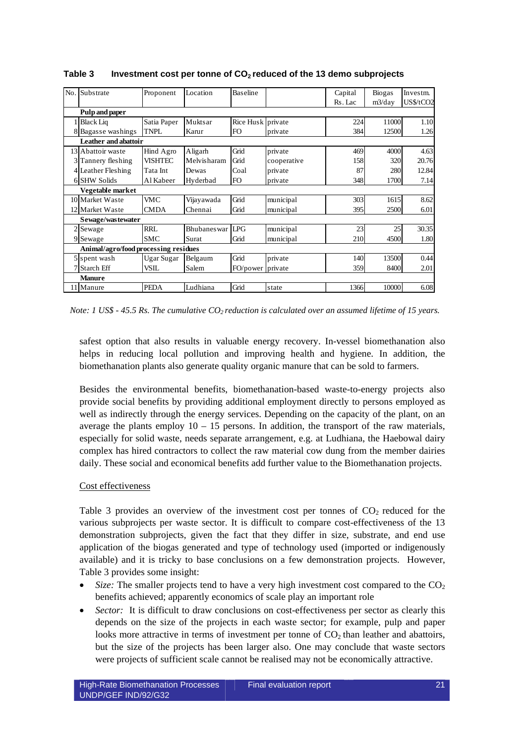| No. | Substrate                            | Proponent      | Location     | <b>Baseline</b>   |             | Capital<br>Rs. Lac | Biogas<br>m3/day | Investm.<br>US\$/tCO2 |  |  |
|-----|--------------------------------------|----------------|--------------|-------------------|-------------|--------------------|------------------|-----------------------|--|--|
|     | Pulp and paper                       |                |              |                   |             |                    |                  |                       |  |  |
|     | Black Liq                            | Satia Paper    | Muktsar      | Rice Husk private |             | 224                | 11000            | 1.10                  |  |  |
|     | 8 Bagasse washings                   | <b>TNPL</b>    | Karur        | FO                | private     | 384                | 12500            | 1.26                  |  |  |
|     | Leather and abattoir                 |                |              |                   |             |                    |                  |                       |  |  |
|     | 13 Abattoir waste                    | Hind Agro      | Aligarh      | Grid              | private     | 469                | 4000             | 4.63                  |  |  |
|     | 3 Tannery fleshing                   | <b>VISHTEC</b> | Melvisharam  | Grid              | cooperative | 158                | 320              | 20.76                 |  |  |
|     | 4 Leather Fleshing                   | Tata Int       | Dewas        | Coal              | private     | 87                 | 280              | 12.84                 |  |  |
|     | 6 SHW Solids                         | Al Kabeer      | Hyderbad     | FO                | private     | 348                | 1700             | 7.14                  |  |  |
|     | Vegetable market                     |                |              |                   |             |                    |                  |                       |  |  |
|     | 10 Market Waste                      | <b>VMC</b>     | Vijayawada   | Grid              | municipal   | 303                | 1615             | 8.62                  |  |  |
|     | 12 Market Waste                      | <b>CMDA</b>    | Chennai      | Grid              | municipal   | 395                | 2500             | 6.01                  |  |  |
|     | Sewage/wastewater                    |                |              |                   |             |                    |                  |                       |  |  |
| 2   | Sewage                               | RRL            | Bhubanes war | <b>LPG</b>        | municipal   | 23                 | 25               | 30.35                 |  |  |
|     | 9 Sewage                             | <b>SMC</b>     | Surat        | Grid              | municipal   | 210                | 4500             | 1.80                  |  |  |
|     | Animal/agro/food processing residues |                |              |                   |             |                    |                  |                       |  |  |
|     | 5 spent wash                         | Ugar Sugar     | Belgaum      | Grid              | private     | 140                | 13500            | 0.44                  |  |  |
|     | Starch Eff                           | VSIL           | Salem        | FO/power private  |             | 359                | 8400             | 2.01                  |  |  |
|     | <b>Manure</b>                        |                |              |                   |             |                    |                  |                       |  |  |
| 11  | Manure                               | <b>PEDA</b>    | Ludhiana     | Grid              | state       | 1366               | 10000            | 6.08                  |  |  |

Table 3 Investment cost per tonne of CO<sub>2</sub> reduced of the 13 demo subprojects

*Note: 1 US\$ - 45.5 Rs. The cumulative CO<sub>2</sub> reduction is calculated over an assumed lifetime of 15 years.* 

safest option that also results in valuable energy recovery. In-vessel biomethanation also helps in reducing local pollution and improving health and hygiene. In addition, the biomethanation plants also generate quality organic manure that can be sold to farmers.

Besides the environmental benefits, biomethanation-based waste-to-energy projects also provide social benefits by providing additional employment directly to persons employed as well as indirectly through the energy services. Depending on the capacity of the plant, on an average the plants employ  $10 - 15$  persons. In addition, the transport of the raw materials, especially for solid waste, needs separate arrangement, e.g. at Ludhiana, the Haebowal dairy complex has hired contractors to collect the raw material cow dung from the member dairies daily. These social and economical benefits add further value to the Biomethanation projects.

#### Cost effectiveness

Table 3 provides an overview of the investment cost per tonnes of  $CO<sub>2</sub>$  reduced for the various subprojects per waste sector. It is difficult to compare cost-effectiveness of the 13 demonstration subprojects, given the fact that they differ in size, substrate, and end use application of the biogas generated and type of technology used (imported or indigenously available) and it is tricky to base conclusions on a few demonstration projects. However, Table 3 provides some insight:

- *Size:* The smaller projects tend to have a very high investment cost compared to the  $CO<sub>2</sub>$ benefits achieved; apparently economics of scale play an important role
- *Sector:* It is difficult to draw conclusions on cost-effectiveness per sector as clearly this depends on the size of the projects in each waste sector; for example, pulp and paper looks more attractive in terms of investment per tonne of  $CO<sub>2</sub>$  than leather and abattoirs, but the size of the projects has been larger also. One may conclude that waste sectors were projects of sufficient scale cannot be realised may not be economically attractive.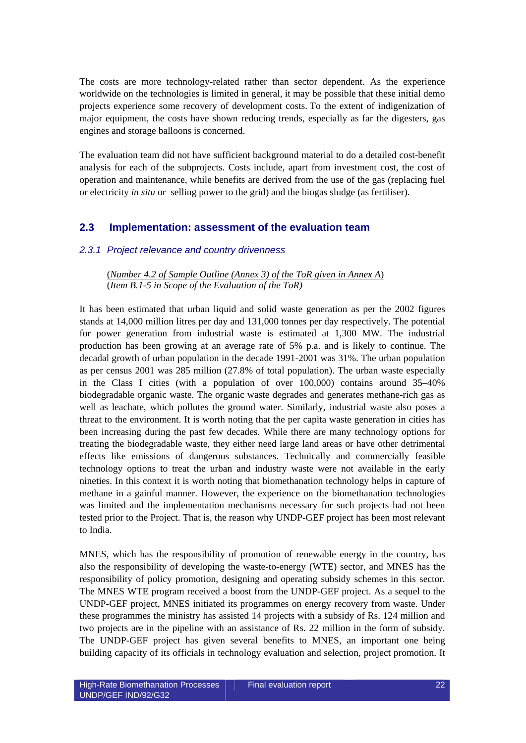The costs are more technology-related rather than sector dependent. As the experience worldwide on the technologies is limited in general, it may be possible that these initial demo projects experience some recovery of development costs. To the extent of indigenization of major equipment, the costs have shown reducing trends, especially as far the digesters, gas engines and storage balloons is concerned.

The evaluation team did not have sufficient background material to do a detailed cost-benefit analysis for each of the subprojects. Costs include, apart from investment cost, the cost of operation and maintenance, while benefits are derived from the use of the gas (replacing fuel or electricity *in situ* or selling power to the grid) and the biogas sludge (as fertiliser).

## **2.3 Implementation: assessment of the evaluation team**

#### *2.3.1 Project relevance and country drivenness*

#### (*Number 4.2 of Sample Outline (Annex 3) of the ToR given in Annex A*) (*Item B.1-5 in Scope of the Evaluation of the ToR)*

It has been estimated that urban liquid and solid waste generation as per the 2002 figures stands at 14,000 million litres per day and 131,000 tonnes per day respectively. The potential for power generation from industrial waste is estimated at 1,300 MW. The industrial production has been growing at an average rate of 5% p.a. and is likely to continue. The decadal growth of urban population in the decade 1991-2001 was 31%. The urban population as per census 2001 was 285 million (27.8% of total population). The urban waste especially in the Class I cities (with a population of over 100,000) contains around 35–40% biodegradable organic waste. The organic waste degrades and generates methane-rich gas as well as leachate, which pollutes the ground water. Similarly, industrial waste also poses a threat to the environment. It is worth noting that the per capita waste generation in cities has been increasing during the past few decades. While there are many technology options for treating the biodegradable waste, they either need large land areas or have other detrimental effects like emissions of dangerous substances. Technically and commercially feasible technology options to treat the urban and industry waste were not available in the early nineties. In this context it is worth noting that biomethanation technology helps in capture of methane in a gainful manner. However, the experience on the biomethanation technologies was limited and the implementation mechanisms necessary for such projects had not been tested prior to the Project. That is, the reason why UNDP-GEF project has been most relevant to India.

MNES, which has the responsibility of promotion of renewable energy in the country, has also the responsibility of developing the waste-to-energy (WTE) sector, and MNES has the responsibility of policy promotion, designing and operating subsidy schemes in this sector. The MNES WTE program received a boost from the UNDP-GEF project. As a sequel to the UNDP-GEF project, MNES initiated its programmes on energy recovery from waste. Under these programmes the ministry has assisted 14 projects with a subsidy of Rs. 124 million and two projects are in the pipeline with an assistance of Rs. 22 million in the form of subsidy. The UNDP-GEF project has given several benefits to MNES, an important one being building capacity of its officials in technology evaluation and selection, project promotion. It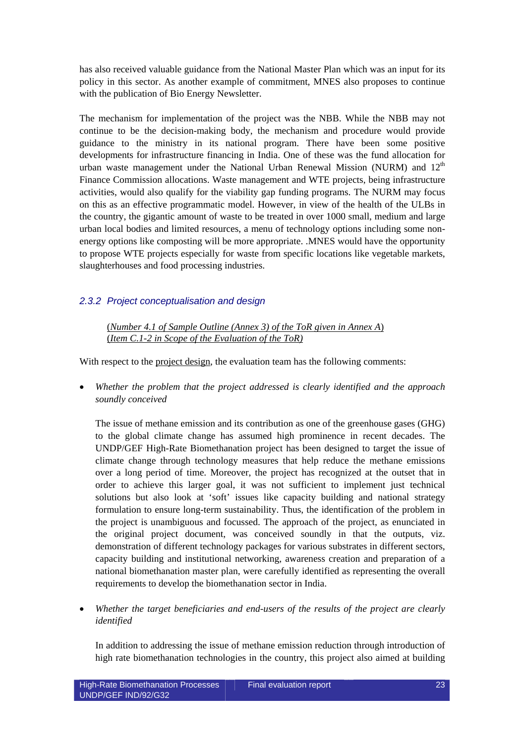has also received valuable guidance from the National Master Plan which was an input for its policy in this sector. As another example of commitment, MNES also proposes to continue with the publication of Bio Energy Newsletter.

The mechanism for implementation of the project was the NBB. While the NBB may not continue to be the decision-making body, the mechanism and procedure would provide guidance to the ministry in its national program. There have been some positive developments for infrastructure financing in India. One of these was the fund allocation for urban waste management under the National Urban Renewal Mission (NURM) and 12<sup>th</sup> Finance Commission allocations. Waste management and WTE projects, being infrastructure activities, would also qualify for the viability gap funding programs. The NURM may focus on this as an effective programmatic model. However, in view of the health of the ULBs in the country, the gigantic amount of waste to be treated in over 1000 small, medium and large urban local bodies and limited resources, a menu of technology options including some nonenergy options like composting will be more appropriate. .MNES would have the opportunity to propose WTE projects especially for waste from specific locations like vegetable markets, slaughterhouses and food processing industries.

#### *2.3.2 Project conceptualisation and design*

(*Number 4.1 of Sample Outline (Annex 3) of the ToR given in Annex A*) (*Item C.1-2 in Scope of the Evaluation of the ToR)*

With respect to the project design, the evaluation team has the following comments:

• *Whether the problem that the project addressed is clearly identified and the approach soundly conceived* 

The issue of methane emission and its contribution as one of the greenhouse gases (GHG) to the global climate change has assumed high prominence in recent decades. The UNDP/GEF High-Rate Biomethanation project has been designed to target the issue of climate change through technology measures that help reduce the methane emissions over a long period of time. Moreover, the project has recognized at the outset that in order to achieve this larger goal, it was not sufficient to implement just technical solutions but also look at 'soft' issues like capacity building and national strategy formulation to ensure long-term sustainability. Thus, the identification of the problem in the project is unambiguous and focussed. The approach of the project, as enunciated in the original project document, was conceived soundly in that the outputs, viz. demonstration of different technology packages for various substrates in different sectors, capacity building and institutional networking, awareness creation and preparation of a national biomethanation master plan, were carefully identified as representing the overall requirements to develop the biomethanation sector in India.

• *Whether the target beneficiaries and end-users of the results of the project are clearly identified* 

In addition to addressing the issue of methane emission reduction through introduction of high rate biomethanation technologies in the country, this project also aimed at building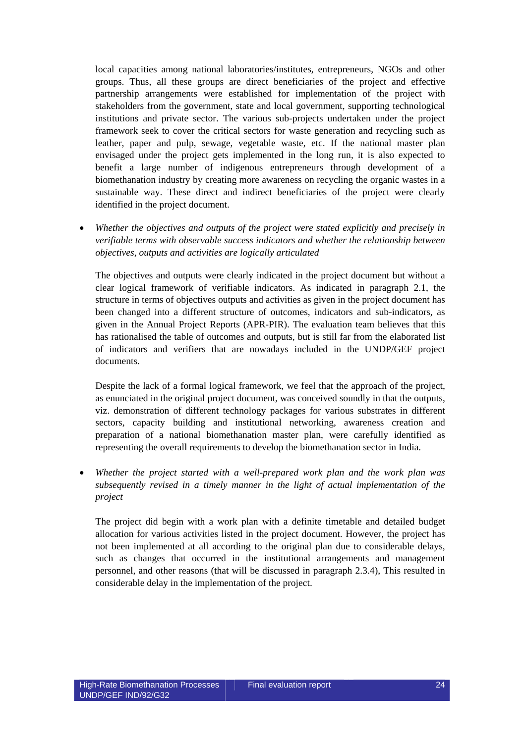local capacities among national laboratories/institutes, entrepreneurs, NGOs and other groups. Thus, all these groups are direct beneficiaries of the project and effective partnership arrangements were established for implementation of the project with stakeholders from the government, state and local government, supporting technological institutions and private sector. The various sub-projects undertaken under the project framework seek to cover the critical sectors for waste generation and recycling such as leather, paper and pulp, sewage, vegetable waste, etc. If the national master plan envisaged under the project gets implemented in the long run, it is also expected to benefit a large number of indigenous entrepreneurs through development of a biomethanation industry by creating more awareness on recycling the organic wastes in a sustainable way. These direct and indirect beneficiaries of the project were clearly identified in the project document.

• *Whether the objectives and outputs of the project were stated explicitly and precisely in verifiable terms with observable success indicators and whether the relationship between objectives, outputs and activities are logically articulated* 

The objectives and outputs were clearly indicated in the project document but without a clear logical framework of verifiable indicators. As indicated in paragraph 2.1, the structure in terms of objectives outputs and activities as given in the project document has been changed into a different structure of outcomes, indicators and sub-indicators, as given in the Annual Project Reports (APR-PIR). The evaluation team believes that this has rationalised the table of outcomes and outputs, but is still far from the elaborated list of indicators and verifiers that are nowadays included in the UNDP/GEF project documents.

Despite the lack of a formal logical framework, we feel that the approach of the project, as enunciated in the original project document, was conceived soundly in that the outputs, viz. demonstration of different technology packages for various substrates in different sectors, capacity building and institutional networking, awareness creation and preparation of a national biomethanation master plan, were carefully identified as representing the overall requirements to develop the biomethanation sector in India.

• *Whether the project started with a well-prepared work plan and the work plan was subsequently revised in a timely manner in the light of actual implementation of the project*

The project did begin with a work plan with a definite timetable and detailed budget allocation for various activities listed in the project document. However, the project has not been implemented at all according to the original plan due to considerable delays, such as changes that occurred in the institutional arrangements and management personnel, and other reasons (that will be discussed in paragraph 2.3.4), This resulted in considerable delay in the implementation of the project.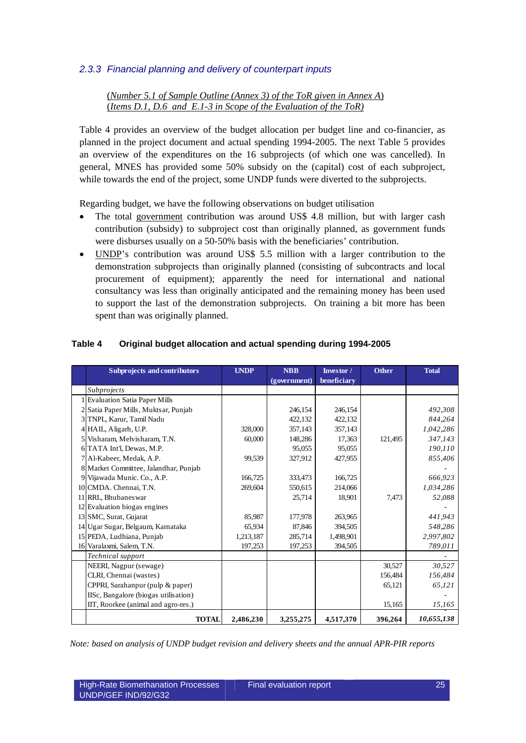## *2.3.3 Financial planning and delivery of counterpart inputs*

(*Number 5.1 of Sample Outline (Annex 3) of the ToR given in Annex A*) (*Items D.1, D.6 and E.1-3 in Scope of the Evaluation of the ToR)*

Table 4 provides an overview of the budget allocation per budget line and co-financier, as planned in the project document and actual spending 1994-2005. The next Table 5 provides an overview of the expenditures on the 16 subprojects (of which one was cancelled). In general, MNES has provided some 50% subsidy on the (capital) cost of each subproject, while towards the end of the project, some UNDP funds were diverted to the subprojects.

Regarding budget, we have the following observations on budget utilisation

- The total government contribution was around US\$ 4.8 million, but with larger cash contribution (subsidy) to subproject cost than originally planned, as government funds were disburses usually on a 50-50% basis with the beneficiaries' contribution.
- UNDP's contribution was around US\$ 5.5 million with a larger contribution to the demonstration subprojects than originally planned (consisting of subcontracts and local procurement of equipment); apparently the need for international and national consultancy was less than originally anticipated and the remaining money has been used to support the last of the demonstration subprojects. On training a bit more has been spent than was originally planned.

| <b>Subprojects and contributors</b>   | <b>UNDP</b> | <b>NBB</b>   | <b>Investor</b> / | <b>Other</b> | <b>Total</b> |
|---------------------------------------|-------------|--------------|-------------------|--------------|--------------|
|                                       |             | (government) | beneficiary       |              |              |
| Subprojects                           |             |              |                   |              |              |
| 1 Evaluation Satia Paper Mills        |             |              |                   |              |              |
| 2 Satia Paper Mills, Muktsar, Punjab  |             | 246,154      | 246,154           |              | 492,308      |
| 3 TNPL, Karur, Tamil Nadu             |             | 422,132      | 422,132           |              | 844,264      |
| 4 HAIL, Aligarh, U.P.                 | 328,000     | 357,143      | 357,143           |              | 1,042,286    |
| 5 Visharam, Melvisharam, T.N.         | 60,000      | 148,286      | 17,363            | 121,495      | 347,143      |
| 6 TATA Int'l, Dewas, M.P.             |             | 95,055       | 95,055            |              | 190,110      |
| 7 Al-Kabeer, Medak, A.P.              | 99,539      | 327,912      | 427,955           |              | 855,406      |
| 8 Market Committee, Jalandhar, Punjab |             |              |                   |              |              |
| 9 Vijawada Munic. Co., A.P.           | 166,725     | 333,473      | 166,725           |              | 666,923      |
| 10 CMDA. Chennai, T.N.                | 269,604     | 550,615      | 214,066           |              | 1,034,286    |
| 11 RRL, Bhubanes war                  |             | 25,714       | 18,901            | 7,473        | 52,088       |
| 12 Evaluation biogas engines          |             |              |                   |              |              |
| 13 SMC, Surat, Gujarat                | 85,987      | 177,978      | 263,965           |              | 441,943      |
| 14 Ugar Sugar, Belgaum, Karnataka     | 65,934      | 87,846       | 394,505           |              | 548,286      |
| 15 PEDA, Ludhiana, Punjab             | 1,213,187   | 285,714      | 1,498,901         |              | 2,997,802    |
| 16 Varalaxmi, Salem, T.N.             | 197,253     | 197,253      | 394,505           |              | 789,011      |
| Technical support                     |             |              |                   |              |              |
| NEERI, Nagpur (sewage)                |             |              |                   | 30,527       | 30,527       |
| CLRI, Chennai (wastes)                |             |              |                   | 156,484      | 156,484      |
| CPPRI, Sarahanpur (pulp & paper)      |             |              |                   | 65,121       | 65,121       |
| IISc, Bangalore (biogas utilisation)  |             |              |                   |              |              |
| IIT, Roorkee (animal and agro-res.)   |             |              |                   | 15,165       | 15,165       |
| <b>TOTAL</b>                          | 2,486,230   | 3,255,275    | 4,517,370         | 396,264      | 10,655,138   |

#### **Table 4 Original budget allocation and actual spending during 1994-2005**

*Note: based on analysis of UNDP budget revision and delivery sheets and the annual APR-PIR reports*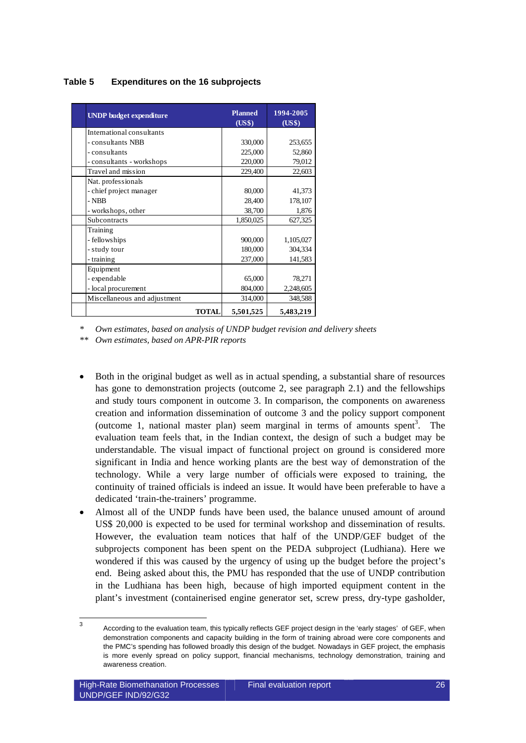## **Table 5 Expenditures on the 16 subprojects**

| <b>UNDP</b> budget expenditure | <b>Planned</b><br>(US\$) | 1994-2005<br>(US\$) |
|--------------------------------|--------------------------|---------------------|
| International consultants      |                          |                     |
| - consultants NBB              | 330,000                  | 253,655             |
| - consultants                  | 225,000                  | 52,860              |
| - consultants - workshops      | 220,000                  | 79,012              |
| Travel and mission             | 229,400                  | 22,603              |
| Nat. professionals             |                          |                     |
| - chief project manager        | 80,000                   | 41,373              |
| - NBB                          | 28,400                   | 178,107             |
| - workshops, other             | 38,700                   | 1,876               |
| Subcontracts                   | 1,850,025                | 627,325             |
| Training                       |                          |                     |
| - fellowships                  | 900,000                  | 1,105,027           |
| - study tour                   | 180,000                  | 304,334             |
| - training                     | 237,000                  | 141,583             |
| Equipment                      |                          |                     |
| - expendable                   | 65,000                   | 78,271              |
| - local procurement            | 804,000                  | 2,248,605           |
| Miscellaneous and adjustment   | 314,000                  | 348,588             |
| <b>TOTAL</b>                   | 5,501,525                | 5,483,219           |

*\* Own estimates, based on analysis of UNDP budget revision and delivery sheets* 

*\*\* Own estimates, based on APR-PIR reports* 

- Both in the original budget as well as in actual spending, a substantial share of resources has gone to demonstration projects (outcome 2, see paragraph 2.1) and the fellowships and study tours component in outcome 3. In comparison, the components on awareness creation and information dissemination of outcome 3 and the policy support component (outcome 1, national master plan) seem marginal in terms of amounts spent<sup>3</sup>. The evaluation team feels that, in the Indian context, the design of such a budget may be understandable. The visual impact of functional project on ground is considered more significant in India and hence working plants are the best way of demonstration of the technology. While a very large number of officials were exposed to training, the continuity of trained officials is indeed an issue. It would have been preferable to have a dedicated 'train-the-trainers' programme.
- Almost all of the UNDP funds have been used, the balance unused amount of around US\$ 20,000 is expected to be used for terminal workshop and dissemination of results. However, the evaluation team notices that half of the UNDP/GEF budget of the subprojects component has been spent on the PEDA subproject (Ludhiana). Here we wondered if this was caused by the urgency of using up the budget before the project's end. Being asked about this, the PMU has responded that the use of UNDP contribution in the Ludhiana has been high, because of high imported equipment content in the plant's investment (containerised engine generator set, screw press, dry-type gasholder,

 $\frac{1}{3}$  According to the evaluation team, this typically reflects GEF project design in the 'early stages' of GEF, when demonstration components and capacity building in the form of training abroad were core components and the PMC's spending has followed broadly this design of the budget. Nowadays in GEF project, the emphasis is more evenly spread on policy support, financial mechanisms, technology demonstration, training and awareness creation.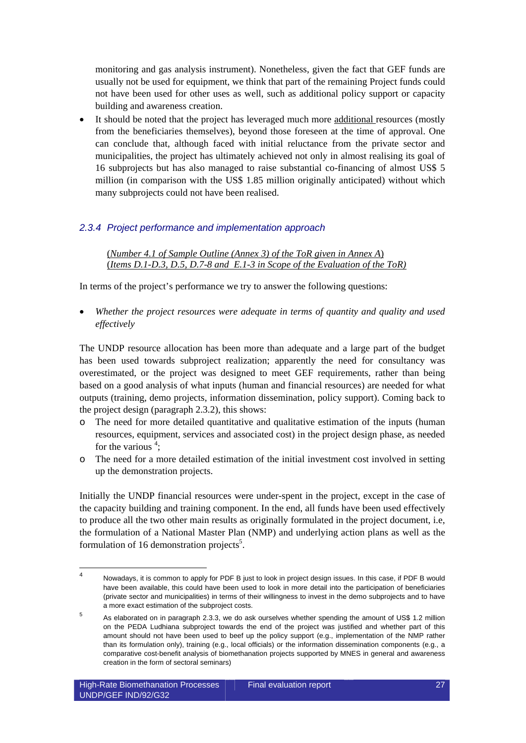monitoring and gas analysis instrument). Nonetheless, given the fact that GEF funds are usually not be used for equipment, we think that part of the remaining Project funds could not have been used for other uses as well, such as additional policy support or capacity building and awareness creation.

• It should be noted that the project has leveraged much more additional resources (mostly from the beneficiaries themselves), beyond those foreseen at the time of approval. One can conclude that, although faced with initial reluctance from the private sector and municipalities, the project has ultimately achieved not only in almost realising its goal of 16 subprojects but has also managed to raise substantial co-financing of almost US\$ 5 million (in comparison with the US\$ 1.85 million originally anticipated) without which many subprojects could not have been realised.

## *2.3.4 Project performance and implementation approach*

(*Number 4.1 of Sample Outline (Annex 3) of the ToR given in Annex A*) (*Items D.1-D.3, D.5, D.7-8 and E.1-3 in Scope of the Evaluation of the ToR)*

In terms of the project's performance we try to answer the following questions:

• *Whether the project resources were adequate in terms of quantity and quality and used effectively*

The UNDP resource allocation has been more than adequate and a large part of the budget has been used towards subproject realization; apparently the need for consultancy was overestimated, or the project was designed to meet GEF requirements, rather than being based on a good analysis of what inputs (human and financial resources) are needed for what outputs (training, demo projects, information dissemination, policy support). Coming back to the project design (paragraph 2.3.2), this shows:

- o The need for more detailed quantitative and qualitative estimation of the inputs (human resources, equipment, services and associated cost) in the project design phase, as needed for the various  $4$ ;
- o The need for a more detailed estimation of the initial investment cost involved in setting up the demonstration projects.

Initially the UNDP financial resources were under-spent in the project, except in the case of the capacity building and training component. In the end, all funds have been used effectively to produce all the two other main results as originally formulated in the project document, i.e, the formulation of a National Master Plan (NMP) and underlying action plans as well as the formulation of 16 demonstration projects<sup>5</sup>.

 $\frac{1}{4}$  Nowadays, it is common to apply for PDF B just to look in project design issues. In this case, if PDF B would have been available, this could have been used to look in more detail into the participation of beneficiaries (private sector and municipalities) in terms of their willingness to invest in the demo subprojects and to have a more exact estimation of the subproject costs.

<sup>5</sup> As elaborated on in paragraph 2.3.3, we do ask ourselves whether spending the amount of US\$ 1.2 million on the PEDA Ludhiana subproject towards the end of the project was justified and whether part of this amount should not have been used to beef up the policy support (e.g., implementation of the NMP rather than its formulation only), training (e.g., local officials) or the information dissemination components (e.g., a comparative cost-benefit analysis of biomethanation projects supported by MNES in general and awareness creation in the form of sectoral seminars)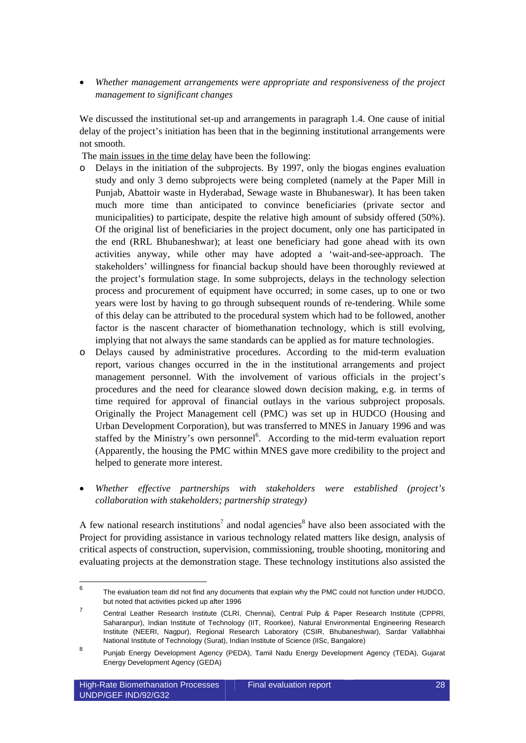• *Whether management arrangements were appropriate and responsiveness of the project management to significant changes* 

We discussed the institutional set-up and arrangements in paragraph 1.4. One cause of initial delay of the project's initiation has been that in the beginning institutional arrangements were not smooth.

The main issues in the time delay have been the following:

- o Delays in the initiation of the subprojects. By 1997, only the biogas engines evaluation study and only 3 demo subprojects were being completed (namely at the Paper Mill in Punjab, Abattoir waste in Hyderabad, Sewage waste in Bhubaneswar). It has been taken much more time than anticipated to convince beneficiaries (private sector and municipalities) to participate, despite the relative high amount of subsidy offered (50%). Of the original list of beneficiaries in the project document, only one has participated in the end (RRL Bhubaneshwar); at least one beneficiary had gone ahead with its own activities anyway, while other may have adopted a 'wait-and-see-approach. The stakeholders' willingness for financial backup should have been thoroughly reviewed at the project's formulation stage. In some subprojects, delays in the technology selection process and procurement of equipment have occurred; in some cases, up to one or two years were lost by having to go through subsequent rounds of re-tendering. While some of this delay can be attributed to the procedural system which had to be followed, another factor is the nascent character of biomethanation technology, which is still evolving, implying that not always the same standards can be applied as for mature technologies.
- o Delays caused by administrative procedures. According to the mid-term evaluation report, various changes occurred in the in the institutional arrangements and project management personnel. With the involvement of various officials in the project's procedures and the need for clearance slowed down decision making, e.g. in terms of time required for approval of financial outlays in the various subproject proposals. Originally the Project Management cell (PMC) was set up in HUDCO (Housing and Urban Development Corporation), but was transferred to MNES in January 1996 and was staffed by the Ministry's own personnel<sup>6</sup>. According to the mid-term evaluation report (Apparently, the housing the PMC within MNES gave more credibility to the project and helped to generate more interest.
- *Whether effective partnerships with stakeholders were established (project's collaboration with stakeholders; partnership strategy)*

A few national research institutions<sup>7</sup> and nodal agencies<sup>8</sup> have also been associated with the Project for providing assistance in various technology related matters like design, analysis of critical aspects of construction, supervision, commissioning, trouble shooting, monitoring and evaluating projects at the demonstration stage. These technology institutions also assisted the

<sup>—&</sup>lt;br>6 The evaluation team did not find any documents that explain why the PMC could not function under HUDCO, but noted that activities picked up after 1996

<sup>7</sup> Central Leather Research Institute (CLRI, Chennai), Central Pulp & Paper Research Institute (CPPRI, Saharanpur), Indian Institute of Technology (IIT, Roorkee), Natural Environmental Engineering Research Institute (NEERI, Nagpur), Regional Research Laboratory (CSIR, Bhubaneshwar), Sardar Vallabhhai National Institute of Technology (Surat), Indian Institute of Science (IISc, Bangalore)

<sup>8</sup> Punjab Energy Development Agency (PEDA), Tamil Nadu Energy Development Agency (TEDA), Gujarat Energy Development Agency (GEDA)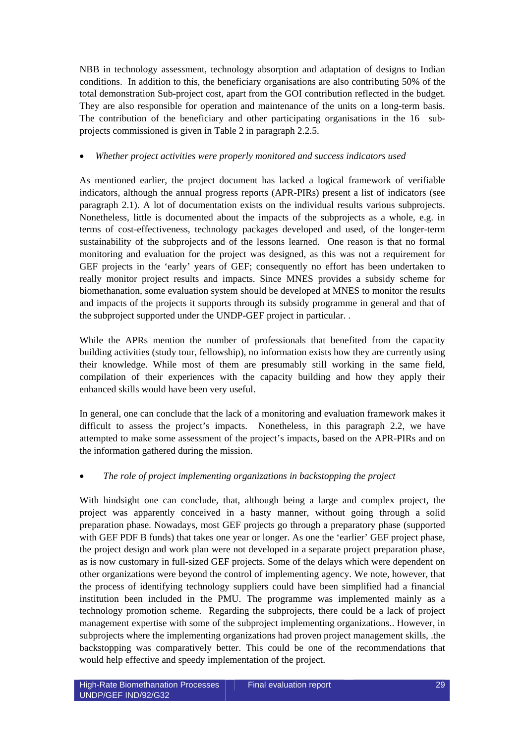NBB in technology assessment, technology absorption and adaptation of designs to Indian conditions. In addition to this, the beneficiary organisations are also contributing 50% of the total demonstration Sub-project cost, apart from the GOI contribution reflected in the budget. They are also responsible for operation and maintenance of the units on a long-term basis. The contribution of the beneficiary and other participating organisations in the 16 subprojects commissioned is given in Table 2 in paragraph 2.2.5.

## • *Whether project activities were properly monitored and success indicators used*

As mentioned earlier, the project document has lacked a logical framework of verifiable indicators, although the annual progress reports (APR-PIRs) present a list of indicators (see paragraph 2.1). A lot of documentation exists on the individual results various subprojects. Nonetheless, little is documented about the impacts of the subprojects as a whole, e.g. in terms of cost-effectiveness, technology packages developed and used, of the longer-term sustainability of the subprojects and of the lessons learned. One reason is that no formal monitoring and evaluation for the project was designed, as this was not a requirement for GEF projects in the 'early' years of GEF; consequently no effort has been undertaken to really monitor project results and impacts. Since MNES provides a subsidy scheme for biomethanation, some evaluation system should be developed at MNES to monitor the results and impacts of the projects it supports through its subsidy programme in general and that of the subproject supported under the UNDP-GEF project in particular. .

While the APRs mention the number of professionals that benefited from the capacity building activities (study tour, fellowship), no information exists how they are currently using their knowledge. While most of them are presumably still working in the same field, compilation of their experiences with the capacity building and how they apply their enhanced skills would have been very useful.

In general, one can conclude that the lack of a monitoring and evaluation framework makes it difficult to assess the project's impacts. Nonetheless, in this paragraph 2.2, we have attempted to make some assessment of the project's impacts, based on the APR-PIRs and on the information gathered during the mission.

## • *The role of project implementing organizations in backstopping the project*

With hindsight one can conclude, that, although being a large and complex project, the project was apparently conceived in a hasty manner, without going through a solid preparation phase. Nowadays, most GEF projects go through a preparatory phase (supported with GEF PDF B funds) that takes one year or longer. As one the 'earlier' GEF project phase, the project design and work plan were not developed in a separate project preparation phase, as is now customary in full-sized GEF projects. Some of the delays which were dependent on other organizations were beyond the control of implementing agency. We note, however, that the process of identifying technology suppliers could have been simplified had a financial institution been included in the PMU. The programme was implemented mainly as a technology promotion scheme. Regarding the subprojects, there could be a lack of project management expertise with some of the subproject implementing organizations.. However, in subprojects where the implementing organizations had proven project management skills, .the backstopping was comparatively better. This could be one of the recommendations that would help effective and speedy implementation of the project.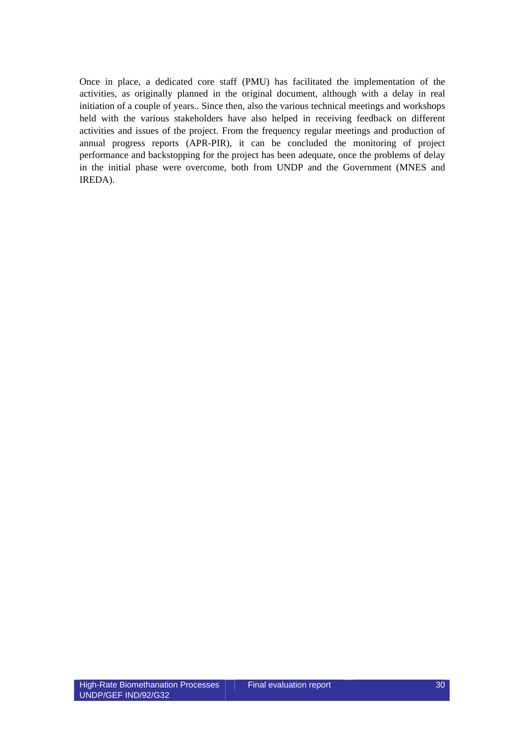Once in place, a dedicated core staff (PMU) has facilitated the implementation of the activities, as originally planned in the original document, although with a delay in real initiation of a couple of years.. Since then, also the various technical meetings and workshops held with the various stakeholders have also helped in receiving feedback on different activities and issues of the project. From the frequency regular meetings and production of annual progress reports (APR-PIR), it can be concluded the monitoring of project performance and backstopping for the project has been adequate, once the problems of delay in the initial phase were overcome, both from UNDP and the Government (MNES and IREDA).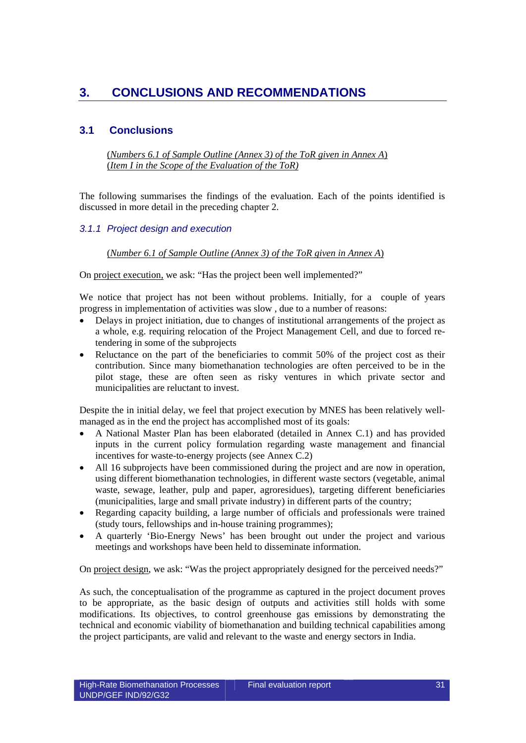# **3. CONCLUSIONS AND RECOMMENDATIONS**

## **3.1 Conclusions**

(*Numbers 6.1 of Sample Outline (Annex 3) of the ToR given in Annex A*) (*Item I in the Scope of the Evaluation of the ToR)*

The following summarises the findings of the evaluation. Each of the points identified is discussed in more detail in the preceding chapter 2.

## *3.1.1 Project design and execution*

(*Number 6.1 of Sample Outline (Annex 3) of the ToR given in Annex A*)

On project execution, we ask: "Has the project been well implemented?"

We notice that project has not been without problems. Initially, for a couple of years progress in implementation of activities was slow , due to a number of reasons:

- Delays in project initiation, due to changes of institutional arrangements of the project as a whole, e.g. requiring relocation of the Project Management Cell, and due to forced retendering in some of the subprojects
- Reluctance on the part of the beneficiaries to commit 50% of the project cost as their contribution. Since many biomethanation technologies are often perceived to be in the pilot stage, these are often seen as risky ventures in which private sector and municipalities are reluctant to invest.

Despite the in initial delay, we feel that project execution by MNES has been relatively wellmanaged as in the end the project has accomplished most of its goals:

- A National Master Plan has been elaborated (detailed in Annex C.1) and has provided inputs in the current policy formulation regarding waste management and financial incentives for waste-to-energy projects (see Annex C.2)
- All 16 subprojects have been commissioned during the project and are now in operation, using different biomethanation technologies, in different waste sectors (vegetable, animal waste, sewage, leather, pulp and paper, agroresidues), targeting different beneficiaries (municipalities, large and small private industry) in different parts of the country;
- Regarding capacity building, a large number of officials and professionals were trained (study tours, fellowships and in-house training programmes);
- A quarterly 'Bio-Energy News' has been brought out under the project and various meetings and workshops have been held to disseminate information.

On project design, we ask: "Was the project appropriately designed for the perceived needs?"

As such, the conceptualisation of the programme as captured in the project document proves to be appropriate, as the basic design of outputs and activities still holds with some modifications. Its objectives, to control greenhouse gas emissions by demonstrating the technical and economic viability of biomethanation and building technical capabilities among the project participants, are valid and relevant to the waste and energy sectors in India.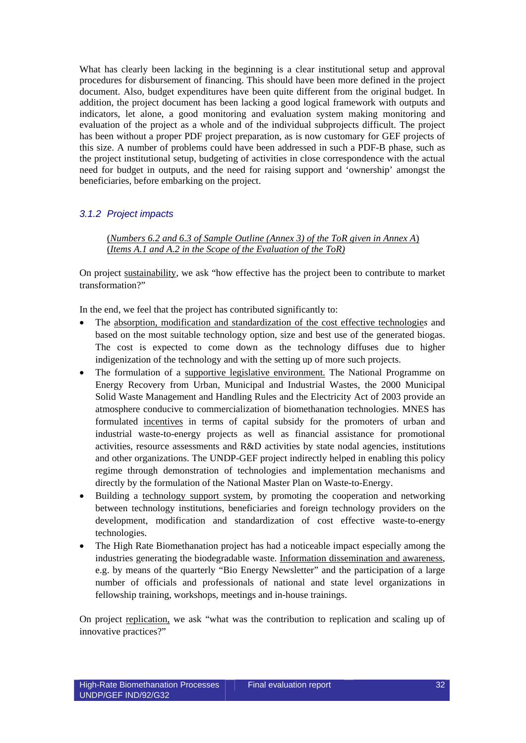What has clearly been lacking in the beginning is a clear institutional setup and approval procedures for disbursement of financing. This should have been more defined in the project document. Also, budget expenditures have been quite different from the original budget. In addition, the project document has been lacking a good logical framework with outputs and indicators, let alone, a good monitoring and evaluation system making monitoring and evaluation of the project as a whole and of the individual subprojects difficult. The project has been without a proper PDF project preparation, as is now customary for GEF projects of this size. A number of problems could have been addressed in such a PDF-B phase, such as the project institutional setup, budgeting of activities in close correspondence with the actual need for budget in outputs, and the need for raising support and 'ownership' amongst the beneficiaries, before embarking on the project.

## *3.1.2 Project impacts*

(*Numbers 6.2 and 6.3 of Sample Outline (Annex 3) of the ToR given in Annex A*) (*Items A.1 and A.2 in the Scope of the Evaluation of the ToR)*

On project sustainability, we ask "how effective has the project been to contribute to market transformation?"

In the end, we feel that the project has contributed significantly to:

- The absorption, modification and standardization of the cost effective technologie*s* and based on the most suitable technology option, size and best use of the generated biogas. The cost is expected to come down as the technology diffuses due to higher indigenization of the technology and with the setting up of more such projects.
- The formulation of a supportive legislative environment. The National Programme on Energy Recovery from Urban, Municipal and Industrial Wastes, the 2000 Municipal Solid Waste Management and Handling Rules and the Electricity Act of 2003 provide an atmosphere conducive to commercialization of biomethanation technologies. MNES has formulated incentives in terms of capital subsidy for the promoters of urban and industrial waste-to-energy projects as well as financial assistance for promotional activities, resource assessments and R&D activities by state nodal agencies, institutions and other organizations. The UNDP-GEF project indirectly helped in enabling this policy regime through demonstration of technologies and implementation mechanisms and directly by the formulation of the National Master Plan on Waste-to-Energy.
- Building a technology support system, by promoting the cooperation and networking between technology institutions, beneficiaries and foreign technology providers on the development, modification and standardization of cost effective waste-to-energy technologies.
- The High Rate Biomethanation project has had a noticeable impact especially among the industries generating the biodegradable waste. Information dissemination and awareness, e.g. by means of the quarterly "Bio Energy Newsletter" and the participation of a large number of officials and professionals of national and state level organizations in fellowship training, workshops, meetings and in-house trainings.

On project replication, we ask "what was the contribution to replication and scaling up of innovative practices?"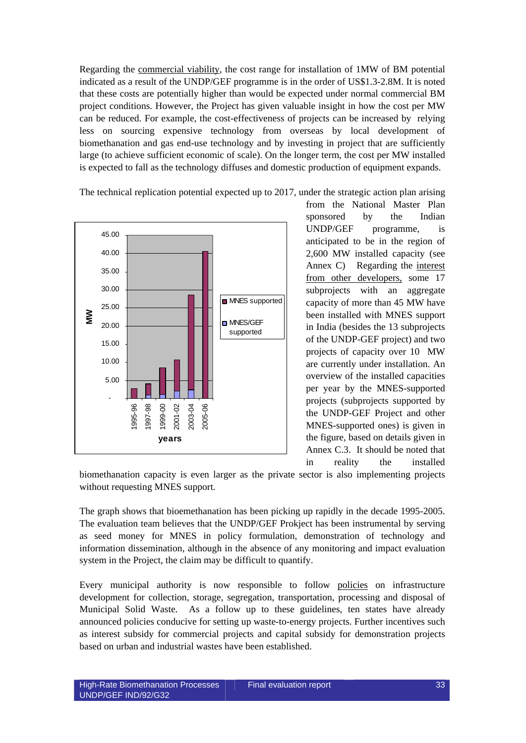Regarding the commercial viability, the cost range for installation of 1MW of BM potential indicated as a result of the UNDP/GEF programme is in the order of US\$1.3-2.8M. It is noted that these costs are potentially higher than would be expected under normal commercial BM project conditions. However, the Project has given valuable insight in how the cost per MW can be reduced. For example, the cost-effectiveness of projects can be increased by relying less on sourcing expensive technology from overseas by local development of biomethanation and gas end-use technology and by investing in project that are sufficiently large (to achieve sufficient economic of scale). On the longer term, the cost per MW installed is expected to fall as the technology diffuses and domestic production of equipment expands.

The technical replication potential expected up to 2017, under the strategic action plan arising



from the National Master Plan sponsored by the Indian UNDP/GEF programme, is anticipated to be in the region of 2,600 MW installed capacity (see Annex C) Regarding the interest from other developers, some 17 subprojects with an aggregate capacity of more than 45 MW have been installed with MNES support in India (besides the 13 subprojects of the UNDP-GEF project) and two projects of capacity over 10 MW are currently under installation. An overview of the installed capacities per year by the MNES-supported projects (subprojects supported by the UNDP-GEF Project and other MNES-supported ones) is given in the figure, based on details given in Annex C.3. It should be noted that in reality the installed

biomethanation capacity is even larger as the private sector is also implementing projects without requesting MNES support.

The graph shows that bioemethanation has been picking up rapidly in the decade 1995-2005. The evaluation team believes that the UNDP/GEF Prokject has been instrumental by serving as seed money for MNES in policy formulation, demonstration of technology and information dissemination, although in the absence of any monitoring and impact evaluation system in the Project, the claim may be difficult to quantify.

Every municipal authority is now responsible to follow policies on infrastructure development for collection, storage, segregation, transportation, processing and disposal of Municipal Solid Waste. As a follow up to these guidelines, ten states have already announced policies conducive for setting up waste-to-energy projects. Further incentives such as interest subsidy for commercial projects and capital subsidy for demonstration projects based on urban and industrial wastes have been established.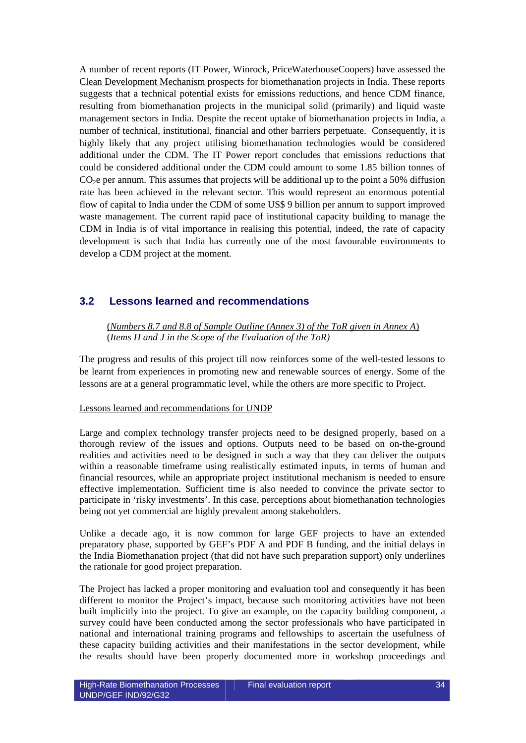A number of recent reports (IT Power, Winrock, PriceWaterhouseCoopers) have assessed the Clean Development Mechanism prospects for biomethanation projects in India. These reports suggests that a technical potential exists for emissions reductions, and hence CDM finance, resulting from biomethanation projects in the municipal solid (primarily) and liquid waste management sectors in India. Despite the recent uptake of biomethanation projects in India, a number of technical, institutional, financial and other barriers perpetuate. Consequently, it is highly likely that any project utilising biomethanation technologies would be considered additional under the CDM. The IT Power report concludes that emissions reductions that could be considered additional under the CDM could amount to some 1.85 billion tonnes of  $CO<sub>2</sub>e$  per annum. This assumes that projects will be additional up to the point a 50% diffusion rate has been achieved in the relevant sector. This would represent an enormous potential flow of capital to India under the CDM of some US\$ 9 billion per annum to support improved waste management. The current rapid pace of institutional capacity building to manage the CDM in India is of vital importance in realising this potential, indeed, the rate of capacity development is such that India has currently one of the most favourable environments to develop a CDM project at the moment.

## **3.2 Lessons learned and recommendations**

(*Numbers 8.7 and 8.8 of Sample Outline (Annex 3) of the ToR given in Annex A*) (*Items H and J in the Scope of the Evaluation of the ToR)*

The progress and results of this project till now reinforces some of the well-tested lessons to be learnt from experiences in promoting new and renewable sources of energy. Some of the lessons are at a general programmatic level, while the others are more specific to Project.

### Lessons learned and recommendations for UNDP

Large and complex technology transfer projects need to be designed properly, based on a thorough review of the issues and options. Outputs need to be based on on-the-ground realities and activities need to be designed in such a way that they can deliver the outputs within a reasonable timeframe using realistically estimated inputs, in terms of human and financial resources, while an appropriate project institutional mechanism is needed to ensure effective implementation. Sufficient time is also needed to convince the private sector to participate in 'risky investments'. In this case, perceptions about biomethanation technologies being not yet commercial are highly prevalent among stakeholders.

Unlike a decade ago, it is now common for large GEF projects to have an extended preparatory phase, supported by GEF's PDF A and PDF B funding, and the initial delays in the India Biomethanation project (that did not have such preparation support) only underlines the rationale for good project preparation.

The Project has lacked a proper monitoring and evaluation tool and consequently it has been different to monitor the Project's impact, because such monitoring activities have not been built implicitly into the project. To give an example, on the capacity building component, a survey could have been conducted among the sector professionals who have participated in national and international training programs and fellowships to ascertain the usefulness of these capacity building activities and their manifestations in the sector development, while the results should have been properly documented more in workshop proceedings and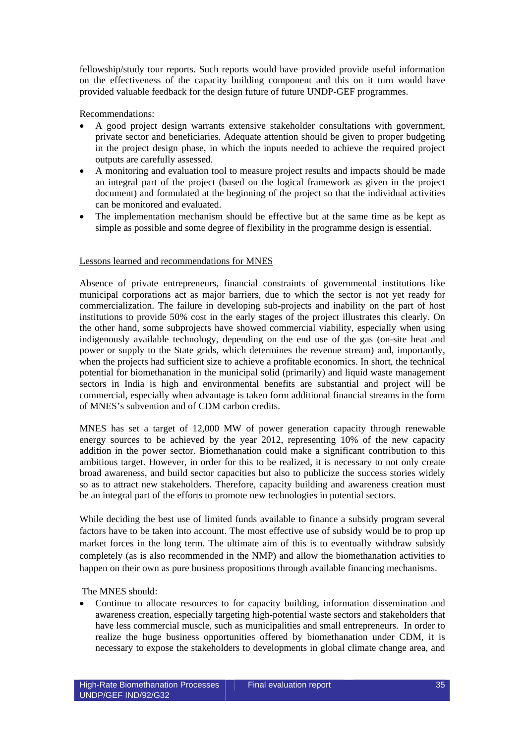fellowship/study tour reports. Such reports would have provided provide useful information on the effectiveness of the capacity building component and this on it turn would have provided valuable feedback for the design future of future UNDP-GEF programmes.

Recommendations:

- A good project design warrants extensive stakeholder consultations with government, private sector and beneficiaries. Adequate attention should be given to proper budgeting in the project design phase, in which the inputs needed to achieve the required project outputs are carefully assessed.
- A monitoring and evaluation tool to measure project results and impacts should be made an integral part of the project (based on the logical framework as given in the project document) and formulated at the beginning of the project so that the individual activities can be monitored and evaluated.
- The implementation mechanism should be effective but at the same time as be kept as simple as possible and some degree of flexibility in the programme design is essential.

## Lessons learned and recommendations for MNES

Absence of private entrepreneurs, financial constraints of governmental institutions like municipal corporations act as major barriers, due to which the sector is not yet ready for commercialization. The failure in developing sub-projects and inability on the part of host institutions to provide 50% cost in the early stages of the project illustrates this clearly. On the other hand, some subprojects have showed commercial viability, especially when using indigenously available technology, depending on the end use of the gas (on-site heat and power or supply to the State grids, which determines the revenue stream) and, importantly, when the projects had sufficient size to achieve a profitable economics. In short, the technical potential for biomethanation in the municipal solid (primarily) and liquid waste management sectors in India is high and environmental benefits are substantial and project will be commercial, especially when advantage is taken form additional financial streams in the form of MNES's subvention and of CDM carbon credits.

MNES has set a target of 12,000 MW of power generation capacity through renewable energy sources to be achieved by the year 2012, representing 10% of the new capacity addition in the power sector. Biomethanation could make a significant contribution to this ambitious target. However, in order for this to be realized, it is necessary to not only create broad awareness, and build sector capacities but also to publicize the success stories widely so as to attract new stakeholders. Therefore, capacity building and awareness creation must be an integral part of the efforts to promote new technologies in potential sectors.

While deciding the best use of limited funds available to finance a subsidy program several factors have to be taken into account. The most effective use of subsidy would be to prop up market forces in the long term. The ultimate aim of this is to eventually withdraw subsidy completely (as is also recommended in the NMP) and allow the biomethanation activities to happen on their own as pure business propositions through available financing mechanisms.

The MNES should:

• Continue to allocate resources to for capacity building, information dissemination and awareness creation, especially targeting high-potential waste sectors and stakeholders that have less commercial muscle, such as municipalities and small entrepreneurs. In order to realize the huge business opportunities offered by biomethanation under CDM, it is necessary to expose the stakeholders to developments in global climate change area, and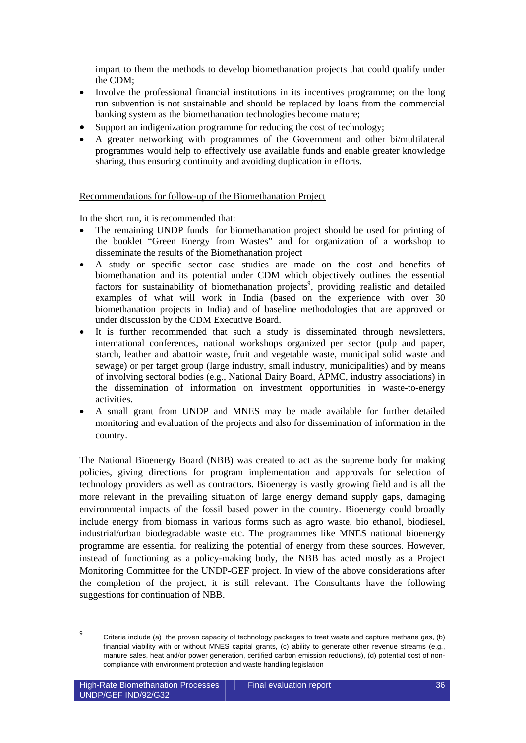impart to them the methods to develop biomethanation projects that could qualify under the CDM;

- Involve the professional financial institutions in its incentives programme; on the long run subvention is not sustainable and should be replaced by loans from the commercial banking system as the biomethanation technologies become mature;
- Support an indigenization programme for reducing the cost of technology;
- A greater networking with programmes of the Government and other bi/multilateral programmes would help to effectively use available funds and enable greater knowledge sharing, thus ensuring continuity and avoiding duplication in efforts.

## Recommendations for follow-up of the Biomethanation Project

In the short run, it is recommended that:

- The remaining UNDP funds for biomethanation project should be used for printing of the booklet "Green Energy from Wastes" and for organization of a workshop to disseminate the results of the Biomethanation project
- A study or specific sector case studies are made on the cost and benefits of biomethanation and its potential under CDM which objectively outlines the essential factors for sustainability of biomethanation projects<sup>9</sup>, providing realistic and detailed examples of what will work in India (based on the experience with over 30 biomethanation projects in India) and of baseline methodologies that are approved or under discussion by the CDM Executive Board.
- It is further recommended that such a study is disseminated through newsletters, international conferences, national workshops organized per sector (pulp and paper, starch, leather and abattoir waste, fruit and vegetable waste, municipal solid waste and sewage) or per target group (large industry, small industry, municipalities) and by means of involving sectoral bodies (e.g., National Dairy Board, APMC, industry associations) in the dissemination of information on investment opportunities in waste-to-energy activities.
- A small grant from UNDP and MNES may be made available for further detailed monitoring and evaluation of the projects and also for dissemination of information in the country.

The National Bioenergy Board (NBB) was created to act as the supreme body for making policies, giving directions for program implementation and approvals for selection of technology providers as well as contractors. Bioenergy is vastly growing field and is all the more relevant in the prevailing situation of large energy demand supply gaps, damaging environmental impacts of the fossil based power in the country. Bioenergy could broadly include energy from biomass in various forms such as agro waste, bio ethanol, biodiesel, industrial/urban biodegradable waste etc. The programmes like MNES national bioenergy programme are essential for realizing the potential of energy from these sources. However, instead of functioning as a policy-making body, the NBB has acted mostly as a Project Monitoring Committee for the UNDP-GEF project. In view of the above considerations after the completion of the project, it is still relevant. The Consultants have the following suggestions for continuation of NBB.

<sup>–&</sup>lt;br>9 Criteria include (a) the proven capacity of technology packages to treat waste and capture methane gas, (b) financial viability with or without MNES capital grants, (c) ability to generate other revenue streams (e.g., manure sales, heat and/or power generation, certified carbon emission reductions), (d) potential cost of noncompliance with environment protection and waste handling legislation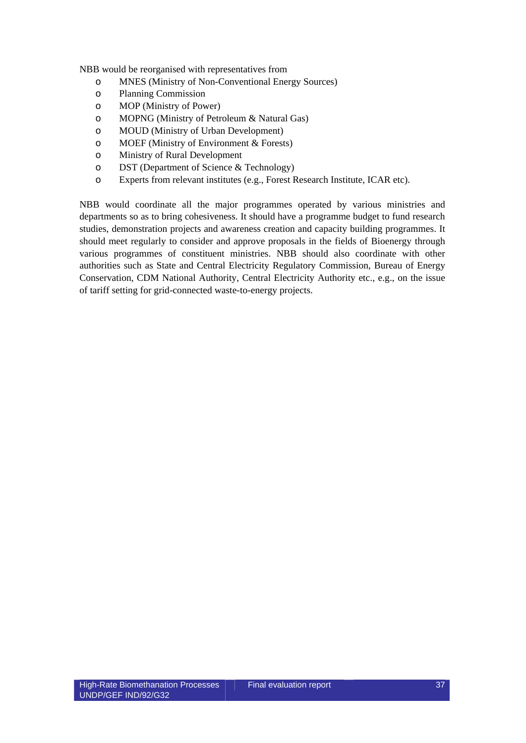NBB would be reorganised with representatives from

- o MNES (Ministry of Non-Conventional Energy Sources)
- o Planning Commission
- o MOP (Ministry of Power)
- o MOPNG (Ministry of Petroleum & Natural Gas)
- o MOUD (Ministry of Urban Development)
- o MOEF (Ministry of Environment & Forests)
- o Ministry of Rural Development
- o DST (Department of Science & Technology)
- o Experts from relevant institutes (e.g., Forest Research Institute, ICAR etc).

NBB would coordinate all the major programmes operated by various ministries and departments so as to bring cohesiveness. It should have a programme budget to fund research studies, demonstration projects and awareness creation and capacity building programmes. It should meet regularly to consider and approve proposals in the fields of Bioenergy through various programmes of constituent ministries. NBB should also coordinate with other authorities such as State and Central Electricity Regulatory Commission, Bureau of Energy Conservation, CDM National Authority, Central Electricity Authority etc., e.g., on the issue of tariff setting for grid-connected waste-to-energy projects.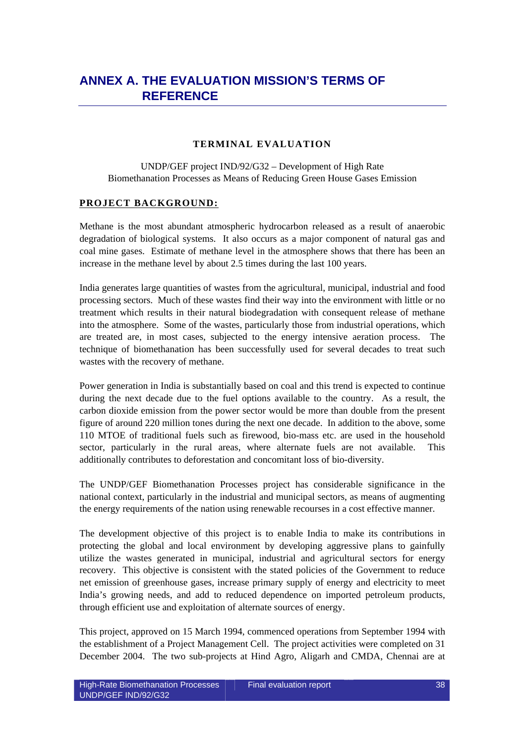## **TERMINAL EVALUATION**

UNDP/GEF project IND/92/G32 – Development of High Rate Biomethanation Processes as Means of Reducing Green House Gases Emission

### **PROJECT BACKGROUND:**

Methane is the most abundant atmospheric hydrocarbon released as a result of anaerobic degradation of biological systems. It also occurs as a major component of natural gas and coal mine gases. Estimate of methane level in the atmosphere shows that there has been an increase in the methane level by about 2.5 times during the last 100 years.

India generates large quantities of wastes from the agricultural, municipal, industrial and food processing sectors. Much of these wastes find their way into the environment with little or no treatment which results in their natural biodegradation with consequent release of methane into the atmosphere. Some of the wastes, particularly those from industrial operations, which are treated are, in most cases, subjected to the energy intensive aeration process. The technique of biomethanation has been successfully used for several decades to treat such wastes with the recovery of methane.

Power generation in India is substantially based on coal and this trend is expected to continue during the next decade due to the fuel options available to the country. As a result, the carbon dioxide emission from the power sector would be more than double from the present figure of around 220 million tones during the next one decade. In addition to the above, some 110 MTOE of traditional fuels such as firewood, bio-mass etc. are used in the household sector, particularly in the rural areas, where alternate fuels are not available. This additionally contributes to deforestation and concomitant loss of bio-diversity.

The UNDP/GEF Biomethanation Processes project has considerable significance in the national context, particularly in the industrial and municipal sectors, as means of augmenting the energy requirements of the nation using renewable recourses in a cost effective manner.

The development objective of this project is to enable India to make its contributions in protecting the global and local environment by developing aggressive plans to gainfully utilize the wastes generated in municipal, industrial and agricultural sectors for energy recovery. This objective is consistent with the stated policies of the Government to reduce net emission of greenhouse gases, increase primary supply of energy and electricity to meet India's growing needs, and add to reduced dependence on imported petroleum products, through efficient use and exploitation of alternate sources of energy.

This project, approved on 15 March 1994, commenced operations from September 1994 with the establishment of a Project Management Cell. The project activities were completed on 31 December 2004. The two sub-projects at Hind Agro, Aligarh and CMDA, Chennai are at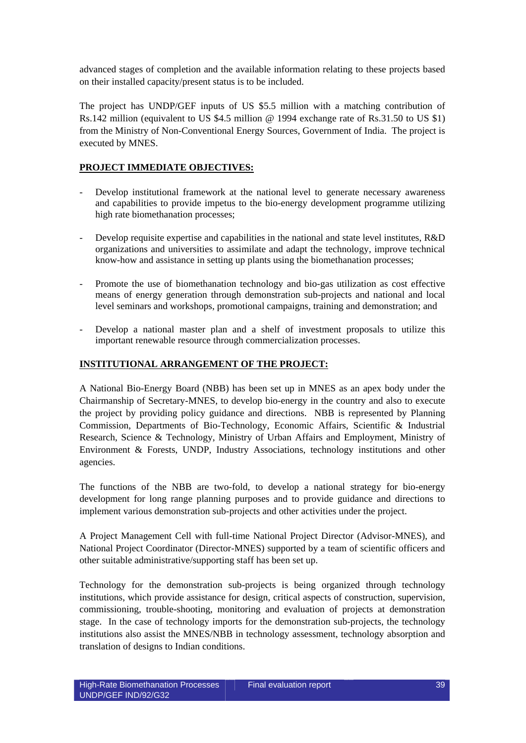advanced stages of completion and the available information relating to these projects based on their installed capacity/present status is to be included.

The project has UNDP/GEF inputs of US \$5.5 million with a matching contribution of Rs.142 million (equivalent to US \$4.5 million @ 1994 exchange rate of Rs.31.50 to US \$1) from the Ministry of Non-Conventional Energy Sources, Government of India. The project is executed by MNES.

## **PROJECT IMMEDIATE OBJECTIVES:**

- Develop institutional framework at the national level to generate necessary awareness and capabilities to provide impetus to the bio-energy development programme utilizing high rate biomethanation processes;
- Develop requisite expertise and capabilities in the national and state level institutes, R&D organizations and universities to assimilate and adapt the technology, improve technical know-how and assistance in setting up plants using the biomethanation processes;
- Promote the use of biomethanation technology and bio-gas utilization as cost effective means of energy generation through demonstration sub-projects and national and local level seminars and workshops, promotional campaigns, training and demonstration; and
- Develop a national master plan and a shelf of investment proposals to utilize this important renewable resource through commercialization processes.

## **INSTITUTIONAL ARRANGEMENT OF THE PROJECT:**

A National Bio-Energy Board (NBB) has been set up in MNES as an apex body under the Chairmanship of Secretary-MNES, to develop bio-energy in the country and also to execute the project by providing policy guidance and directions. NBB is represented by Planning Commission, Departments of Bio-Technology, Economic Affairs, Scientific & Industrial Research, Science & Technology, Ministry of Urban Affairs and Employment, Ministry of Environment & Forests, UNDP, Industry Associations, technology institutions and other agencies.

The functions of the NBB are two-fold, to develop a national strategy for bio-energy development for long range planning purposes and to provide guidance and directions to implement various demonstration sub-projects and other activities under the project.

A Project Management Cell with full-time National Project Director (Advisor-MNES), and National Project Coordinator (Director-MNES) supported by a team of scientific officers and other suitable administrative/supporting staff has been set up.

Technology for the demonstration sub-projects is being organized through technology institutions, which provide assistance for design, critical aspects of construction, supervision, commissioning, trouble-shooting, monitoring and evaluation of projects at demonstration stage. In the case of technology imports for the demonstration sub-projects, the technology institutions also assist the MNES/NBB in technology assessment, technology absorption and translation of designs to Indian conditions.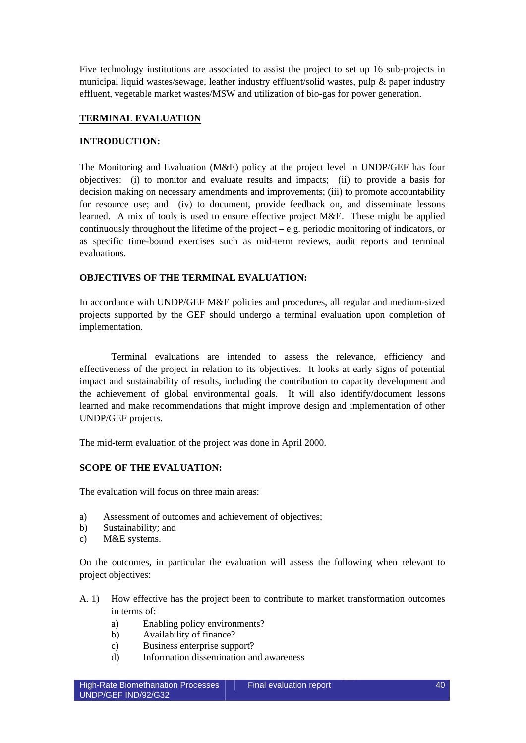Five technology institutions are associated to assist the project to set up 16 sub-projects in municipal liquid wastes/sewage, leather industry effluent/solid wastes, pulp & paper industry effluent, vegetable market wastes/MSW and utilization of bio-gas for power generation.

## **TERMINAL EVALUATION**

## **INTRODUCTION:**

The Monitoring and Evaluation (M&E) policy at the project level in UNDP/GEF has four objectives: (i) to monitor and evaluate results and impacts; (ii) to provide a basis for decision making on necessary amendments and improvements; (iii) to promote accountability for resource use; and (iv) to document, provide feedback on, and disseminate lessons learned. A mix of tools is used to ensure effective project M&E. These might be applied continuously throughout the lifetime of the project – e.g. periodic monitoring of indicators, or as specific time-bound exercises such as mid-term reviews, audit reports and terminal evaluations.

## **OBJECTIVES OF THE TERMINAL EVALUATION:**

In accordance with UNDP/GEF M&E policies and procedures, all regular and medium-sized projects supported by the GEF should undergo a terminal evaluation upon completion of implementation.

 Terminal evaluations are intended to assess the relevance, efficiency and effectiveness of the project in relation to its objectives. It looks at early signs of potential impact and sustainability of results, including the contribution to capacity development and the achievement of global environmental goals. It will also identify/document lessons learned and make recommendations that might improve design and implementation of other UNDP/GEF projects.

The mid-term evaluation of the project was done in April 2000.

## **SCOPE OF THE EVALUATION:**

The evaluation will focus on three main areas:

- a) Assessment of outcomes and achievement of objectives;
- b) Sustainability; and
- c) M&E systems.

On the outcomes, in particular the evaluation will assess the following when relevant to project objectives:

- A. 1) How effective has the project been to contribute to market transformation outcomes in terms of:
	- a) Enabling policy environments?
	- b) Availability of finance?
	- c) Business enterprise support?
	- d) Information dissemination and awareness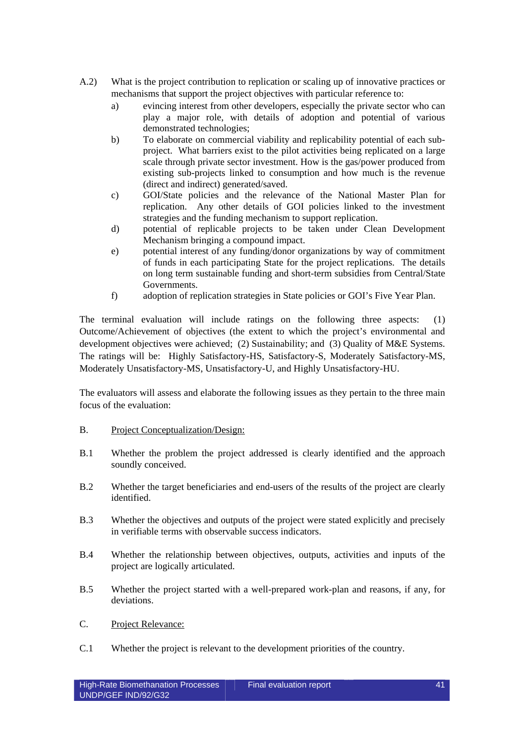- A.2) What is the project contribution to replication or scaling up of innovative practices or mechanisms that support the project objectives with particular reference to:
	- a) evincing interest from other developers, especially the private sector who can play a major role, with details of adoption and potential of various demonstrated technologies;
	- b) To elaborate on commercial viability and replicability potential of each subproject. What barriers exist to the pilot activities being replicated on a large scale through private sector investment. How is the gas/power produced from existing sub-projects linked to consumption and how much is the revenue (direct and indirect) generated/saved.
	- c) GOI/State policies and the relevance of the National Master Plan for replication. Any other details of GOI policies linked to the investment strategies and the funding mechanism to support replication.
	- d) potential of replicable projects to be taken under Clean Development Mechanism bringing a compound impact.
	- e) potential interest of any funding/donor organizations by way of commitment of funds in each participating State for the project replications. The details on long term sustainable funding and short-term subsidies from Central/State Governments.
	- f) adoption of replication strategies in State policies or GOI's Five Year Plan.

The terminal evaluation will include ratings on the following three aspects: (1) Outcome/Achievement of objectives (the extent to which the project's environmental and development objectives were achieved; (2) Sustainability; and (3) Quality of M&E Systems. The ratings will be: Highly Satisfactory-HS, Satisfactory-S, Moderately Satisfactory-MS, Moderately Unsatisfactory-MS, Unsatisfactory-U, and Highly Unsatisfactory-HU.

The evaluators will assess and elaborate the following issues as they pertain to the three main focus of the evaluation:

- B. Project Conceptualization/Design:
- B.1 Whether the problem the project addressed is clearly identified and the approach soundly conceived.
- B.2 Whether the target beneficiaries and end-users of the results of the project are clearly identified.
- B.3 Whether the objectives and outputs of the project were stated explicitly and precisely in verifiable terms with observable success indicators.
- B.4 Whether the relationship between objectives, outputs, activities and inputs of the project are logically articulated.
- B.5 Whether the project started with a well-prepared work-plan and reasons, if any, for deviations.
- C. Project Relevance:
- C.1 Whether the project is relevant to the development priorities of the country.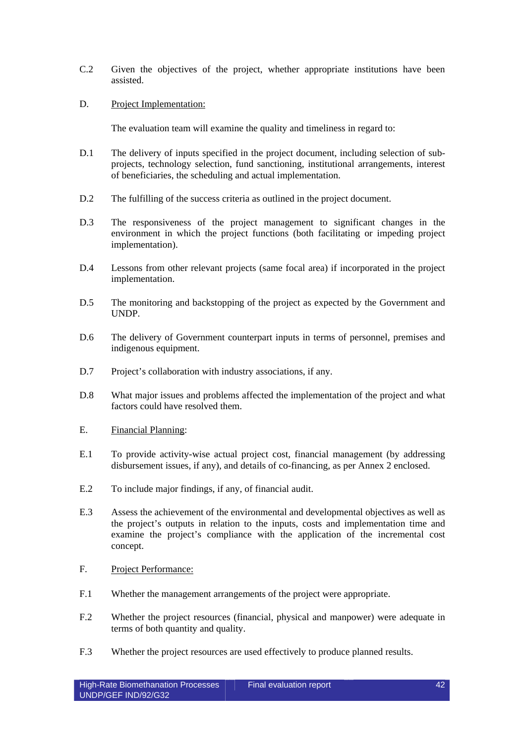- C.2 Given the objectives of the project, whether appropriate institutions have been assisted.
- D. Project Implementation:

The evaluation team will examine the quality and timeliness in regard to:

- D.1 The delivery of inputs specified in the project document, including selection of subprojects, technology selection, fund sanctioning, institutional arrangements, interest of beneficiaries, the scheduling and actual implementation.
- D.2 The fulfilling of the success criteria as outlined in the project document.
- D.3 The responsiveness of the project management to significant changes in the environment in which the project functions (both facilitating or impeding project implementation).
- D.4 Lessons from other relevant projects (same focal area) if incorporated in the project implementation.
- D.5 The monitoring and backstopping of the project as expected by the Government and UNDP.
- D.6 The delivery of Government counterpart inputs in terms of personnel, premises and indigenous equipment.
- D.7 Project's collaboration with industry associations, if any.
- D.8 What major issues and problems affected the implementation of the project and what factors could have resolved them.
- E. Financial Planning:
- E.1 To provide activity-wise actual project cost, financial management (by addressing disbursement issues, if any), and details of co-financing, as per Annex 2 enclosed.
- E.2 To include major findings, if any, of financial audit.
- E.3 Assess the achievement of the environmental and developmental objectives as well as the project's outputs in relation to the inputs, costs and implementation time and examine the project's compliance with the application of the incremental cost concept.
- F. Project Performance:
- F.1 Whether the management arrangements of the project were appropriate.
- F.2 Whether the project resources (financial, physical and manpower) were adequate in terms of both quantity and quality.
- F.3 Whether the project resources are used effectively to produce planned results.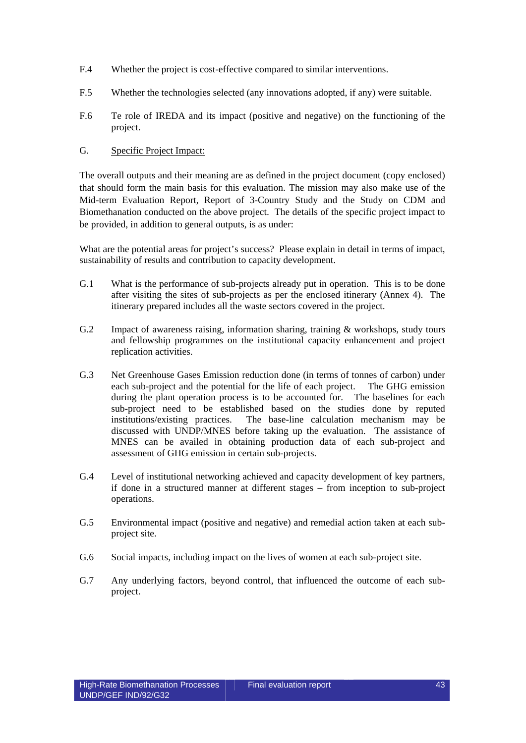- F.4 Whether the project is cost-effective compared to similar interventions.
- F.5 Whether the technologies selected (any innovations adopted, if any) were suitable.
- F.6 Te role of IREDA and its impact (positive and negative) on the functioning of the project.

## G. Specific Project Impact:

The overall outputs and their meaning are as defined in the project document (copy enclosed) that should form the main basis for this evaluation. The mission may also make use of the Mid-term Evaluation Report, Report of 3-Country Study and the Study on CDM and Biomethanation conducted on the above project. The details of the specific project impact to be provided, in addition to general outputs, is as under:

What are the potential areas for project's success? Please explain in detail in terms of impact, sustainability of results and contribution to capacity development.

- G.1 What is the performance of sub-projects already put in operation. This is to be done after visiting the sites of sub-projects as per the enclosed itinerary (Annex 4). The itinerary prepared includes all the waste sectors covered in the project.
- G.2 Impact of awareness raising, information sharing, training & workshops, study tours and fellowship programmes on the institutional capacity enhancement and project replication activities.
- G.3 Net Greenhouse Gases Emission reduction done (in terms of tonnes of carbon) under each sub-project and the potential for the life of each project. The GHG emission during the plant operation process is to be accounted for. The baselines for each sub-project need to be established based on the studies done by reputed institutions/existing practices. The base-line calculation mechanism may be discussed with UNDP/MNES before taking up the evaluation. The assistance of MNES can be availed in obtaining production data of each sub-project and assessment of GHG emission in certain sub-projects.
- G.4 Level of institutional networking achieved and capacity development of key partners, if done in a structured manner at different stages – from inception to sub-project operations.
- G.5 Environmental impact (positive and negative) and remedial action taken at each subproject site.
- G.6 Social impacts, including impact on the lives of women at each sub-project site.
- G.7 Any underlying factors, beyond control, that influenced the outcome of each subproject.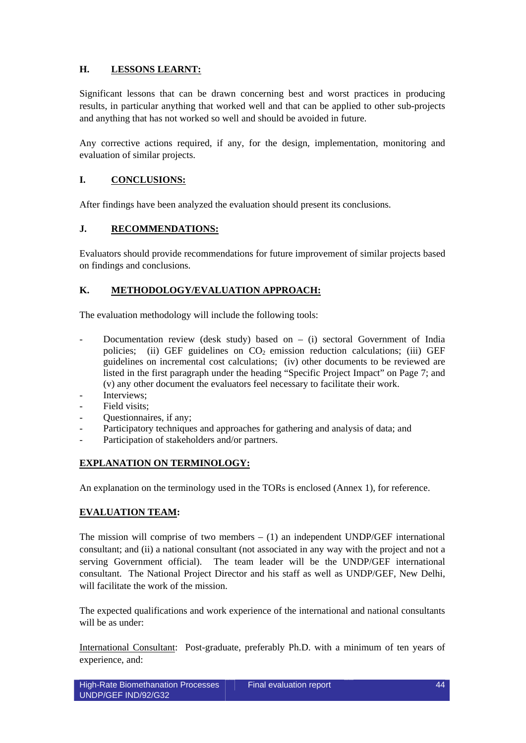## **H. LESSONS LEARNT:**

Significant lessons that can be drawn concerning best and worst practices in producing results, in particular anything that worked well and that can be applied to other sub-projects and anything that has not worked so well and should be avoided in future.

Any corrective actions required, if any, for the design, implementation, monitoring and evaluation of similar projects.

## **I. CONCLUSIONS:**

After findings have been analyzed the evaluation should present its conclusions.

## **J. RECOMMENDATIONS:**

Evaluators should provide recommendations for future improvement of similar projects based on findings and conclusions.

## **K. METHODOLOGY/EVALUATION APPROACH:**

The evaluation methodology will include the following tools:

- Documentation review (desk study) based on  $-$  (i) sectoral Government of India policies; (ii) GEF guidelines on  $CO<sub>2</sub>$  emission reduction calculations; (iii) GEF guidelines on incremental cost calculations; (iv) other documents to be reviewed are listed in the first paragraph under the heading "Specific Project Impact" on Page 7; and (v) any other document the evaluators feel necessary to facilitate their work.
- Interviews:
- Field visits:
- Ouestionnaires, if any;
- Participatory techniques and approaches for gathering and analysis of data; and
- Participation of stakeholders and/or partners.

## **EXPLANATION ON TERMINOLOGY:**

An explanation on the terminology used in the TORs is enclosed (Annex 1), for reference.

## **EVALUATION TEAM:**

The mission will comprise of two members  $- (1)$  an independent UNDP/GEF international consultant; and (ii) a national consultant (not associated in any way with the project and not a serving Government official). The team leader will be the UNDP/GEF international consultant. The National Project Director and his staff as well as UNDP/GEF, New Delhi, will facilitate the work of the mission.

The expected qualifications and work experience of the international and national consultants will be as under:

International Consultant: Post-graduate, preferably Ph.D. with a minimum of ten years of experience, and: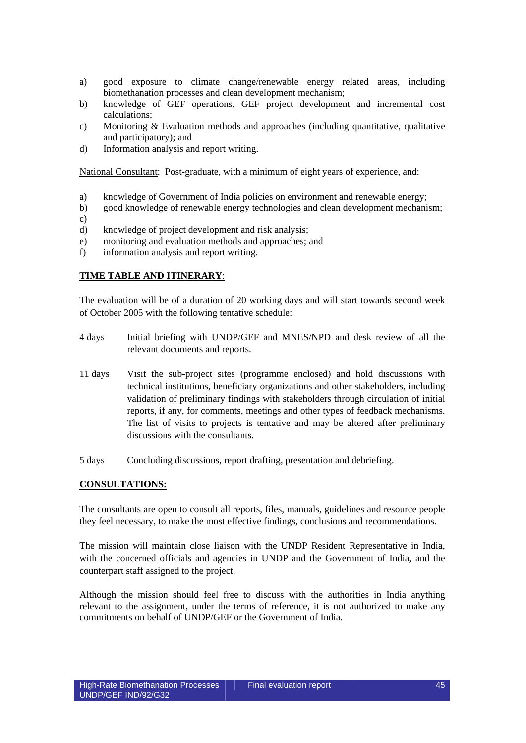- a) good exposure to climate change/renewable energy related areas, including biomethanation processes and clean development mechanism;
- b) knowledge of GEF operations, GEF project development and incremental cost calculations;
- c) Monitoring & Evaluation methods and approaches (including quantitative, qualitative and participatory); and
- d) Information analysis and report writing.

National Consultant: Post-graduate, with a minimum of eight years of experience, and:

- a) knowledge of Government of India policies on environment and renewable energy;
- b) good knowledge of renewable energy technologies and clean development mechanism;
- c)
- d) knowledge of project development and risk analysis;
- e) monitoring and evaluation methods and approaches; and
- f) information analysis and report writing.

## **TIME TABLE AND ITINERARY**:

The evaluation will be of a duration of 20 working days and will start towards second week of October 2005 with the following tentative schedule:

- 4 days Initial briefing with UNDP/GEF and MNES/NPD and desk review of all the relevant documents and reports.
- 11 days Visit the sub-project sites (programme enclosed) and hold discussions with technical institutions, beneficiary organizations and other stakeholders, including validation of preliminary findings with stakeholders through circulation of initial reports, if any, for comments, meetings and other types of feedback mechanisms. The list of visits to projects is tentative and may be altered after preliminary discussions with the consultants.
- 5 days Concluding discussions, report drafting, presentation and debriefing.

## **CONSULTATIONS:**

The consultants are open to consult all reports, files, manuals, guidelines and resource people they feel necessary, to make the most effective findings, conclusions and recommendations.

The mission will maintain close liaison with the UNDP Resident Representative in India, with the concerned officials and agencies in UNDP and the Government of India, and the counterpart staff assigned to the project.

Although the mission should feel free to discuss with the authorities in India anything relevant to the assignment, under the terms of reference, it is not authorized to make any commitments on behalf of UNDP/GEF or the Government of India.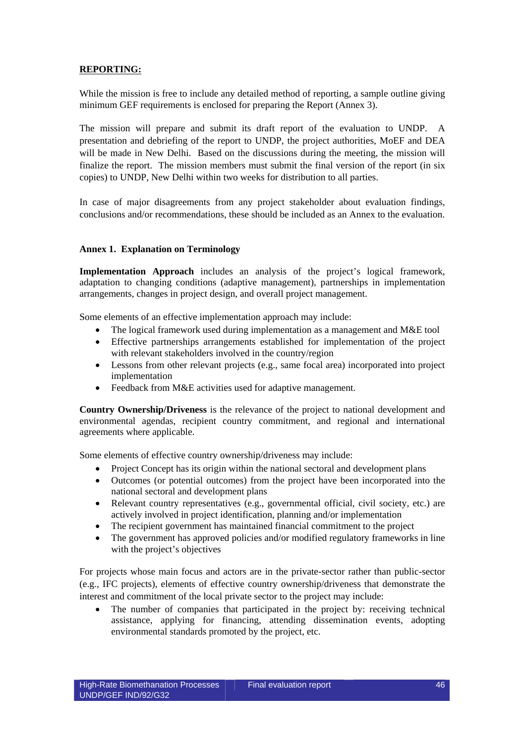## **REPORTING:**

While the mission is free to include any detailed method of reporting, a sample outline giving minimum GEF requirements is enclosed for preparing the Report (Annex 3).

The mission will prepare and submit its draft report of the evaluation to UNDP. A presentation and debriefing of the report to UNDP, the project authorities, MoEF and DEA will be made in New Delhi. Based on the discussions during the meeting, the mission will finalize the report. The mission members must submit the final version of the report (in six copies) to UNDP, New Delhi within two weeks for distribution to all parties.

In case of major disagreements from any project stakeholder about evaluation findings, conclusions and/or recommendations, these should be included as an Annex to the evaluation.

### **Annex 1. Explanation on Terminology**

**Implementation Approach** includes an analysis of the project's logical framework, adaptation to changing conditions (adaptive management), partnerships in implementation arrangements, changes in project design, and overall project management.

Some elements of an effective implementation approach may include:

- The logical framework used during implementation as a management and M&E tool
- Effective partnerships arrangements established for implementation of the project with relevant stakeholders involved in the country/region
- Lessons from other relevant projects (e.g., same focal area) incorporated into project implementation
- Feedback from M&E activities used for adaptive management.

**Country Ownership/Driveness** is the relevance of the project to national development and environmental agendas, recipient country commitment, and regional and international agreements where applicable.

Some elements of effective country ownership/driveness may include:

- Project Concept has its origin within the national sectoral and development plans
- Outcomes (or potential outcomes) from the project have been incorporated into the national sectoral and development plans
- Relevant country representatives (e.g., governmental official, civil society, etc.) are actively involved in project identification, planning and/or implementation
- The recipient government has maintained financial commitment to the project
- The government has approved policies and/or modified regulatory frameworks in line with the project's objectives

For projects whose main focus and actors are in the private-sector rather than public-sector (e.g., IFC projects), elements of effective country ownership/driveness that demonstrate the interest and commitment of the local private sector to the project may include:

• The number of companies that participated in the project by: receiving technical assistance, applying for financing, attending dissemination events, adopting environmental standards promoted by the project, etc.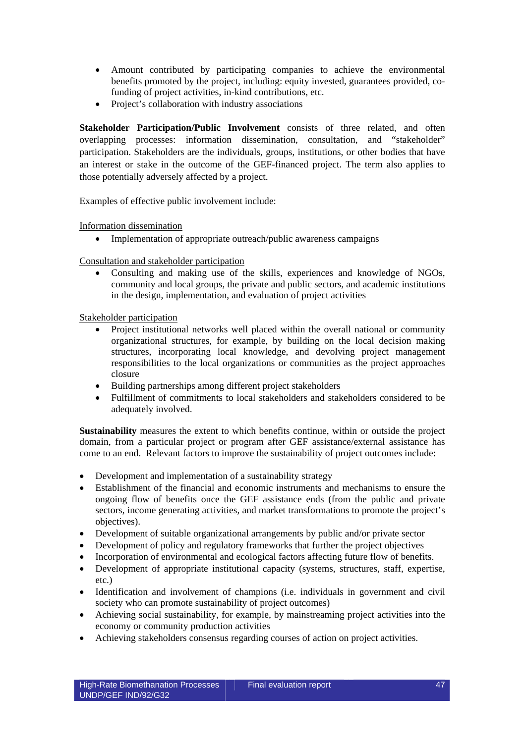- Amount contributed by participating companies to achieve the environmental benefits promoted by the project, including: equity invested, guarantees provided, cofunding of project activities, in-kind contributions, etc.
- Project's collaboration with industry associations

**Stakeholder Participation/Public Involvement** consists of three related, and often overlapping processes: information dissemination, consultation, and "stakeholder" participation. Stakeholders are the individuals, groups, institutions, or other bodies that have an interest or stake in the outcome of the GEF-financed project. The term also applies to those potentially adversely affected by a project.

Examples of effective public involvement include:

Information dissemination

• Implementation of appropriate outreach/public awareness campaigns

Consultation and stakeholder participation

• Consulting and making use of the skills, experiences and knowledge of NGOs, community and local groups, the private and public sectors, and academic institutions in the design, implementation, and evaluation of project activities

Stakeholder participation

- Project institutional networks well placed within the overall national or community organizational structures, for example, by building on the local decision making structures, incorporating local knowledge, and devolving project management responsibilities to the local organizations or communities as the project approaches closure
- Building partnerships among different project stakeholders
- Fulfillment of commitments to local stakeholders and stakeholders considered to be adequately involved.

**Sustainability** measures the extent to which benefits continue, within or outside the project domain, from a particular project or program after GEF assistance/external assistance has come to an end. Relevant factors to improve the sustainability of project outcomes include:

- Development and implementation of a sustainability strategy
- Establishment of the financial and economic instruments and mechanisms to ensure the ongoing flow of benefits once the GEF assistance ends (from the public and private sectors, income generating activities, and market transformations to promote the project's objectives).
- Development of suitable organizational arrangements by public and/or private sector
- Development of policy and regulatory frameworks that further the project objectives
- Incorporation of environmental and ecological factors affecting future flow of benefits.
- Development of appropriate institutional capacity (systems, structures, staff, expertise, etc.)
- Identification and involvement of champions (i.e. individuals in government and civil society who can promote sustainability of project outcomes)
- Achieving social sustainability, for example, by mainstreaming project activities into the economy or community production activities
- Achieving stakeholders consensus regarding courses of action on project activities.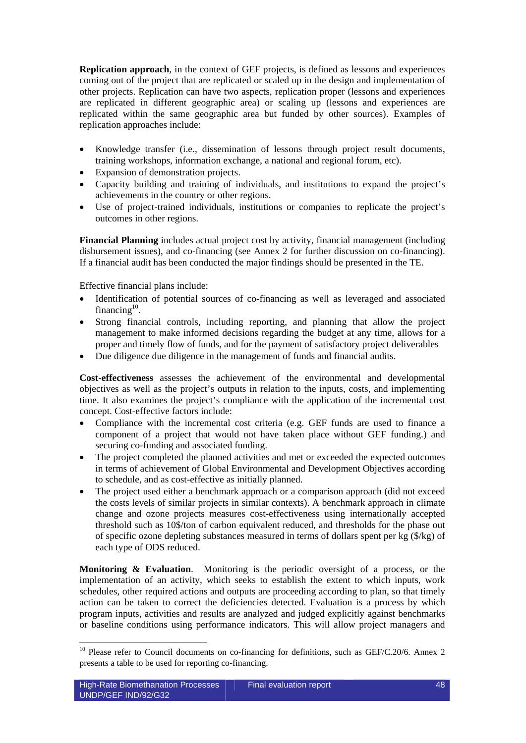**Replication approach**, in the context of GEF projects, is defined as lessons and experiences coming out of the project that are replicated or scaled up in the design and implementation of other projects. Replication can have two aspects, replication proper (lessons and experiences are replicated in different geographic area) or scaling up (lessons and experiences are replicated within the same geographic area but funded by other sources). Examples of replication approaches include:

- Knowledge transfer (i.e., dissemination of lessons through project result documents, training workshops, information exchange, a national and regional forum, etc).
- Expansion of demonstration projects.
- Capacity building and training of individuals, and institutions to expand the project's achievements in the country or other regions.
- Use of project-trained individuals, institutions or companies to replicate the project's outcomes in other regions.

**Financial Planning** includes actual project cost by activity, financial management (including disbursement issues), and co-financing (see Annex 2 for further discussion on co-financing). If a financial audit has been conducted the major findings should be presented in the TE.

Effective financial plans include:

- Identification of potential sources of co-financing as well as leveraged and associated financing $10$ .
- Strong financial controls, including reporting, and planning that allow the project management to make informed decisions regarding the budget at any time, allows for a proper and timely flow of funds, and for the payment of satisfactory project deliverables
- Due diligence due diligence in the management of funds and financial audits.

**Cost-effectiveness** assesses the achievement of the environmental and developmental objectives as well as the project's outputs in relation to the inputs, costs, and implementing time. It also examines the project's compliance with the application of the incremental cost concept. Cost-effective factors include:

- Compliance with the incremental cost criteria (e.g. GEF funds are used to finance a component of a project that would not have taken place without GEF funding.) and securing co-funding and associated funding.
- The project completed the planned activities and met or exceeded the expected outcomes in terms of achievement of Global Environmental and Development Objectives according to schedule, and as cost-effective as initially planned.
- The project used either a benchmark approach or a comparison approach (did not exceed the costs levels of similar projects in similar contexts). A benchmark approach in climate change and ozone projects measures cost-effectiveness using internationally accepted threshold such as 10\$/ton of carbon equivalent reduced, and thresholds for the phase out of specific ozone depleting substances measured in terms of dollars spent per kg  $(\frac{C}{k}g)$  of each type of ODS reduced.

**Monitoring & Evaluation**. Monitoring is the periodic oversight of a process, or the implementation of an activity, which seeks to establish the extent to which inputs, work schedules, other required actions and outputs are proceeding according to plan, so that timely action can be taken to correct the deficiencies detected. Evaluation is a process by which program inputs, activities and results are analyzed and judged explicitly against benchmarks or baseline conditions using performance indicators. This will allow project managers and

-

<sup>&</sup>lt;sup>10</sup> Please refer to Council documents on co-financing for definitions, such as GEF/C.20/6. Annex 2 presents a table to be used for reporting co-financing.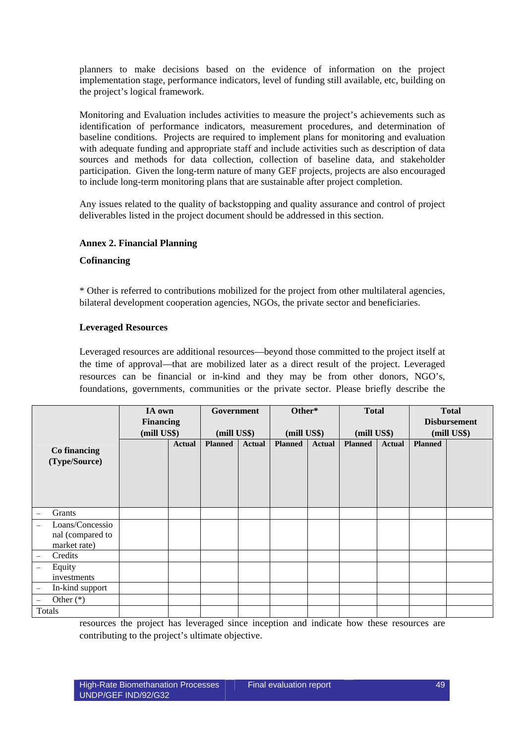planners to make decisions based on the evidence of information on the project implementation stage, performance indicators, level of funding still available, etc, building on the project's logical framework.

Monitoring and Evaluation includes activities to measure the project's achievements such as identification of performance indicators, measurement procedures, and determination of baseline conditions. Projects are required to implement plans for monitoring and evaluation with adequate funding and appropriate staff and include activities such as description of data sources and methods for data collection, collection of baseline data, and stakeholder participation. Given the long-term nature of many GEF projects, projects are also encouraged to include long-term monitoring plans that are sustainable after project completion.

Any issues related to the quality of backstopping and quality assurance and control of project deliverables listed in the project document should be addressed in this section.

### **Annex 2. Financial Planning**

### **Cofinancing**

\* Other is referred to contributions mobilized for the project from other multilateral agencies, bilateral development cooperation agencies, NGOs, the private sector and beneficiaries.

### **Leveraged Resources**

Leveraged resources are additional resources—beyond those committed to the project itself at the time of approval—that are mobilized later as a direct result of the project. Leveraged resources can be financial or in-kind and they may be from other donors, NGO's, foundations, governments, communities or the private sector. Please briefly describe the

|                                                          | IA own           |               | Government     |               | Other*         |               | <b>Total</b>   |               |                | <b>Total</b>        |
|----------------------------------------------------------|------------------|---------------|----------------|---------------|----------------|---------------|----------------|---------------|----------------|---------------------|
|                                                          | <b>Financing</b> |               |                |               |                |               |                |               |                | <b>Disbursement</b> |
|                                                          | (mill US\$)      |               | (mill US\$)    |               | (mill US\$)    |               | (mill US\$)    |               | (mill US\$)    |                     |
| Co financing<br>(Type/Source)                            |                  | <b>Actual</b> | <b>Planned</b> | <b>Actual</b> | <b>Planned</b> | <b>Actual</b> | <b>Planned</b> | <b>Actual</b> | <b>Planned</b> |                     |
| Grants<br>-                                              |                  |               |                |               |                |               |                |               |                |                     |
| Loans/Concessio<br>-<br>nal (compared to<br>market rate) |                  |               |                |               |                |               |                |               |                |                     |
| Credits<br>-                                             |                  |               |                |               |                |               |                |               |                |                     |
| Equity<br>-<br>investments                               |                  |               |                |               |                |               |                |               |                |                     |
| In-kind support<br>-                                     |                  |               |                |               |                |               |                |               |                |                     |
| Other $(*)$<br>-                                         |                  |               |                |               |                |               |                |               |                |                     |
| Totals                                                   |                  |               |                |               |                |               |                |               |                |                     |

resources the project has leveraged since inception and indicate how these resources are contributing to the project's ultimate objective.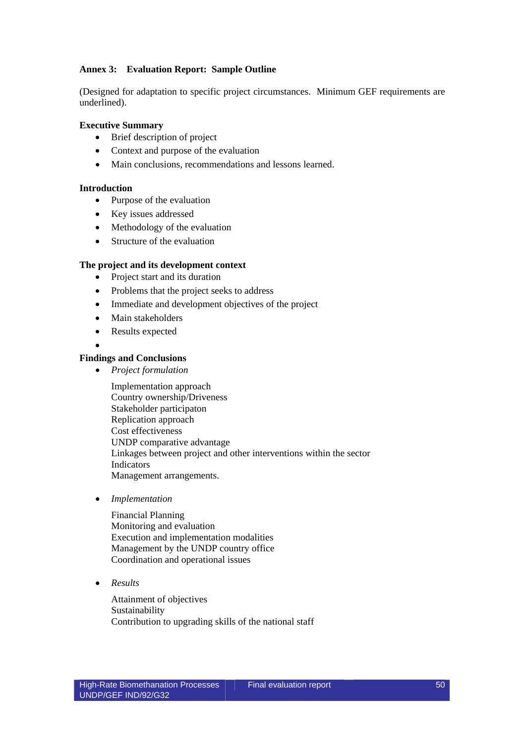## **Annex 3: Evaluation Report: Sample Outline**

(Designed for adaptation to specific project circumstances. Minimum GEF requirements are underlined).

## **Executive Summary**

- Brief description of project
- Context and purpose of the evaluation
- Main conclusions, recommendations and lessons learned.

## **Introduction**

- Purpose of the evaluation
- Key issues addressed
- Methodology of the evaluation
- Structure of the evaluation

## **The project and its development context**

- Project start and its duration
- Problems that the project seeks to address
- Immediate and development objectives of the project
- Main stakeholders
- Results expected
- •

## **Findings and Conclusions**

• *Project formulation* 

Implementation approach Country ownership/Driveness Stakeholder participaton Replication approach Cost effectiveness UNDP comparative advantage Linkages between project and other interventions within the sector Indicators Management arrangements.

• *Implementation* 

Financial Planning Monitoring and evaluation Execution and implementation modalities Management by the UNDP country office Coordination and operational issues

• *Results* 

Attainment of objectives Sustainability Contribution to upgrading skills of the national staff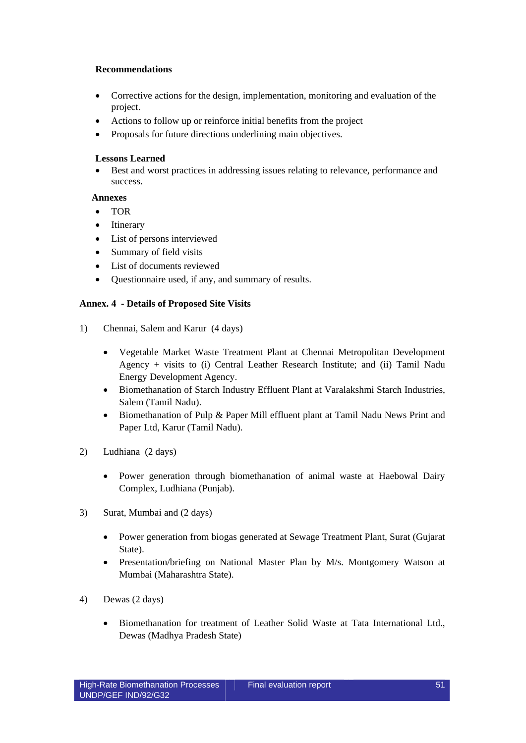## **Recommendations**

- Corrective actions for the design, implementation, monitoring and evaluation of the project.
- Actions to follow up or reinforce initial benefits from the project
- Proposals for future directions underlining main objectives.

## **Lessons Learned**

• Best and worst practices in addressing issues relating to relevance, performance and success.

## **Annexes**

- TOR
- Itinerary
- List of persons interviewed
- Summary of field visits
- List of documents reviewed
- Questionnaire used, if any, and summary of results.

## **Annex. 4 - Details of Proposed Site Visits**

- 1) Chennai, Salem and Karur (4 days)
	- Vegetable Market Waste Treatment Plant at Chennai Metropolitan Development Agency + visits to (i) Central Leather Research Institute; and (ii) Tamil Nadu Energy Development Agency.
	- Biomethanation of Starch Industry Effluent Plant at Varalakshmi Starch Industries, Salem (Tamil Nadu).
	- Biomethanation of Pulp & Paper Mill effluent plant at Tamil Nadu News Print and Paper Ltd, Karur (Tamil Nadu).
- 2) Ludhiana (2 days)
	- Power generation through biomethanation of animal waste at Haebowal Dairy Complex, Ludhiana (Punjab).
- 3) Surat, Mumbai and (2 days)
	- Power generation from biogas generated at Sewage Treatment Plant, Surat (Gujarat State).
	- Presentation/briefing on National Master Plan by M/s. Montgomery Watson at Mumbai (Maharashtra State).
- 4) Dewas (2 days)
	- Biomethanation for treatment of Leather Solid Waste at Tata International Ltd., Dewas (Madhya Pradesh State)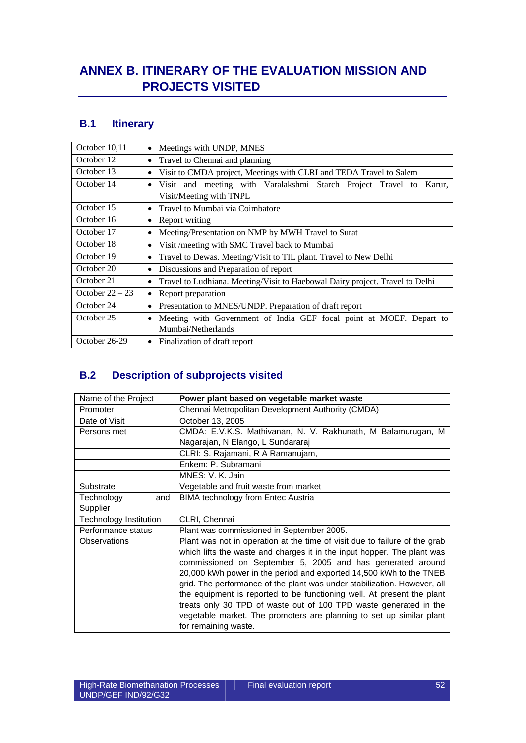# **ANNEX B. ITINERARY OF THE EVALUATION MISSION AND PROJECTS VISITED**

## **B.1 Itinerary**

| October 10,11     | Meetings with UNDP, MNES<br>$\bullet$                                                     |  |  |
|-------------------|-------------------------------------------------------------------------------------------|--|--|
| October 12        | Travel to Chennai and planning<br>$\bullet$                                               |  |  |
| October 13        | Visit to CMDA project, Meetings with CLRI and TEDA Travel to Salem<br>$\bullet$           |  |  |
| October 14        | Visit and meeting with Varalakshmi Starch Project Travel to<br>Karur.<br>$\bullet$        |  |  |
|                   | Visit/Meeting with TNPL                                                                   |  |  |
| October 15        | Travel to Mumbai via Coimbatore<br>$\bullet$                                              |  |  |
| October 16        | Report writing<br>٠                                                                       |  |  |
| October 17        | Meeting/Presentation on NMP by MWH Travel to Surat<br>$\bullet$                           |  |  |
| October 18        | Visit / meeting with SMC Travel back to Mumbai<br>$\bullet$                               |  |  |
| October 19        | Travel to Dewas. Meeting/Visit to TIL plant. Travel to New Delhi<br>$\bullet$             |  |  |
| October 20        | Discussions and Preparation of report<br>٠                                                |  |  |
| October 21        | Travel to Ludhiana. Meeting/Visit to Haebowal Dairy project. Travel to Delhi<br>$\bullet$ |  |  |
| October $22 - 23$ | Report preparation<br>٠                                                                   |  |  |
| October 24        | Presentation to MNES/UNDP. Preparation of draft report                                    |  |  |
| October 25        | Meeting with Government of India GEF focal point at MOEF. Depart to<br>$\bullet$          |  |  |
|                   | Mumbai/Netherlands                                                                        |  |  |
| October 26-29     | Finalization of draft report<br>$\bullet$                                                 |  |  |

# **B.2 Description of subprojects visited**

| Name of the Project           | Power plant based on vegetable market waste                                                                                                                                                                                                                                                                                                                                                                                                                                                                                                                                                                          |  |  |
|-------------------------------|----------------------------------------------------------------------------------------------------------------------------------------------------------------------------------------------------------------------------------------------------------------------------------------------------------------------------------------------------------------------------------------------------------------------------------------------------------------------------------------------------------------------------------------------------------------------------------------------------------------------|--|--|
| Promoter                      | Chennai Metropolitan Development Authority (CMDA)                                                                                                                                                                                                                                                                                                                                                                                                                                                                                                                                                                    |  |  |
| Date of Visit                 | October 13, 2005                                                                                                                                                                                                                                                                                                                                                                                                                                                                                                                                                                                                     |  |  |
| Persons met                   | CMDA: E.V.K.S. Mathivanan, N. V. Rakhunath, M Balamurugan, M                                                                                                                                                                                                                                                                                                                                                                                                                                                                                                                                                         |  |  |
|                               | Nagarajan, N Elango, L Sundararaj                                                                                                                                                                                                                                                                                                                                                                                                                                                                                                                                                                                    |  |  |
|                               | CLRI: S. Rajamani, R A Ramanujam,                                                                                                                                                                                                                                                                                                                                                                                                                                                                                                                                                                                    |  |  |
|                               | Enkem: P. Subramani                                                                                                                                                                                                                                                                                                                                                                                                                                                                                                                                                                                                  |  |  |
|                               | MNES: V. K. Jain                                                                                                                                                                                                                                                                                                                                                                                                                                                                                                                                                                                                     |  |  |
| Substrate                     | Vegetable and fruit waste from market                                                                                                                                                                                                                                                                                                                                                                                                                                                                                                                                                                                |  |  |
| Technology<br>and             | <b>BIMA technology from Entec Austria</b>                                                                                                                                                                                                                                                                                                                                                                                                                                                                                                                                                                            |  |  |
| Supplier                      |                                                                                                                                                                                                                                                                                                                                                                                                                                                                                                                                                                                                                      |  |  |
| <b>Technology Institution</b> | CLRI, Chennai                                                                                                                                                                                                                                                                                                                                                                                                                                                                                                                                                                                                        |  |  |
| Performance status            | Plant was commissioned in September 2005.                                                                                                                                                                                                                                                                                                                                                                                                                                                                                                                                                                            |  |  |
| <b>Observations</b>           | Plant was not in operation at the time of visit due to failure of the grab<br>which lifts the waste and charges it in the input hopper. The plant was<br>commissioned on September 5, 2005 and has generated around<br>20,000 kWh power in the period and exported 14,500 kWh to the TNEB<br>grid. The performance of the plant was under stabilization. However, all<br>the equipment is reported to be functioning well. At present the plant<br>treats only 30 TPD of waste out of 100 TPD waste generated in the<br>vegetable market. The promoters are planning to set up similar plant<br>for remaining waste. |  |  |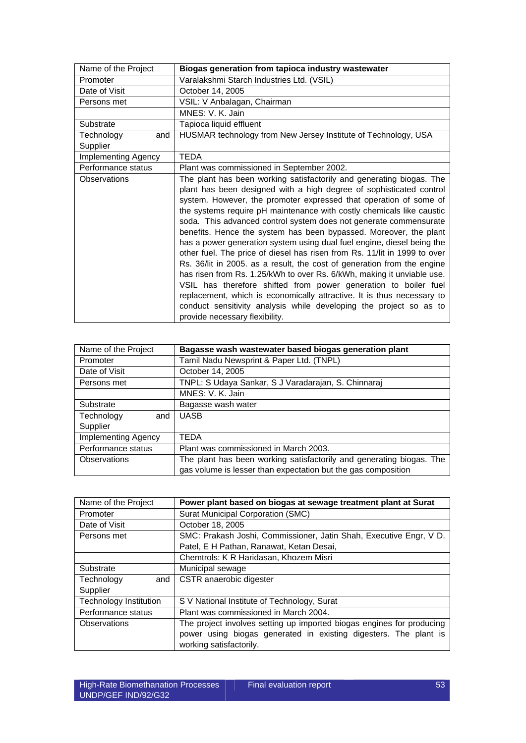| Name of the Project        | Biogas generation from tapioca industry wastewater                                                                                                                                                                                                                                                                                                                                                                                                                                                                                                                                                                                                                                                                                                                                                                                                                                                                                                                                                   |
|----------------------------|------------------------------------------------------------------------------------------------------------------------------------------------------------------------------------------------------------------------------------------------------------------------------------------------------------------------------------------------------------------------------------------------------------------------------------------------------------------------------------------------------------------------------------------------------------------------------------------------------------------------------------------------------------------------------------------------------------------------------------------------------------------------------------------------------------------------------------------------------------------------------------------------------------------------------------------------------------------------------------------------------|
| Promoter                   | Varalakshmi Starch Industries Ltd. (VSIL)                                                                                                                                                                                                                                                                                                                                                                                                                                                                                                                                                                                                                                                                                                                                                                                                                                                                                                                                                            |
| Date of Visit              | October 14, 2005                                                                                                                                                                                                                                                                                                                                                                                                                                                                                                                                                                                                                                                                                                                                                                                                                                                                                                                                                                                     |
| Persons met                | VSIL: V Anbalagan, Chairman                                                                                                                                                                                                                                                                                                                                                                                                                                                                                                                                                                                                                                                                                                                                                                                                                                                                                                                                                                          |
|                            | MNES: V. K. Jain                                                                                                                                                                                                                                                                                                                                                                                                                                                                                                                                                                                                                                                                                                                                                                                                                                                                                                                                                                                     |
| Substrate                  | Tapioca liquid effluent                                                                                                                                                                                                                                                                                                                                                                                                                                                                                                                                                                                                                                                                                                                                                                                                                                                                                                                                                                              |
| Technology<br>and          | HUSMAR technology from New Jersey Institute of Technology, USA                                                                                                                                                                                                                                                                                                                                                                                                                                                                                                                                                                                                                                                                                                                                                                                                                                                                                                                                       |
| Supplier                   |                                                                                                                                                                                                                                                                                                                                                                                                                                                                                                                                                                                                                                                                                                                                                                                                                                                                                                                                                                                                      |
| <b>Implementing Agency</b> | <b>TEDA</b>                                                                                                                                                                                                                                                                                                                                                                                                                                                                                                                                                                                                                                                                                                                                                                                                                                                                                                                                                                                          |
| Performance status         | Plant was commissioned in September 2002.                                                                                                                                                                                                                                                                                                                                                                                                                                                                                                                                                                                                                                                                                                                                                                                                                                                                                                                                                            |
| <b>Observations</b>        | The plant has been working satisfactorily and generating biogas. The<br>plant has been designed with a high degree of sophisticated control<br>system. However, the promoter expressed that operation of some of<br>the systems require pH maintenance with costly chemicals like caustic<br>soda. This advanced control system does not generate commensurate<br>benefits. Hence the system has been bypassed. Moreover, the plant<br>has a power generation system using dual fuel engine, diesel being the<br>other fuel. The price of diesel has risen from Rs. 11/lit in 1999 to over<br>Rs. 36/lit in 2005. as a result, the cost of generation from the engine<br>has risen from Rs. 1.25/kWh to over Rs. 6/kWh, making it unviable use.<br>VSIL has therefore shifted from power generation to boiler fuel<br>replacement, which is economically attractive. It is thus necessary to<br>conduct sensitivity analysis while developing the project so as to<br>provide necessary flexibility. |

| Name of the Project        | Bagasse wash wastewater based biogas generation plant                |  |  |
|----------------------------|----------------------------------------------------------------------|--|--|
| Promoter                   | Tamil Nadu Newsprint & Paper Ltd. (TNPL)                             |  |  |
| Date of Visit              | October 14, 2005                                                     |  |  |
| Persons met                | TNPL: S Udaya Sankar, S J Varadarajan, S. Chinnaraj                  |  |  |
|                            | MNES: V. K. Jain                                                     |  |  |
| Substrate                  | Bagasse wash water                                                   |  |  |
| Technology<br>and          | <b>UASB</b>                                                          |  |  |
| Supplier                   |                                                                      |  |  |
| <b>Implementing Agency</b> | <b>TEDA</b>                                                          |  |  |
| Performance status         | Plant was commissioned in March 2003.                                |  |  |
| Observations               | The plant has been working satisfactorily and generating biogas. The |  |  |
|                            | gas volume is lesser than expectation but the gas composition        |  |  |

| Name of the Project           | Power plant based on biogas at sewage treatment plant at Surat        |  |  |
|-------------------------------|-----------------------------------------------------------------------|--|--|
| Promoter                      | <b>Surat Municipal Corporation (SMC)</b>                              |  |  |
| Date of Visit                 | October 18, 2005                                                      |  |  |
| Persons met                   | SMC: Prakash Joshi, Commissioner, Jatin Shah, Executive Engr, V D.    |  |  |
|                               | Patel, E H Pathan, Ranawat, Ketan Desai,                              |  |  |
|                               | Chemtrols: K R Haridasan, Khozem Misri                                |  |  |
| Substrate                     | Municipal sewage                                                      |  |  |
| Technology<br>and             | CSTR anaerobic digester                                               |  |  |
| Supplier                      |                                                                       |  |  |
| <b>Technology Institution</b> | S V National Institute of Technology, Surat                           |  |  |
| Performance status            | Plant was commissioned in March 2004.                                 |  |  |
| Observations                  | The project involves setting up imported biogas engines for producing |  |  |
|                               | power using biogas generated in existing digesters. The plant is      |  |  |
|                               | working satisfactorily.                                               |  |  |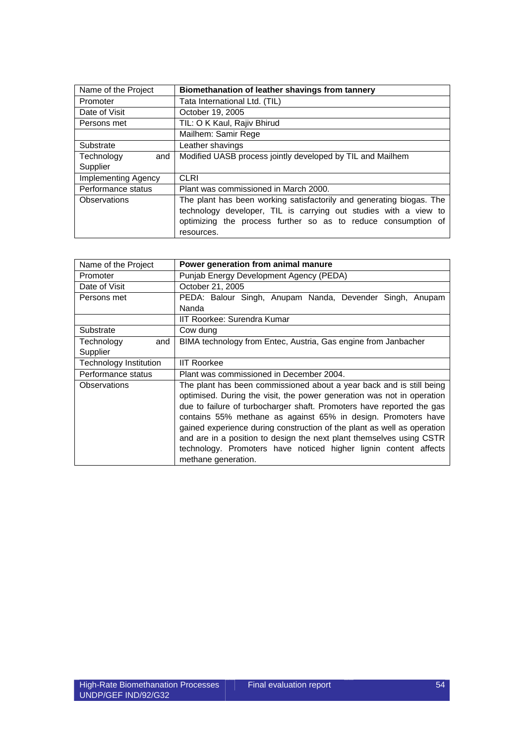| Name of the Project        | Biomethanation of leather shavings from tannery                      |  |  |
|----------------------------|----------------------------------------------------------------------|--|--|
| Promoter                   | Tata International Ltd. (TIL)                                        |  |  |
| Date of Visit              | October 19, 2005                                                     |  |  |
| Persons met                | TIL: O K Kaul, Rajiv Bhirud                                          |  |  |
|                            | Mailhem: Samir Rege                                                  |  |  |
| Substrate                  | Leather shavings                                                     |  |  |
| Technology<br>and          | Modified UASB process jointly developed by TIL and Mailhem           |  |  |
| Supplier                   |                                                                      |  |  |
| <b>Implementing Agency</b> | <b>CLRI</b>                                                          |  |  |
| Performance status         | Plant was commissioned in March 2000.                                |  |  |
| Observations               | The plant has been working satisfactorily and generating biogas. The |  |  |
|                            | technology developer, TIL is carrying out studies with a view to     |  |  |
|                            | optimizing the process further so as to reduce consumption of        |  |  |
|                            | resources.                                                           |  |  |

| Name of the Project    | Power generation from animal manure                                                                                                                                                                                                                                                                                                                                                                                                                                                                                                    |  |  |
|------------------------|----------------------------------------------------------------------------------------------------------------------------------------------------------------------------------------------------------------------------------------------------------------------------------------------------------------------------------------------------------------------------------------------------------------------------------------------------------------------------------------------------------------------------------------|--|--|
| Promoter               | Punjab Energy Development Agency (PEDA)                                                                                                                                                                                                                                                                                                                                                                                                                                                                                                |  |  |
| Date of Visit          | October 21, 2005                                                                                                                                                                                                                                                                                                                                                                                                                                                                                                                       |  |  |
| Persons met            | PEDA: Balour Singh, Anupam Nanda, Devender Singh, Anupam                                                                                                                                                                                                                                                                                                                                                                                                                                                                               |  |  |
|                        | Nanda                                                                                                                                                                                                                                                                                                                                                                                                                                                                                                                                  |  |  |
|                        | IIT Roorkee: Surendra Kumar                                                                                                                                                                                                                                                                                                                                                                                                                                                                                                            |  |  |
| Substrate              | Cow dung                                                                                                                                                                                                                                                                                                                                                                                                                                                                                                                               |  |  |
| Technology<br>and      | BIMA technology from Entec, Austria, Gas engine from Janbacher                                                                                                                                                                                                                                                                                                                                                                                                                                                                         |  |  |
| Supplier               |                                                                                                                                                                                                                                                                                                                                                                                                                                                                                                                                        |  |  |
| Technology Institution | <b>IIT Roorkee</b>                                                                                                                                                                                                                                                                                                                                                                                                                                                                                                                     |  |  |
| Performance status     | Plant was commissioned in December 2004.                                                                                                                                                                                                                                                                                                                                                                                                                                                                                               |  |  |
| Observations           | The plant has been commissioned about a year back and is still being<br>optimised. During the visit, the power generation was not in operation<br>due to failure of turbocharger shaft. Promoters have reported the gas<br>contains 55% methane as against 65% in design. Promoters have<br>gained experience during construction of the plant as well as operation<br>and are in a position to design the next plant themselves using CSTR<br>technology. Promoters have noticed higher lignin content affects<br>methane generation. |  |  |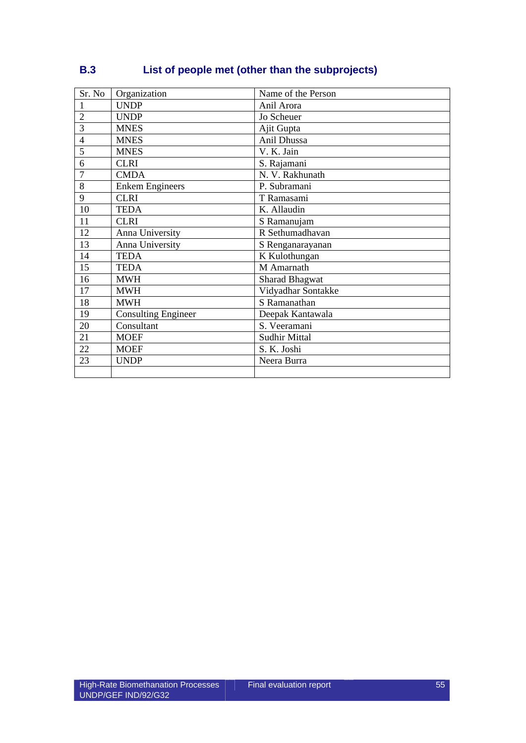| Sr. No         | Organization               | Name of the Person    |  |
|----------------|----------------------------|-----------------------|--|
| 1              | <b>UNDP</b>                | Anil Arora            |  |
| $\overline{2}$ | <b>UNDP</b>                | Jo Scheuer            |  |
| 3              | <b>MNES</b>                | Ajit Gupta            |  |
| $\overline{4}$ | <b>MNES</b>                | Anil Dhussa           |  |
| 5              | <b>MNES</b>                | V. K. Jain            |  |
| 6              | <b>CLRI</b>                | S. Rajamani           |  |
| 7              | <b>CMDA</b>                | N. V. Rakhunath       |  |
| 8              | <b>Enkem Engineers</b>     | P. Subramani          |  |
| 9              | <b>CLRI</b>                | T Ramasami            |  |
| 10             | <b>TEDA</b>                | K. Allaudin           |  |
| 11             | <b>CLRI</b>                | S Ramanujam           |  |
| 12             | Anna University            | R Sethumadhavan       |  |
| 13             | Anna University            | S Renganarayanan      |  |
| 14             | <b>TEDA</b>                | K Kulothungan         |  |
| 15             | <b>TEDA</b>                | M Amarnath            |  |
| 16             | <b>MWH</b>                 | <b>Sharad Bhagwat</b> |  |
| 17             | <b>MWH</b>                 | Vidyadhar Sontakke    |  |
| 18             | <b>MWH</b>                 | S Ramanathan          |  |
| 19             | <b>Consulting Engineer</b> | Deepak Kantawala      |  |
| 20             | Consultant                 | S. Veeramani          |  |
| 21             | <b>MOEF</b>                | <b>Sudhir Mittal</b>  |  |
| 22             | <b>MOEF</b>                | S. K. Joshi           |  |
| 23             | <b>UNDP</b>                | Neera Burra           |  |
|                |                            |                       |  |

# **B.3 List of people met (other than the subprojects)**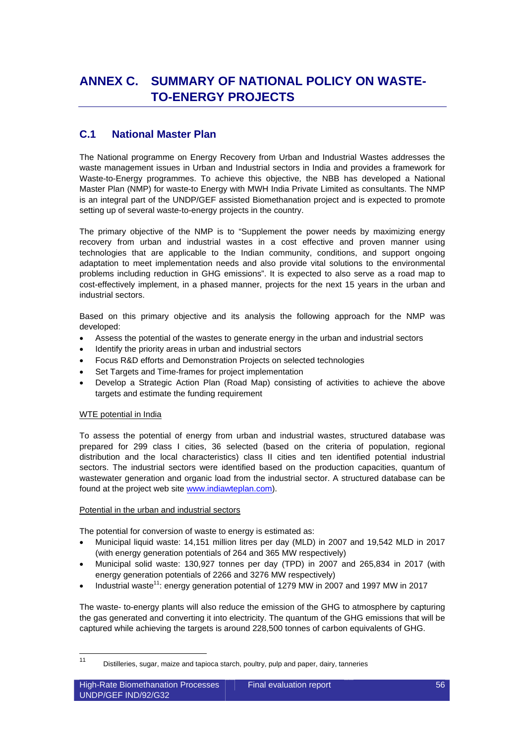# **ANNEX C. SUMMARY OF NATIONAL POLICY ON WASTE-TO-ENERGY PROJECTS**

## **C.1 National Master Plan**

The National programme on Energy Recovery from Urban and Industrial Wastes addresses the waste management issues in Urban and Industrial sectors in India and provides a framework for Waste-to-Energy programmes. To achieve this objective, the NBB has developed a National Master Plan (NMP) for waste-to Energy with MWH India Private Limited as consultants. The NMP is an integral part of the UNDP/GEF assisted Biomethanation project and is expected to promote setting up of several waste-to-energy projects in the country.

The primary objective of the NMP is to "Supplement the power needs by maximizing energy recovery from urban and industrial wastes in a cost effective and proven manner using technologies that are applicable to the Indian community, conditions, and support ongoing adaptation to meet implementation needs and also provide vital solutions to the environmental problems including reduction in GHG emissions". It is expected to also serve as a road map to cost-effectively implement, in a phased manner, projects for the next 15 years in the urban and industrial sectors.

Based on this primary objective and its analysis the following approach for the NMP was developed:

- Assess the potential of the wastes to generate energy in the urban and industrial sectors
- Identify the priority areas in urban and industrial sectors
- Focus R&D efforts and Demonstration Projects on selected technologies
- Set Targets and Time-frames for project implementation
- Develop a Strategic Action Plan (Road Map) consisting of activities to achieve the above targets and estimate the funding requirement

### WTE potential in India

To assess the potential of energy from urban and industrial wastes, structured database was prepared for 299 class I cities, 36 selected (based on the criteria of population, regional distribution and the local characteristics) class II cities and ten identified potential industrial sectors. The industrial sectors were identified based on the production capacities, quantum of wastewater generation and organic load from the industrial sector. A structured database can be found at the project web site www.indiawteplan.com).

### Potential in the urban and industrial sectors

The potential for conversion of waste to energy is estimated as:

- Municipal liquid waste: 14,151 million litres per day (MLD) in 2007 and 19,542 MLD in 2017 (with energy generation potentials of 264 and 365 MW respectively)
- Municipal solid waste: 130,927 tonnes per day (TPD) in 2007 and 265,834 in 2017 (with energy generation potentials of 2266 and 3276 MW respectively)
- Industrial waste<sup>11</sup>: energy generation potential of 1279 MW in 2007 and 1997 MW in 2017

The waste- to-energy plants will also reduce the emission of the GHG to atmosphere by capturing the gas generated and converting it into electricity. The quantum of the GHG emissions that will be captured while achieving the targets is around 228,500 tonnes of carbon equivalents of GHG.

 $11$ Distilleries, sugar, maize and tapioca starch, poultry, pulp and paper, dairy, tanneries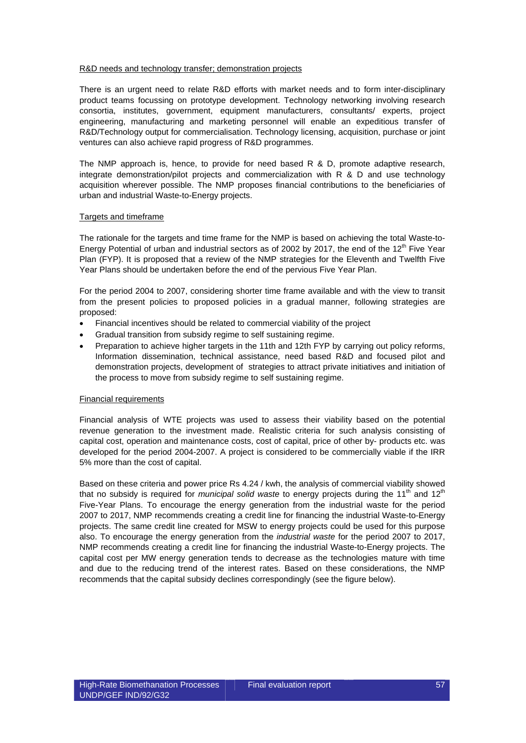### R&D needs and technology transfer; demonstration projects

There is an urgent need to relate R&D efforts with market needs and to form inter-disciplinary product teams focussing on prototype development. Technology networking involving research consortia, institutes, government, equipment manufacturers, consultants/ experts, project engineering, manufacturing and marketing personnel will enable an expeditious transfer of R&D/Technology output for commercialisation. Technology licensing, acquisition, purchase or joint ventures can also achieve rapid progress of R&D programmes.

The NMP approach is, hence, to provide for need based R & D, promote adaptive research, integrate demonstration/pilot projects and commercialization with R & D and use technology acquisition wherever possible. The NMP proposes financial contributions to the beneficiaries of urban and industrial Waste-to-Energy projects.

### Targets and timeframe

The rationale for the targets and time frame for the NMP is based on achieving the total Waste-to-Energy Potential of urban and industrial sectors as of 2002 by 2017, the end of the  $12<sup>th</sup>$  Five Year Plan (FYP). It is proposed that a review of the NMP strategies for the Eleventh and Twelfth Five Year Plans should be undertaken before the end of the pervious Five Year Plan.

For the period 2004 to 2007, considering shorter time frame available and with the view to transit from the present policies to proposed policies in a gradual manner, following strategies are proposed:

- Financial incentives should be related to commercial viability of the project
- Gradual transition from subsidy regime to self sustaining regime.
- Preparation to achieve higher targets in the 11th and 12th FYP by carrying out policy reforms, Information dissemination, technical assistance, need based R&D and focused pilot and demonstration projects, development of strategies to attract private initiatives and initiation of the process to move from subsidy regime to self sustaining regime.

### Financial requirements

Financial analysis of WTE projects was used to assess their viability based on the potential revenue generation to the investment made. Realistic criteria for such analysis consisting of capital cost, operation and maintenance costs, cost of capital, price of other by- products etc. was developed for the period 2004-2007. A project is considered to be commercially viable if the IRR 5% more than the cost of capital.

Based on these criteria and power price Rs 4.24 / kwh, the analysis of commercial viability showed that no subsidy is required for *municipal solid waste* to energy projects during the 11<sup>th</sup> and 12<sup>th</sup> Five-Year Plans. To encourage the energy generation from the industrial waste for the period 2007 to 2017, NMP recommends creating a credit line for financing the industrial Waste-to-Energy projects. The same credit line created for MSW to energy projects could be used for this purpose also. To encourage the energy generation from the *industrial waste* for the period 2007 to 2017, NMP recommends creating a credit line for financing the industrial Waste-to-Energy projects. The capital cost per MW energy generation tends to decrease as the technologies mature with time and due to the reducing trend of the interest rates. Based on these considerations, the NMP recommends that the capital subsidy declines correspondingly (see the figure below).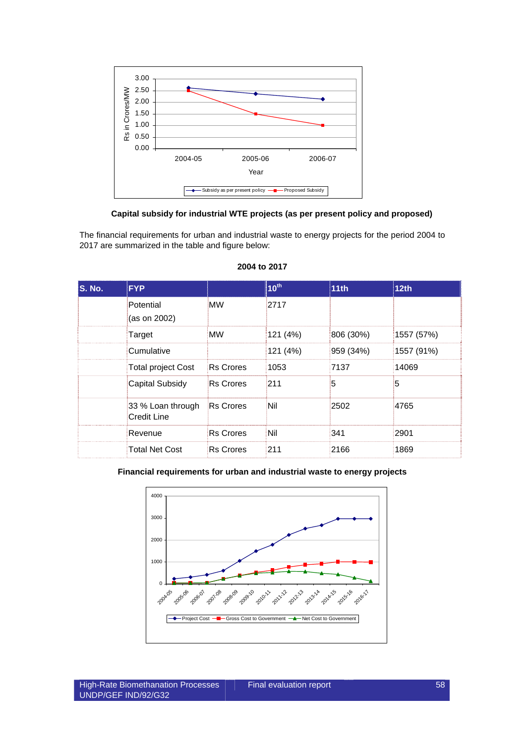

### **Capital subsidy for industrial WTE projects (as per present policy and proposed)**

The financial requirements for urban and industrial waste to energy projects for the period 2004 to 2017 are summarized in the table and figure below:

| S. No. | <b>FYP</b>                       |                  | 10 <sup>th</sup> | 11th      | 12th       |
|--------|----------------------------------|------------------|------------------|-----------|------------|
|        | Potential<br>(as on 2002)        | <b>MW</b>        | 2717             |           |            |
|        | Target                           | <b>MW</b>        | 121 (4%)         | 806 (30%) | 1557 (57%) |
|        | Cumulative                       |                  | 121 (4%)         | 959 (34%) | 1557 (91%) |
|        | <b>Total project Cost</b>        | <b>Rs</b> Crores | 1053             | 7137      | 14069      |
|        | <b>Capital Subsidy</b>           | <b>Rs Crores</b> | 211              | 5         | 5          |
|        | 33 % Loan through<br>Credit Line | <b>Rs Crores</b> | Nil              | 2502      | 4765       |
|        | Revenue                          | <b>Rs Crores</b> | Nil              | 341       | 2901       |
|        | <b>Total Net Cost</b>            | <b>Rs Crores</b> | 211              | 2166      | 1869       |

## **2004 to 2017**

### **Financial requirements for urban and industrial waste to energy projects**

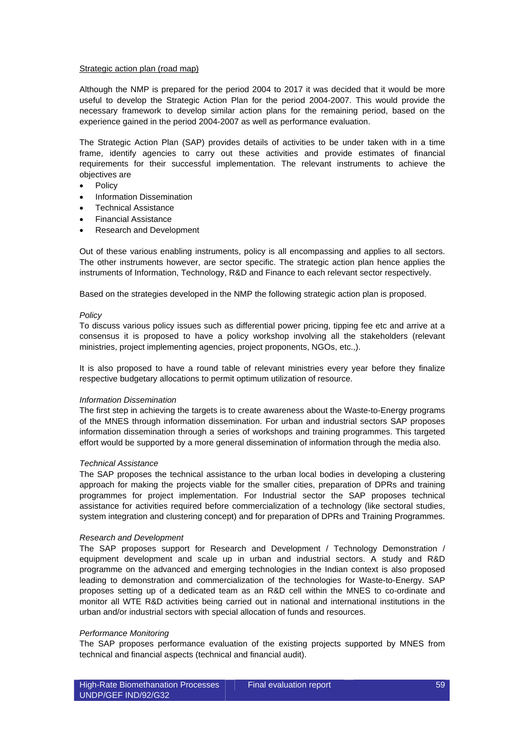### Strategic action plan (road map)

Although the NMP is prepared for the period 2004 to 2017 it was decided that it would be more useful to develop the Strategic Action Plan for the period 2004-2007. This would provide the necessary framework to develop similar action plans for the remaining period, based on the experience gained in the period 2004-2007 as well as performance evaluation.

The Strategic Action Plan (SAP) provides details of activities to be under taken with in a time frame, identify agencies to carry out these activities and provide estimates of financial requirements for their successful implementation. The relevant instruments to achieve the objectives are

- Policy
- Information Dissemination
- Technical Assistance
- Financial Assistance
- Research and Development

Out of these various enabling instruments, policy is all encompassing and applies to all sectors. The other instruments however, are sector specific. The strategic action plan hence applies the instruments of Information, Technology, R&D and Finance to each relevant sector respectively.

Based on the strategies developed in the NMP the following strategic action plan is proposed.

### *Policy*

To discuss various policy issues such as differential power pricing, tipping fee etc and arrive at a consensus it is proposed to have a policy workshop involving all the stakeholders (relevant ministries, project implementing agencies, project proponents, NGOs, etc.,).

It is also proposed to have a round table of relevant ministries every year before they finalize respective budgetary allocations to permit optimum utilization of resource.

### *Information Dissemination*

The first step in achieving the targets is to create awareness about the Waste-to-Energy programs of the MNES through information dissemination. For urban and industrial sectors SAP proposes information dissemination through a series of workshops and training programmes. This targeted effort would be supported by a more general dissemination of information through the media also.

### *Technical Assistance*

The SAP proposes the technical assistance to the urban local bodies in developing a clustering approach for making the projects viable for the smaller cities, preparation of DPRs and training programmes for project implementation. For Industrial sector the SAP proposes technical assistance for activities required before commercialization of a technology (like sectoral studies, system integration and clustering concept) and for preparation of DPRs and Training Programmes.

### *Research and Development*

The SAP proposes support for Research and Development / Technology Demonstration / equipment development and scale up in urban and industrial sectors. A study and R&D programme on the advanced and emerging technologies in the Indian context is also proposed leading to demonstration and commercialization of the technologies for Waste-to-Energy. SAP proposes setting up of a dedicated team as an R&D cell within the MNES to co-ordinate and monitor all WTE R&D activities being carried out in national and international institutions in the urban and/or industrial sectors with special allocation of funds and resources.

### *Performance Monitoring*

The SAP proposes performance evaluation of the existing projects supported by MNES from technical and financial aspects (technical and financial audit).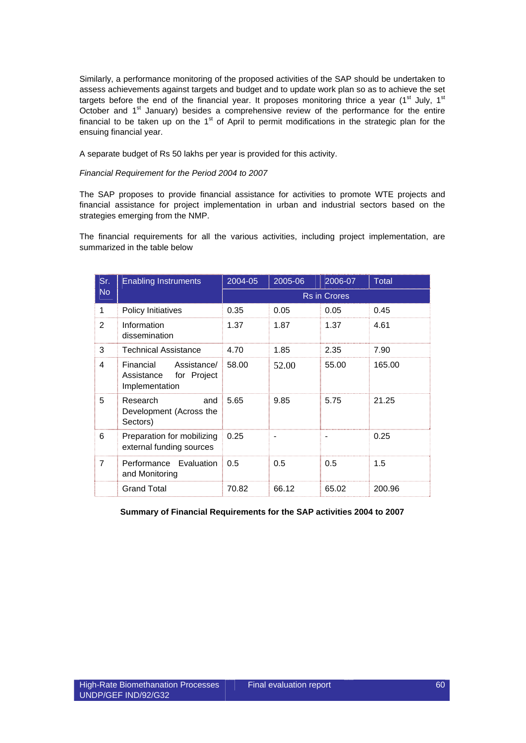Similarly, a performance monitoring of the proposed activities of the SAP should be undertaken to assess achievements against targets and budget and to update work plan so as to achieve the set targets before the end of the financial year. It proposes monitoring thrice a year ( $1<sup>st</sup>$  July,  $1<sup>st</sup>$ October and  $1<sup>st</sup>$  January) besides a comprehensive review of the performance for the entire financial to be taken up on the  $1<sup>st</sup>$  of April to permit modifications in the strategic plan for the ensuing financial year.

A separate budget of Rs 50 lakhs per year is provided for this activity.

### *Financial Requirement for the Period 2004 to 2007*

The SAP proposes to provide financial assistance for activities to promote WTE projects and financial assistance for project implementation in urban and industrial sectors based on the strategies emerging from the NMP.

The financial requirements for all the various activities, including project implementation, are summarized in the table below

| Sr.            | <b>Enabling Instruments</b>                                             | 2004-05 | 2005-06                  | 2006-07                  | <b>Total</b> |
|----------------|-------------------------------------------------------------------------|---------|--------------------------|--------------------------|--------------|
| <b>No</b>      |                                                                         |         |                          | <b>Rs in Crores</b>      |              |
| 1              | Policy Initiatives                                                      | 0.35    | 0.05                     | 0.05                     | 0.45         |
| $\mathcal{P}$  | Information<br>dissemination                                            | 1.37    | 1.87                     | 1.37                     | 4.61         |
| 3              | Technical Assistance                                                    | 4.70    | 1.85                     | 2.35                     | 7.90         |
| 4              | Financial<br>Assistance/<br>for Project<br>Assistance<br>Implementation | 58.00   | 52.00                    | 55.00                    | 165.00       |
| 5              | Research<br>and<br>Development (Across the<br>Sectors)                  | 5.65    | 9.85                     | 5.75                     | 21.25        |
| 6              | Preparation for mobilizing<br>external funding sources                  | 0.25    | $\overline{\phantom{a}}$ | $\overline{\phantom{0}}$ | 0.25         |
| $\overline{7}$ | Performance Evaluation<br>and Monitoring                                | 0.5     | 0.5                      | 0.5                      | 1.5          |
|                | <b>Grand Total</b>                                                      | 70.82   | 66.12                    | 65.02                    | 200.96       |

**Summary of Financial Requirements for the SAP activities 2004 to 2007**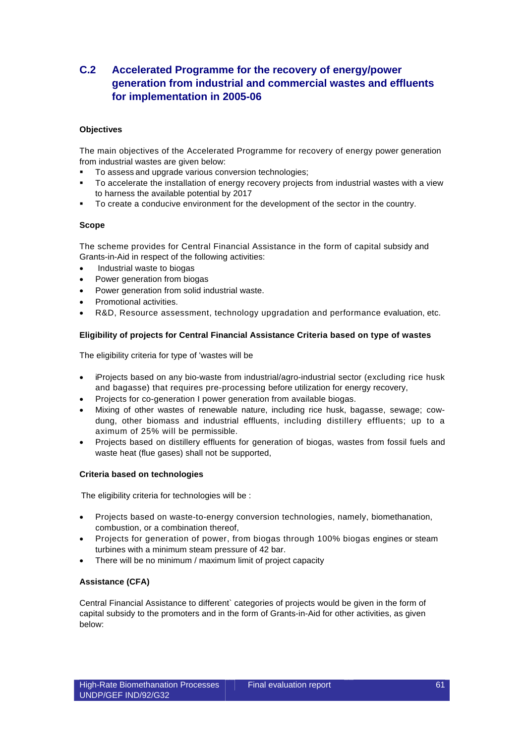## **C.2 Accelerated Programme for the recovery of energy/power generation from industrial and commercial wastes and effluents for implementation in 2005-06**

### **Objectives**

The main objectives of the Accelerated Programme for recovery of energy power generation from industrial wastes are given below:

- To assess and upgrade various conversion technologies;
- To accelerate the installation of energy recovery projects from industrial wastes with a view to harness the available potential by 2017
- To create a conducive environment for the development of the sector in the country.

### **Scope**

The scheme provides for Central Financial Assistance in the form of capital subsidy and Grants-in-Aid in respect of the following activities:

- Industrial waste to biogas
- Power generation from biogas
- Power generation from solid industrial waste.
- Promotional activities.
- R&D, Resource assessment, technology upgradation and performance evaluation, etc.

### **Eligibility of projects for Central Financial Assistance Criteria based on type of wastes**

The eligibility criteria for type of 'wastes will be

- iProjects based on any bio-waste from industrial/agro-industrial sector (excluding rice husk and bagasse) that requires pre-processing before utilization for energy recovery,
- Projects for co-generation I power generation from available biogas.
- Mixing of other wastes of renewable nature, including rice husk, bagasse, sewage; cowdung, other biomass and industrial effluents, including distillery effluents; up to a aximum of 25% will be permissible.
- Projects based on distillery effluents for generation of biogas, wastes from fossil fuels and waste heat (flue gases) shall not be supported,

### **Criteria based on technologies**

The eligibility criteria for technologies will be :

- Projects based on waste-to-energy conversion technologies, namely, biomethanation, combustion, or a combination thereof,
- Projects for generation of power, from biogas through 100% biogas engines or steam turbines with a minimum steam pressure of 42 bar.
- There will be no minimum / maximum limit of project capacity

### **Assistance (CFA)**

Central Financial Assistance to different` categories of projects would be given in the form of capital subsidy to the promoters and in the form of Grants-in-Aid for other activities, as given below: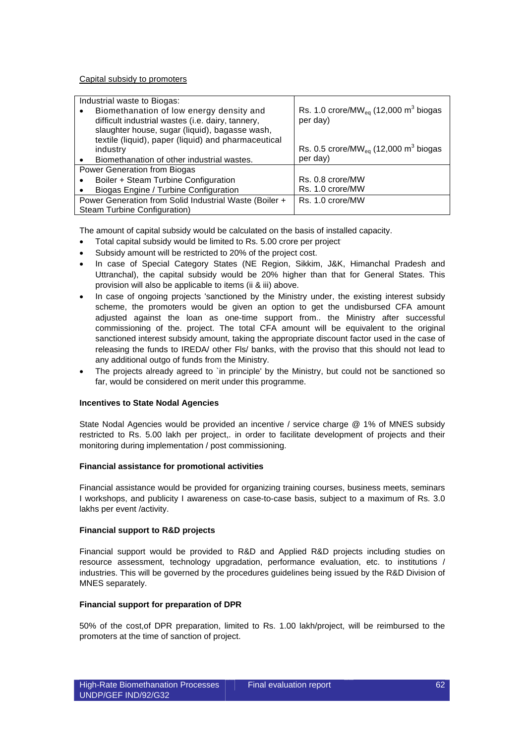Capital subsidy to promoters

|                                                                                                                                                                                                        | Industrial waste to Biogas:                            |                                                                          |  |
|--------------------------------------------------------------------------------------------------------------------------------------------------------------------------------------------------------|--------------------------------------------------------|--------------------------------------------------------------------------|--|
| Biomethanation of low energy density and<br>difficult industrial wastes (i.e. dairy, tannery,<br>slaughter house, sugar (liquid), bagasse wash,<br>textile (liquid), paper (liquid) and pharmaceutical |                                                        | Rs. 1.0 crore/MW <sub>eg</sub> (12,000 m <sup>3</sup> biogas<br>per day) |  |
|                                                                                                                                                                                                        | industry                                               | Rs. 0.5 crore/MW <sub>eg</sub> (12,000 m <sup>3</sup> biogas             |  |
|                                                                                                                                                                                                        | Biomethanation of other industrial wastes.             | per day)                                                                 |  |
|                                                                                                                                                                                                        | Power Generation from Biogas                           |                                                                          |  |
|                                                                                                                                                                                                        | Boiler + Steam Turbine Configuration                   | Rs. 0.8 crore/MW                                                         |  |
|                                                                                                                                                                                                        | Biogas Engine / Turbine Configuration                  | Rs. 1.0 crore/MW                                                         |  |
|                                                                                                                                                                                                        | Power Generation from Solid Industrial Waste (Boiler + | Rs. 1.0 crore/MW                                                         |  |
|                                                                                                                                                                                                        | Steam Turbine Configuration)                           |                                                                          |  |

The amount of capital subsidy would be calculated on the basis of installed capacity.

- Total capital subsidy would be limited to Rs. 5.00 crore per project.
- Subsidy amount will be restricted to 20% of the project cost.
- In case of Special Category States (NE Region, Sikkim, J&K, Himanchal Pradesh and Uttranchal), the capital subsidy would be 20% higher than that for General States. This provision will also be applicable to items (ii & iii) above.
- In case of ongoing projects 'sanctioned by the Ministry under, the existing interest subsidy scheme, the promoters would be given an option to get the undisbursed CFA amount adjusted against the loan as one-time support from.. the Ministry after successful commissioning of the. project. The total CFA amount will be equivalent to the original sanctioned interest subsidy amount, taking the appropriate discount factor used in the case of releasing the funds to IREDA/ other Fls/ banks, with the proviso that this should not lead to any additional outgo of funds from the Ministry.
- The projects already agreed to 'in principle' by the Ministry, but could not be sanctioned so far, would be considered on merit under this programme.

### **Incentives to State Nodal Agencies**

State Nodal Agencies would be provided an incentive / service charge @ 1% of MNES subsidy restricted to Rs. 5.00 lakh per project,. in order to facilitate development of projects and their monitoring during implementation / post commissioning.

### **Financial assistance for promotional activities**

Financial assistance would be provided for organizing training courses, business meets, seminars I workshops, and publicity I awareness on case-to-case basis, subject to a maximum of Rs. 3.0 lakhs per event /activity.

### **Financial support to R&D projects**

Financial support would be provided to R&D and Applied R&D projects including studies on resource assessment, technology upgradation, performance evaluation, etc. to institutions / industries. This will be governed by the procedures guidelines being issued by the R&D Division of MNES separately.

### **Financial support for preparation of DPR**

50% of the cost,of DPR preparation, limited to Rs. 1.00 lakh/project, will be reimbursed to the promoters at the time of sanction of project.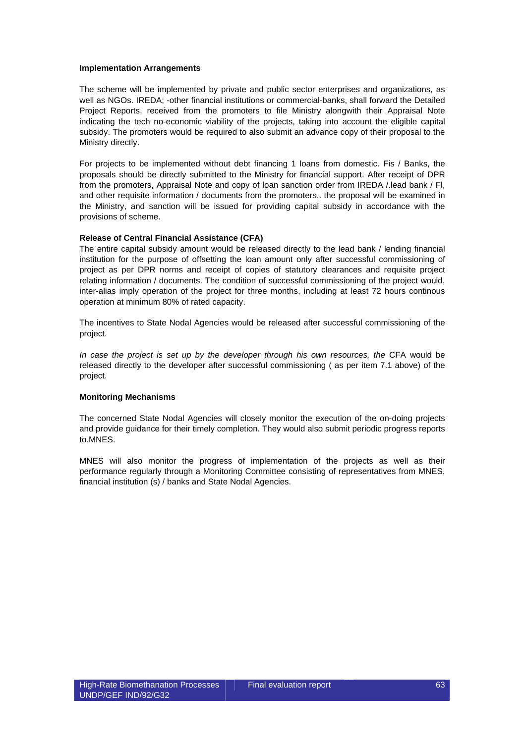### **Implementation Arrangements**

The scheme will be implemented by private and public sector enterprises and organizations, as well as NGOs. IREDA; -other financial institutions or commercial-banks, shall forward the Detailed Project Reports, received from the promoters to file Ministry alongwith their Appraisal Note indicating the tech no-economic viability of the projects, taking into account the eligible capital subsidy. The promoters would be required to also submit an advance copy of their proposal to the Ministry directly.

For projects to be implemented without debt financing 1 loans from domestic. Fis / Banks, the proposals should be directly submitted to the Ministry for financial support. After receipt of DPR from the promoters, Appraisal Note and copy of loan sanction order from IREDA /.lead bank / Fl, and other requisite information / documents from the promoters,. the proposal will be examined in the Ministry, and sanction will be issued for providing capital subsidy in accordance with the provisions of scheme.

### **Release of Central Financial Assistance (CFA)**

The entire capital subsidy amount would be released directly to the lead bank / lending financial institution for the purpose of offsetting the loan amount only after successful commissioning of project as per DPR norms and receipt of copies of statutory clearances and requisite project relating information / documents. The condition of successful commissioning of the project would, inter-alias imply operation of the project for three months, including at least 72 hours continous operation at minimum 80% of rated capacity.

The incentives to State Nodal Agencies would be released after successful commissioning of the project.

*In case the project is set up by the developer through his own resources, the CFA would be* released directly to the developer after successful commissioning ( as per item 7.1 above) of the project.

### **Monitoring Mechanisms**

The concerned State Nodal Agencies will closely monitor the execution of the on-doing projects and provide guidance for their timely completion. They would also submit periodic progress reports to.MNES.

MNES will also monitor the progress of implementation of the projects as well as their performance regularly through a Monitoring Committee consisting of representatives from MNES, financial institution (s) / banks and State Nodal Agencies.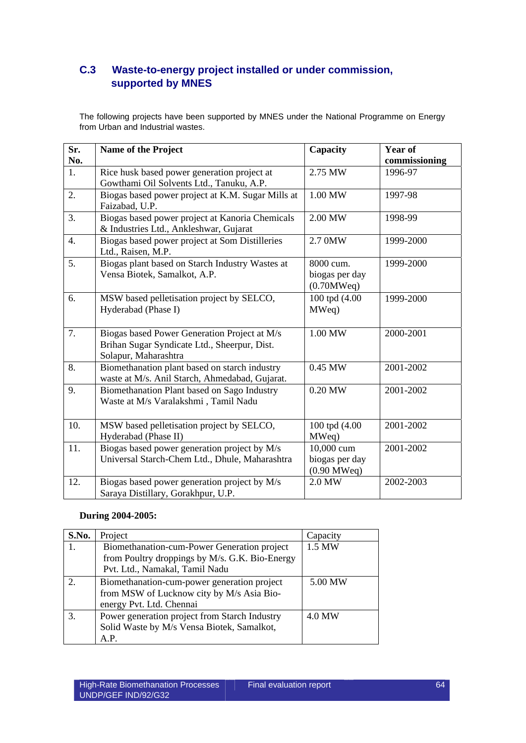# **C.3 Waste-to-energy project installed or under commission, supported by MNES**

The following projects have been supported by MNES under the National Programme on Energy from Urban and Industrial wastes.

| Sr.<br>No.       | <b>Name of the Project</b>                                                                                           | Capacity                                         | Year of<br>commissioning |
|------------------|----------------------------------------------------------------------------------------------------------------------|--------------------------------------------------|--------------------------|
| $\overline{1}$ . | Rice husk based power generation project at<br>Gowthami Oil Solvents Ltd., Tanuku, A.P.                              | 2.75 MW                                          | 1996-97                  |
| 2.               | Biogas based power project at K.M. Sugar Mills at<br>Faizabad, U.P.                                                  | 1.00 MW                                          | 1997-98                  |
| 3.               | Biogas based power project at Kanoria Chemicals<br>& Industries Ltd., Ankleshwar, Gujarat                            | 2.00 MW                                          | 1998-99                  |
| $\overline{4}$ . | Biogas based power project at Som Distilleries<br>Ltd., Raisen, M.P.                                                 | 2.7 0MW                                          | 1999-2000                |
| 5.               | Biogas plant based on Starch Industry Wastes at<br>Vensa Biotek, Samalkot, A.P.                                      | 8000 cum.<br>biogas per day<br>(0.70MWeq)        | 1999-2000                |
| 6.               | MSW based pelletisation project by SELCO,<br>Hyderabad (Phase I)                                                     | 100 tpd (4.00<br>MWeq)                           | 1999-2000                |
| 7.               | Biogas based Power Generation Project at M/s<br>Brihan Sugar Syndicate Ltd., Sheerpur, Dist.<br>Solapur, Maharashtra | 1.00 MW                                          | 2000-2001                |
| 8.               | Biomethanation plant based on starch industry<br>waste at M/s. Anil Starch, Ahmedabad, Gujarat.                      | 0.45 MW                                          | 2001-2002                |
| 9.               | Biomethanation Plant based on Sago Industry<br>Waste at M/s Varalakshmi, Tamil Nadu                                  | 0.20 MW                                          | 2001-2002                |
| 10.              | MSW based pelletisation project by SELCO,<br>Hyderabad (Phase II)                                                    | 100 tpd (4.00<br>MWeq)                           | 2001-2002                |
| 11.              | Biogas based power generation project by M/s<br>Universal Starch-Chem Ltd., Dhule, Maharashtra                       | 10,000 cum<br>biogas per day<br>$(0.90$ MWeq $)$ | 2001-2002                |
| 12.              | Biogas based power generation project by M/s<br>Saraya Distillary, Gorakhpur, U.P.                                   | 2.0 MW                                           | 2002-2003                |

## **During 2004-2005:**

| S.No. | Project                                        | Capacity |
|-------|------------------------------------------------|----------|
| 1.    | Biomethanation-cum-Power Generation project    | 1.5 MW   |
|       | from Poultry droppings by M/s. G.K. Bio-Energy |          |
|       | Pvt. Ltd., Namakal, Tamil Nadu                 |          |
|       | Biomethanation-cum-power generation project    | 5.00 MW  |
|       | from MSW of Lucknow city by M/s Asia Bio-      |          |
|       | energy Pvt. Ltd. Chennai                       |          |
| 3.    | Power generation project from Starch Industry  | 4.0 MW   |
|       | Solid Waste by M/s Vensa Biotek, Samalkot,     |          |
|       | A.P.                                           |          |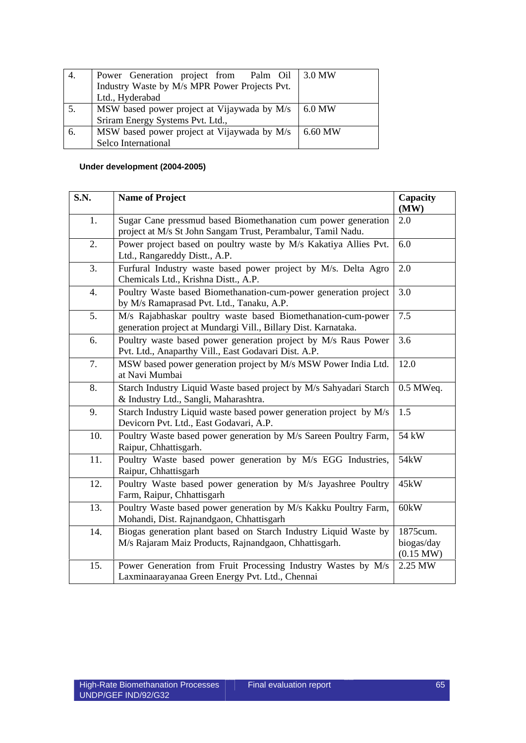| 4. | Power Generation project from Palm Oil        | 3.0 MW       |
|----|-----------------------------------------------|--------------|
|    | Industry Waste by M/s MPR Power Projects Pvt. |              |
|    | Ltd., Hyderabad                               |              |
|    | MSW based power project at Vijaywada by M/s   | $\pm 6.0$ MW |
|    | Sriram Energy Systems Pvt. Ltd.,              |              |
| 6. | MSW based power project at Vijaywada by M/s   | $6.60$ MW    |
|    | Selco International                           |              |

## **Under development (2004-2005)**

| S.N. | <b>Name of Project</b>                                                                                                         | Capacity<br>(MW)                    |
|------|--------------------------------------------------------------------------------------------------------------------------------|-------------------------------------|
| 1.   | Sugar Cane pressmud based Biomethanation cum power generation<br>project at M/s St John Sangam Trust, Perambalur, Tamil Nadu.  | 2.0                                 |
| 2.   | Power project based on poultry waste by M/s Kakatiya Allies Pvt.<br>Ltd., Rangareddy Distt., A.P.                              | 6.0                                 |
| 3.   | Furfural Industry waste based power project by M/s. Delta Agro<br>Chemicals Ltd., Krishna Distt., A.P.                         | 2.0                                 |
| 4.   | Poultry Waste based Biomethanation-cum-power generation project<br>by M/s Ramaprasad Pvt. Ltd., Tanaku, A.P.                   | 3.0                                 |
| 5.   | M/s Rajabhaskar poultry waste based Biomethanation-cum-power<br>generation project at Mundargi Vill., Billary Dist. Karnataka. | 7.5                                 |
| 6.   | Poultry waste based power generation project by M/s Raus Power<br>Pvt. Ltd., Anaparthy Vill., East Godavari Dist. A.P.         | 3.6                                 |
| 7.   | MSW based power generation project by M/s MSW Power India Ltd.<br>at Navi Mumbai                                               | 12.0                                |
| 8.   | Starch Industry Liquid Waste based project by M/s Sahyadari Starch<br>& Industry Ltd., Sangli, Maharashtra.                    | $0.5$ MWeq.                         |
| 9.   | Starch Industry Liquid waste based power generation project by M/s<br>Devicorn Pvt. Ltd., East Godavari, A.P.                  | 1.5                                 |
| 10.  | Poultry Waste based power generation by M/s Sareen Poultry Farm,<br>Raipur, Chhattisgarh.                                      | 54 kW                               |
| 11.  | Poultry Waste based power generation by M/s EGG Industries,<br>Raipur, Chhattisgarh                                            | 54kW                                |
| 12.  | Poultry Waste based power generation by M/s Jayashree Poultry<br>Farm, Raipur, Chhattisgarh                                    | 45kW                                |
| 13.  | Poultry Waste based power generation by M/s Kakku Poultry Farm,<br>Mohandi, Dist. Rajnandgaon, Chhattisgarh                    | 60kW                                |
| 14.  | Biogas generation plant based on Starch Industry Liquid Waste by<br>M/s Rajaram Maiz Products, Rajnandgaon, Chhattisgarh.      | 1875cum.<br>biogas/day<br>(0.15 MW) |
| 15.  | Power Generation from Fruit Processing Industry Wastes by M/s<br>Laxminaarayanaa Green Energy Pvt. Ltd., Chennai               | 2.25 MW                             |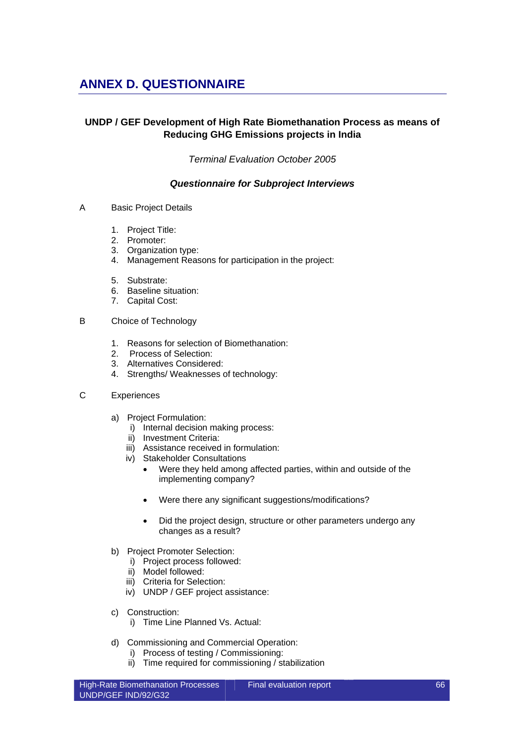# **ANNEX D. QUESTIONNAIRE**

## **UNDP / GEF Development of High Rate Biomethanation Process as means of Reducing GHG Emissions projects in India**

*Terminal Evaluation October 2005* 

## *Questionnaire for Subproject Interviews*

- A Basic Project Details
	- 1. Project Title:
	- 2. Promoter:
	- 3. Organization type:
	- 4. Management Reasons for participation in the project:
	- 5. Substrate:
	- 6. Baseline situation:
	- 7. Capital Cost:
- B Choice of Technology
	- 1. Reasons for selection of Biomethanation:
	- 2. Process of Selection:
	- 3. Alternatives Considered:
	- 4. Strengths/ Weaknesses of technology:
- C Experiences
	- a) Project Formulation:
		- i) Internal decision making process:
		- ii) Investment Criteria:
		- iii) Assistance received in formulation:
		- iv) Stakeholder Consultations
			- Were they held among affected parties, within and outside of the implementing company?
			- Were there any significant suggestions/modifications?
			- Did the project design, structure or other parameters undergo any changes as a result?
	- b) Project Promoter Selection:
		- i) Project process followed:
		- ii) Model followed:
		- iii) Criteria for Selection:
		- iv) UNDP / GEF project assistance:
	- c) Construction:
		- i) Time Line Planned Vs. Actual:
	- d) Commissioning and Commercial Operation:
		- i) Process of testing / Commissioning:
		- ii) Time required for commissioning / stabilization

Final evaluation report 66